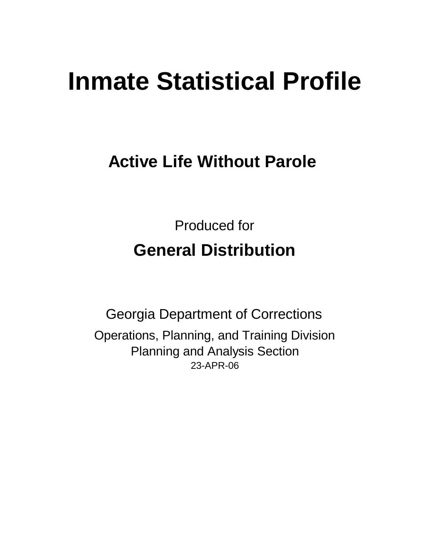# **Inmate Statistical Profile**

**Active Life Without Parole** 

Produced for **General Distribution**

23-APR-06 Georgia Department of Corrections Operations, Planning, and Training Division Planning and Analysis Section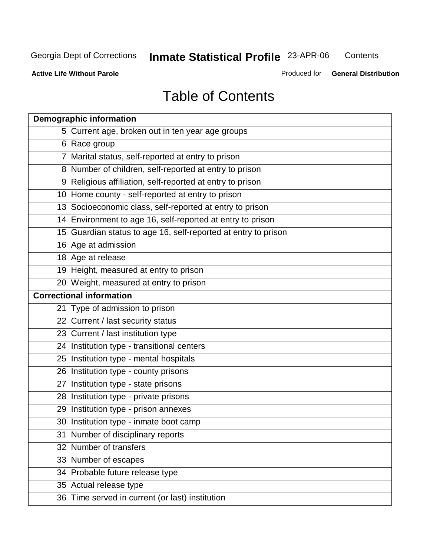**Contents** 

**Active Life Without Parole** 

Produced for **General Distribution**

# Table of Contents

| <b>Demographic information</b>                                 |
|----------------------------------------------------------------|
| 5 Current age, broken out in ten year age groups               |
| 6 Race group                                                   |
| 7 Marital status, self-reported at entry to prison             |
| 8 Number of children, self-reported at entry to prison         |
| 9 Religious affiliation, self-reported at entry to prison      |
| 10 Home county - self-reported at entry to prison              |
| 13 Socioeconomic class, self-reported at entry to prison       |
| 14 Environment to age 16, self-reported at entry to prison     |
| 15 Guardian status to age 16, self-reported at entry to prison |
| 16 Age at admission                                            |
| 18 Age at release                                              |
| 19 Height, measured at entry to prison                         |
| 20 Weight, measured at entry to prison                         |
| <b>Correctional information</b>                                |
| 21 Type of admission to prison                                 |
| 22 Current / last security status                              |
| 23 Current / last institution type                             |
| 24 Institution type - transitional centers                     |
| 25 Institution type - mental hospitals                         |
| 26 Institution type - county prisons                           |
| 27 Institution type - state prisons                            |
| 28 Institution type - private prisons                          |
| 29 Institution type - prison annexes                           |
| 30 Institution type - inmate boot camp                         |
| 31 Number of disciplinary reports                              |
| 32 Number of transfers                                         |
| 33 Number of escapes                                           |
| 34 Probable future release type                                |
| 35 Actual release type                                         |
| 36 Time served in current (or last) institution                |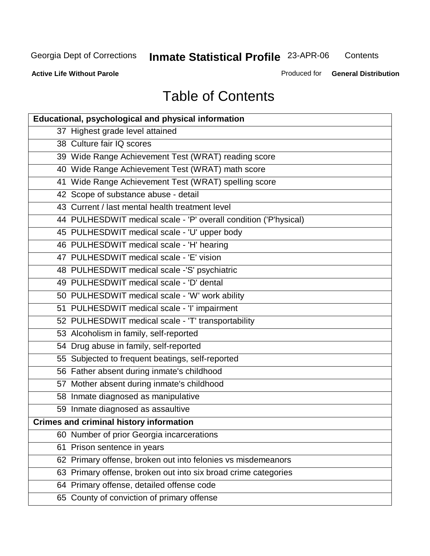**Contents** 

**Active Life Without Parole** 

Produced for **General Distribution**

# Table of Contents

| <b>Educational, psychological and physical information</b>       |
|------------------------------------------------------------------|
| 37 Highest grade level attained                                  |
| 38 Culture fair IQ scores                                        |
| 39 Wide Range Achievement Test (WRAT) reading score              |
| 40 Wide Range Achievement Test (WRAT) math score                 |
| 41 Wide Range Achievement Test (WRAT) spelling score             |
| 42 Scope of substance abuse - detail                             |
| 43 Current / last mental health treatment level                  |
| 44 PULHESDWIT medical scale - 'P' overall condition ('P'hysical) |
| 45 PULHESDWIT medical scale - 'U' upper body                     |
| 46 PULHESDWIT medical scale - 'H' hearing                        |
| 47 PULHESDWIT medical scale - 'E' vision                         |
| 48 PULHESDWIT medical scale -'S' psychiatric                     |
| 49 PULHESDWIT medical scale - 'D' dental                         |
| 50 PULHESDWIT medical scale - 'W' work ability                   |
| 51 PULHESDWIT medical scale - 'I' impairment                     |
| 52 PULHESDWIT medical scale - 'T' transportability               |
| 53 Alcoholism in family, self-reported                           |
| 54 Drug abuse in family, self-reported                           |
| 55 Subjected to frequent beatings, self-reported                 |
| 56 Father absent during inmate's childhood                       |
| 57 Mother absent during inmate's childhood                       |
| 58 Inmate diagnosed as manipulative                              |
| 59 Inmate diagnosed as assaultive                                |
| <b>Crimes and criminal history information</b>                   |
| 60 Number of prior Georgia incarcerations                        |
| Prison sentence in years<br>61                                   |
| 62 Primary offense, broken out into felonies vs misdemeanors     |
| 63 Primary offense, broken out into six broad crime categories   |
| 64 Primary offense, detailed offense code                        |
| 65 County of conviction of primary offense                       |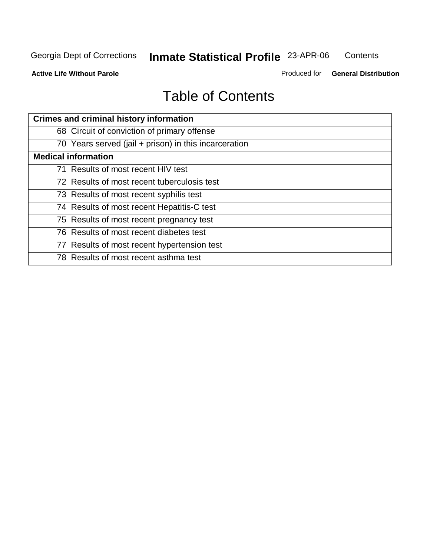**Contents** 

**Active Life Without Parole** 

Produced for **General Distribution**

# Table of Contents

| <b>Crimes and criminal history information</b>        |
|-------------------------------------------------------|
| 68 Circuit of conviction of primary offense           |
| 70 Years served (jail + prison) in this incarceration |
| <b>Medical information</b>                            |
| 71 Results of most recent HIV test                    |
| 72 Results of most recent tuberculosis test           |
| 73 Results of most recent syphilis test               |
| 74 Results of most recent Hepatitis-C test            |
| 75 Results of most recent pregnancy test              |
| 76 Results of most recent diabetes test               |
| 77 Results of most recent hypertension test           |
| 78 Results of most recent asthma test                 |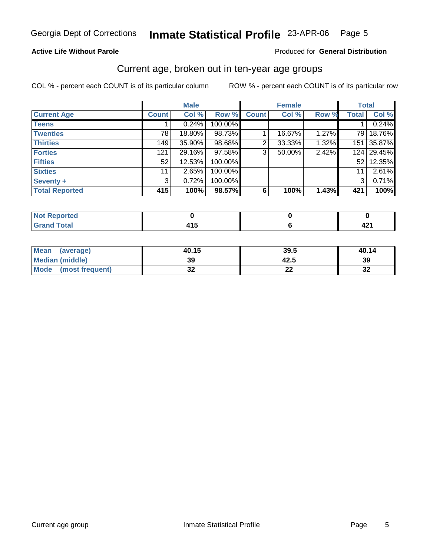### **Active Life Without Parole**

### Produced for **General Distribution**

### Current age, broken out in ten-year age groups

|                       |              | <b>Male</b> |         |              | <b>Female</b> |       | <b>Total</b>   |        |
|-----------------------|--------------|-------------|---------|--------------|---------------|-------|----------------|--------|
| <b>Current Age</b>    | <b>Count</b> | Col %       | Row %   | <b>Count</b> | Col %         | Row % | <b>Total</b>   | Col %  |
| <b>Teens</b>          |              | 0.24%       | 100.00% |              |               |       |                | 0.24%  |
| <b>Twenties</b>       | 78           | 18.80%      | 98.73%  |              | 16.67%        | 1.27% | 79             | 18.76% |
| <b>Thirties</b>       | 149          | $35.90\%$   | 98.68%  | 2            | 33.33%        | 1.32% | 151            | 35.87% |
| <b>Forties</b>        | 121          | 29.16%      | 97.58%  | 3            | 50.00%        | 2.42% | 124            | 29.45% |
| <b>Fifties</b>        | 52           | 12.53%      | 100.00% |              |               |       | 521            | 12.35% |
| <b>Sixties</b>        | 11           | 2.65%       | 100.00% |              |               |       | 11             | 2.61%  |
| Seventy +             | 3            | 0.72%       | 100.00% |              |               |       | 3 <sup>1</sup> | 0.71%  |
| <b>Total Reported</b> | 415          | 100%        | 98.57%  | 6            | 100%          | 1.43% | 421            | 100%   |

| <b>prted</b><br>$\sim$ . The set of $\sim$ |       |             |
|--------------------------------------------|-------|-------------|
| <b>Grand Total</b>                         | 1 I V | . .<br>44 I |

| <b>Mean</b><br>(average) | 40.15  | 39.5     | 40.14    |
|--------------------------|--------|----------|----------|
| <b>Median (middle)</b>   | 39     | 42.5     | 39       |
| Mode (most frequent)     | <br>◡▵ | ^^<br>-- | n,<br>⊾ت |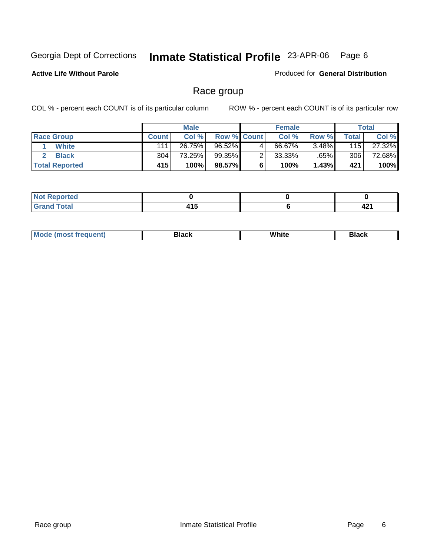**Active Life Without Parole** 

Produced for **General Distribution**

# Race group

|                       |              | <b>Male</b> |                    |   | <b>Female</b> |          |       | <b>Total</b> |
|-----------------------|--------------|-------------|--------------------|---|---------------|----------|-------|--------------|
| <b>Race Group</b>     | <b>Count</b> | Col %       | <b>Row % Count</b> |   | Col %         | Row %    | Total | Col %        |
| White                 | 111          | 26.75%      | 96.52%             | 4 | 66.67%        | $3.48\%$ | 115   | 27.32%       |
| <b>Black</b>          | 304          | 73.25%      | 99.35%             |   | $33.33\%$     | .65%     | 306   | 72.68%       |
| <b>Total Reported</b> | 415          | 100%        | 98.57%             |   | 100%          | 1.43%    | 421   | 100%         |

| <b>Constitution Constitution</b><br>rtea<br>. <b>.</b> |                      |             |
|--------------------------------------------------------|----------------------|-------------|
| $C = 4 - 7$<br>$\sim$                                  | .<br>م ا م<br>$\sim$ | <u>тдан</u> |

| ' M∩<br>nuemn<br> | Black | White | 3lack |
|-------------------|-------|-------|-------|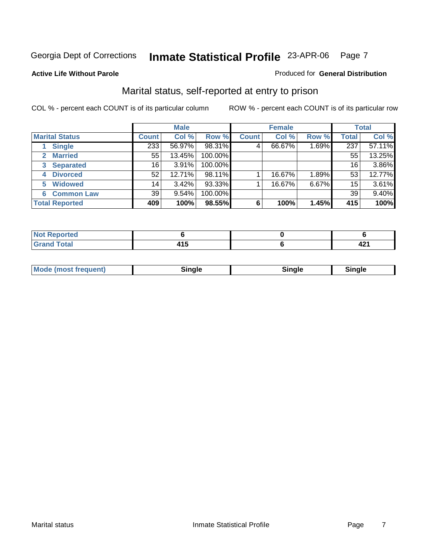### **Active Life Without Parole**

### Produced for **General Distribution**

# Marital status, self-reported at entry to prison

|                        |              | <b>Male</b> |         |              | <b>Female</b> |       |              | <b>Total</b> |
|------------------------|--------------|-------------|---------|--------------|---------------|-------|--------------|--------------|
| <b>Marital Status</b>  | <b>Count</b> | Col %       | Row %   | <b>Count</b> | Col %         | Row % | <b>Total</b> | Col %        |
| <b>Single</b>          | 233          | 56.97%      | 98.31%  | 4            | 66.67%        | 1.69% | 237          | 57.11%       |
| <b>Married</b>         | 55           | 13.45%      | 100.00% |              |               |       | 55           | 13.25%       |
| <b>Separated</b><br>3  | 16           | 3.91%       | 100.00% |              |               |       | 16           | 3.86%        |
| <b>Divorced</b><br>4   | 52           | 12.71%      | 98.11%  |              | 16.67%        | 1.89% | 53           | 12.77%       |
| <b>Widowed</b><br>5    | 14           | 3.42%       | 93.33%  |              | 16.67%        | 6.67% | 15           | 3.61%        |
| <b>Common Law</b><br>6 | 39           | 9.54%       | 100.00% |              |               |       | 39           | 9.40%        |
| <b>Total Reported</b>  | 409          | 100%        | 98.55%  | 6            | 100%          | 1.45% | 415          | 100%         |

| --                          |         |     |
|-----------------------------|---------|-----|
| $\sim$ $\sim$ $\sim$ $\sim$ | .<br>__ | – ⊷ |

|--|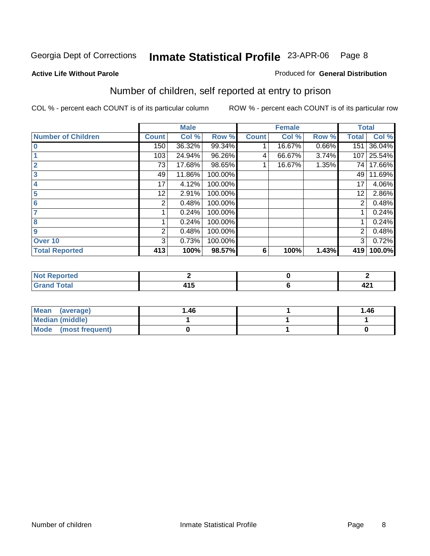#### **Active Life Without Parole**

### Produced for **General Distribution**

# Number of children, self reported at entry to prison

|                           |              | <b>Male</b> |         |              | <b>Female</b> |       | <b>Total</b> |        |
|---------------------------|--------------|-------------|---------|--------------|---------------|-------|--------------|--------|
| <b>Number of Children</b> | <b>Count</b> | Col %       | Row %   | <b>Count</b> | Col %         | Row % | <b>Total</b> | Col %  |
| $\bf{0}$                  | 150          | 36.32%      | 99.34%  |              | 16.67%        | 0.66% | 151          | 36.04% |
|                           | 103          | 24.94%      | 96.26%  | 4            | 66.67%        | 3.74% | 107          | 25.54% |
| $\overline{2}$            | 73           | 17.68%      | 98.65%  |              | 16.67%        | 1.35% | 74           | 17.66% |
| 3                         | 49           | 11.86%      | 100.00% |              |               |       | 49           | 11.69% |
| 4                         | 17           | 4.12%       | 100.00% |              |               |       | 17           | 4.06%  |
| 5                         | 12           | 2.91%       | 100.00% |              |               |       | 12           | 2.86%  |
| 6                         | 2            | 0.48%       | 100.00% |              |               |       | 2            | 0.48%  |
|                           |              | 0.24%       | 100.00% |              |               |       |              | 0.24%  |
| 8                         |              | 0.24%       | 100.00% |              |               |       |              | 0.24%  |
| 9                         | 2            | 0.48%       | 100.00% |              |               |       | 2            | 0.48%  |
| Over 10                   | 3            | 0.73%       | 100.00% |              |               |       | 3            | 0.72%  |
| <b>Total Reported</b>     | 413          | 100%        | 98.57%  | 6            | 100%          | 1.43% | 419          | 100.0% |

| المناسب<br>τeα        |   |      |
|-----------------------|---|------|
| $T \wedge f \wedge f$ | . | 494  |
| -                     | . | 42 I |

| <b>Mean</b><br>(average) | 1.46 | 1.46 |
|--------------------------|------|------|
| Median (middle)          |      |      |
| Mode (most frequent)     |      |      |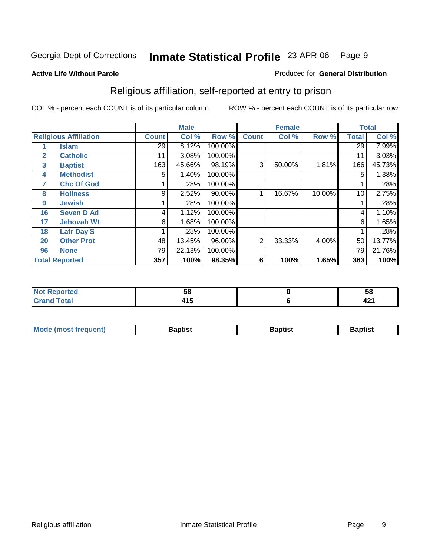### **Active Life Without Parole**

### Produced for **General Distribution**

# Religious affiliation, self-reported at entry to prison

|              |                              | <b>Male</b>     |        |         |                | <b>Female</b> |        | <b>Total</b> |        |  |
|--------------|------------------------------|-----------------|--------|---------|----------------|---------------|--------|--------------|--------|--|
|              | <b>Religious Affiliation</b> | <b>Count</b>    | Col %  | Row %   | <b>Count</b>   | Col %         | Row %  | <b>Total</b> | Col %  |  |
|              | <b>Islam</b>                 | $\overline{29}$ | 8.12%  | 100.00% |                |               |        | 29           | 7.99%  |  |
| $\mathbf{2}$ | <b>Catholic</b>              | 11              | 3.08%  | 100.00% |                |               |        | 11           | 3.03%  |  |
| $\mathbf{3}$ | <b>Baptist</b>               | 163             | 45.66% | 98.19%  | 3              | 50.00%        | 1.81%  | 166          | 45.73% |  |
| 4            | <b>Methodist</b>             | 5               | 1.40%  | 100.00% |                |               |        | 5            | 1.38%  |  |
| 7            | <b>Chc Of God</b>            |                 | .28%   | 100.00% |                |               |        |              | .28%   |  |
| 8            | <b>Holiness</b>              | 9               | 2.52%  | 90.00%  |                | 16.67%        | 10.00% | 10           | 2.75%  |  |
| 9            | <b>Jewish</b>                |                 | .28%   | 100.00% |                |               |        |              | .28%   |  |
| 16           | <b>Seven D Ad</b>            | 4               | 1.12%  | 100.00% |                |               |        | 4            | 1.10%  |  |
| 17           | <b>Jehovah Wt</b>            | 6               | 1.68%  | 100.00% |                |               |        | 6            | 1.65%  |  |
| 18           | <b>Latr Day S</b>            |                 | .28%   | 100.00% |                |               |        |              | .28%   |  |
| 20           | <b>Other Prot</b>            | 48              | 13.45% | 96.00%  | $\overline{2}$ | 33.33%        | 4.00%  | 50           | 13.77% |  |
| 96           | <b>None</b>                  | 79              | 22.13% | 100.00% |                |               |        | 79           | 21.76% |  |
|              | <b>Total Reported</b>        | 357             | 100%   | 98.35%  | 6              | 100%          | 1.65%  | 363          | 100%   |  |

| rac | --<br>Ju<br>- - | ວດ        |
|-----|-----------------|-----------|
| .   | $\sim$          | "<br>74 I |

| l Mo          | <b>aptist</b> | 3aptist              | Baptis. |
|---------------|---------------|----------------------|---------|
| <b>auent)</b> |               | $\sim$ $\sim$ $\sim$ |         |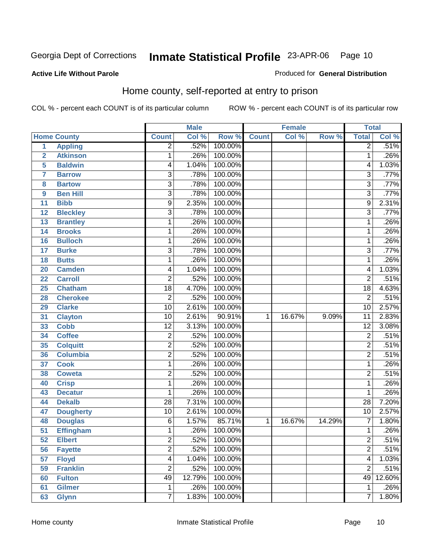### **Active Life Without Parole**

### Produced for **General Distribution**

# Home county, self-reported at entry to prison

|                         |                    |                 | <b>Male</b> |         |              | <b>Female</b> |        | <b>Total</b>    |        |
|-------------------------|--------------------|-----------------|-------------|---------|--------------|---------------|--------|-----------------|--------|
|                         | <b>Home County</b> | <b>Count</b>    | Col %       | Row %   | <b>Count</b> | Col %         | Row %  | <b>Total</b>    | Col %  |
| $\overline{1}$          | <b>Appling</b>     | $\overline{2}$  | .52%        | 100.00% |              |               |        | $\overline{2}$  | .51%   |
| $\overline{2}$          | <b>Atkinson</b>    | 1               | .26%        | 100.00% |              |               |        | $\mathbf{1}$    | .26%   |
| 5                       | <b>Baldwin</b>     | 4               | 1.04%       | 100.00% |              |               |        | 4               | 1.03%  |
| $\overline{\mathbf{7}}$ | <b>Barrow</b>      | $\overline{3}$  | .78%        | 100.00% |              |               |        | $\overline{3}$  | .77%   |
| 8                       | <b>Bartow</b>      | $\overline{3}$  | .78%        | 100.00% |              |               |        | $\overline{3}$  | .77%   |
| 9                       | <b>Ben Hill</b>    | $\overline{3}$  | .78%        | 100.00% |              |               |        | $\overline{3}$  | .77%   |
| 11                      | <b>Bibb</b>        | $\overline{9}$  | 2.35%       | 100.00% |              |               |        | $\overline{9}$  | 2.31%  |
| 12                      | <b>Bleckley</b>    | $\overline{3}$  | .78%        | 100.00% |              |               |        | $\overline{3}$  | .77%   |
| 13                      | <b>Brantley</b>    | 1               | .26%        | 100.00% |              |               |        | 1               | .26%   |
| 14                      | <b>Brooks</b>      | 1               | .26%        | 100.00% |              |               |        | 1               | .26%   |
| 16                      | <b>Bulloch</b>     | 1               | .26%        | 100.00% |              |               |        | $\mathbf{1}$    | .26%   |
| $\overline{17}$         | <b>Burke</b>       | $\overline{3}$  | .78%        | 100.00% |              |               |        | $\overline{3}$  | .77%   |
| 18                      | <b>Butts</b>       | 1               | .26%        | 100.00% |              |               |        | 1               | .26%   |
| 20                      | <b>Camden</b>      | 4               | 1.04%       | 100.00% |              |               |        | 4               | 1.03%  |
| 22                      | <b>Carroll</b>     | $\overline{2}$  | .52%        | 100.00% |              |               |        | $\overline{2}$  | .51%   |
| 25                      | <b>Chatham</b>     | $\overline{18}$ | 4.70%       | 100.00% |              |               |        | $\overline{18}$ | 4.63%  |
| 28                      | <b>Cherokee</b>    | $\overline{2}$  | .52%        | 100.00% |              |               |        | $\overline{2}$  | .51%   |
| 29                      | <b>Clarke</b>      | $\overline{10}$ | 2.61%       | 100.00% |              |               |        | 10              | 2.57%  |
| 31                      | <b>Clayton</b>     | $\overline{10}$ | 2.61%       | 90.91%  | $\mathbf 1$  | 16.67%        | 9.09%  | $\overline{11}$ | 2.83%  |
| 33                      | <b>Cobb</b>        | $\overline{12}$ | 3.13%       | 100.00% |              |               |        | $\overline{12}$ | 3.08%  |
| 34                      | <b>Coffee</b>      | $\overline{2}$  | .52%        | 100.00% |              |               |        | $\overline{2}$  | .51%   |
| 35                      | <b>Colquitt</b>    | $\overline{2}$  | .52%        | 100.00% |              |               |        | $\overline{2}$  | .51%   |
| 36                      | <b>Columbia</b>    | $\overline{2}$  | .52%        | 100.00% |              |               |        | $\overline{2}$  | .51%   |
| 37                      | <b>Cook</b>        | 1               | .26%        | 100.00% |              |               |        | 1               | .26%   |
| 38                      | <b>Coweta</b>      | $\overline{2}$  | .52%        | 100.00% |              |               |        | $\overline{2}$  | .51%   |
| 40                      | <b>Crisp</b>       | 1               | .26%        | 100.00% |              |               |        | 1               | .26%   |
| 43                      | <b>Decatur</b>     | 1               | .26%        | 100.00% |              |               |        | 1               | .26%   |
| 44                      | <b>Dekalb</b>      | $\overline{28}$ | 7.31%       | 100.00% |              |               |        | $\overline{28}$ | 7.20%  |
| 47                      | <b>Dougherty</b>   | $\overline{10}$ | 2.61%       | 100.00% |              |               |        | 10              | 2.57%  |
| 48                      | <b>Douglas</b>     | $\overline{6}$  | 1.57%       | 85.71%  | 1            | 16.67%        | 14.29% | 7               | 1.80%  |
| $\overline{51}$         | <b>Effingham</b>   | $\overline{1}$  | .26%        | 100.00% |              |               |        | 1               | .26%   |
| 52                      | <b>Elbert</b>      | $\overline{c}$  | .52%        | 100.00% |              |               |        | $\overline{c}$  | .51%   |
| 56                      | <b>Fayette</b>     | $\overline{2}$  | .52%        | 100.00% |              |               |        | $\overline{2}$  | .51%   |
| 57                      | <b>Floyd</b>       | $\overline{4}$  | 1.04%       | 100.00% |              |               |        | $\overline{4}$  | 1.03%  |
| 59                      | <b>Franklin</b>    | $\overline{2}$  | .52%        | 100.00% |              |               |        | $\overline{2}$  | .51%   |
| 60                      | <b>Fulton</b>      | 49              | 12.79%      | 100.00% |              |               |        | 49              | 12.60% |
| 61                      | <b>Gilmer</b>      | $\overline{1}$  | .26%        | 100.00% |              |               |        | $\overline{1}$  | .26%   |
| 63                      | <b>Glynn</b>       | $\overline{7}$  | 1.83%       | 100.00% |              |               |        | $\overline{7}$  | 1.80%  |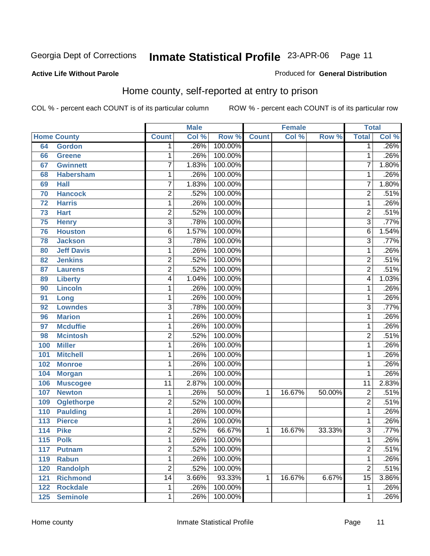Produced for **General Distribution**

### **Active Life Without Parole**

# Home county, self-reported at entry to prison

|     |                    |                 | <b>Male</b> |         |              | <b>Female</b> |        | <b>Total</b>            |       |
|-----|--------------------|-----------------|-------------|---------|--------------|---------------|--------|-------------------------|-------|
|     | <b>Home County</b> | <b>Count</b>    | Col %       | Row %   | <b>Count</b> | Col %         | Row %  | <b>Total</b>            | Col % |
| 64  | <b>Gordon</b>      | $\mathbf 1$     | .26%        | 100.00% |              |               |        | $\overline{1}$          | .26%  |
| 66  | <b>Greene</b>      | 1               | .26%        | 100.00% |              |               |        | 1                       | .26%  |
| 67  | <b>Gwinnett</b>    | 7               | 1.83%       | 100.00% |              |               |        | 7                       | 1.80% |
| 68  | <b>Habersham</b>   | 1               | .26%        | 100.00% |              |               |        | $\mathbf{1}$            | .26%  |
| 69  | <b>Hall</b>        | 7               | 1.83%       | 100.00% |              |               |        | 7                       | 1.80% |
| 70  | <b>Hancock</b>     | 2               | .52%        | 100.00% |              |               |        | $\overline{\mathbf{c}}$ | .51%  |
| 72  | <b>Harris</b>      | 1               | .26%        | 100.00% |              |               |        | 1                       | .26%  |
| 73  | <b>Hart</b>        | 2               | .52%        | 100.00% |              |               |        | $\overline{2}$          | .51%  |
| 75  | <b>Henry</b>       | $\overline{3}$  | .78%        | 100.00% |              |               |        | $\overline{3}$          | .77%  |
| 76  | <b>Houston</b>     | $\overline{6}$  | 1.57%       | 100.00% |              |               |        | $\overline{6}$          | 1.54% |
| 78  | <b>Jackson</b>     | 3               | .78%        | 100.00% |              |               |        | 3                       | .77%  |
| 80  | <b>Jeff Davis</b>  | 1               | .26%        | 100.00% |              |               |        | $\mathbf{1}$            | .26%  |
| 82  | <b>Jenkins</b>     | $\overline{2}$  | .52%        | 100.00% |              |               |        | $\overline{2}$          | .51%  |
| 87  | <b>Laurens</b>     | $\overline{2}$  | .52%        | 100.00% |              |               |        | $\overline{2}$          | .51%  |
| 89  | <b>Liberty</b>     | 4               | 1.04%       | 100.00% |              |               |        | 4                       | 1.03% |
| 90  | <b>Lincoln</b>     | 1               | .26%        | 100.00% |              |               |        | $\mathbf{1}$            | .26%  |
| 91  | Long               | 1               | .26%        | 100.00% |              |               |        | 1                       | .26%  |
| 92  | <b>Lowndes</b>     | 3               | .78%        | 100.00% |              |               |        | $\overline{3}$          | .77%  |
| 96  | <b>Marion</b>      | 1               | .26%        | 100.00% |              |               |        | 1                       | .26%  |
| 97  | <b>Mcduffie</b>    | 1               | .26%        | 100.00% |              |               |        | $\mathbf{1}$            | .26%  |
| 98  | <b>Mcintosh</b>    | $\overline{2}$  | .52%        | 100.00% |              |               |        | $\overline{2}$          | .51%  |
| 100 | <b>Miller</b>      | 1               | .26%        | 100.00% |              |               |        | $\mathbf{1}$            | .26%  |
| 101 | <b>Mitchell</b>    | 1               | .26%        | 100.00% |              |               |        | 1                       | .26%  |
| 102 | <b>Monroe</b>      | 1               | .26%        | 100.00% |              |               |        | $\mathbf{1}$            | .26%  |
| 104 | <b>Morgan</b>      | 1               | .26%        | 100.00% |              |               |        | 1                       | .26%  |
| 106 | <b>Muscogee</b>    | $\overline{11}$ | 2.87%       | 100.00% |              |               |        | $\overline{11}$         | 2.83% |
| 107 | <b>Newton</b>      | 1               | .26%        | 50.00%  | 1            | 16.67%        | 50.00% | $\overline{2}$          | .51%  |
| 109 | <b>Oglethorpe</b>  | 2               | .52%        | 100.00% |              |               |        | $\overline{2}$          | .51%  |
| 110 | <b>Paulding</b>    | 1               | .26%        | 100.00% |              |               |        | 1                       | .26%  |
| 113 | <b>Pierce</b>      | 1               | .26%        | 100.00% |              |               |        | 1                       | .26%  |
| 114 | <b>Pike</b>        | 2               | .52%        | 66.67%  | 1            | 16.67%        | 33.33% | $\overline{3}$          | .77%  |
| 115 | <b>Polk</b>        | $\mathbf 1$     | .26%        | 100.00% |              |               |        | 1                       | .26%  |
| 117 | <b>Putnam</b>      | $\overline{2}$  | .52%        | 100.00% |              |               |        | $\overline{2}$          | .51%  |
| 119 | <b>Rabun</b>       | 1               | .26%        | 100.00% |              |               |        | 1                       | .26%  |
| 120 | <b>Randolph</b>    | $\overline{2}$  | .52%        | 100.00% |              |               |        | $\overline{2}$          | .51%  |
| 121 | <b>Richmond</b>    | $\overline{14}$ | 3.66%       | 93.33%  | 1            | 16.67%        | 6.67%  | 15                      | 3.86% |
| 122 | <b>Rockdale</b>    | 1               | .26%        | 100.00% |              |               |        | 1                       | .26%  |
| 125 | <b>Seminole</b>    | 1               | .26%        | 100.00% |              |               |        | 1                       | .26%  |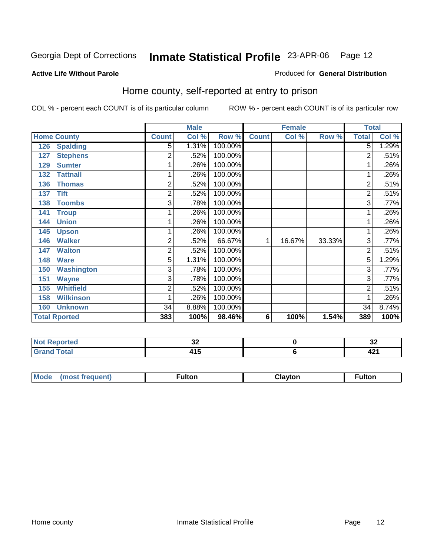### **Active Life Without Parole**

### Produced for **General Distribution**

# Home county, self-reported at entry to prison

|     |                      |                | <b>Male</b> |         | <b>Female</b> |        |        | <b>Total</b>   |         |
|-----|----------------------|----------------|-------------|---------|---------------|--------|--------|----------------|---------|
|     | <b>Home County</b>   | <b>Count</b>   | Col %       | Row %   | <b>Count</b>  | Col %  | Row %  | <b>Total</b>   | Col %   |
| 126 | <b>Spalding</b>      | 5              | 1.31%       | 100.00% |               |        |        | $\overline{5}$ | 1.29%   |
| 127 | <b>Stephens</b>      | 2              | .52%        | 100.00% |               |        |        | 2              | .51%    |
| 129 | <b>Sumter</b>        |                | .26%        | 100.00% |               |        |        | 1.             | .26%    |
| 132 | <b>Tattnall</b>      |                | .26%        | 100.00% |               |        |        | 1              | .26%    |
| 136 | <b>Thomas</b>        | $\overline{2}$ | .52%        | 100.00% |               |        |        | $\overline{2}$ | .51%    |
| 137 | <b>Tift</b>          | 2              | .52%        | 100.00% |               |        |        | $\overline{2}$ | .51%    |
| 138 | <b>Toombs</b>        | 3              | .78%        | 100.00% |               |        |        | $\overline{3}$ | $.77\%$ |
| 141 | <b>Troup</b>         |                | .26%        | 100.00% |               |        |        | 1              | .26%    |
| 144 | <b>Union</b>         |                | .26%        | 100.00% |               |        |        | 1              | .26%    |
| 145 | <b>Upson</b>         |                | .26%        | 100.00% |               |        |        | 1              | .26%    |
| 146 | <b>Walker</b>        | $\overline{2}$ | .52%        | 66.67%  | 1             | 16.67% | 33.33% | 3              | .77%    |
| 147 | <b>Walton</b>        | 2              | .52%        | 100.00% |               |        |        | $\overline{2}$ | .51%    |
| 148 | <b>Ware</b>          | 5              | 1.31%       | 100.00% |               |        |        | $\overline{5}$ | 1.29%   |
| 150 | <b>Washington</b>    | 3              | .78%        | 100.00% |               |        |        | $\overline{3}$ | .77%    |
| 151 | <b>Wayne</b>         | 3              | .78%        | 100.00% |               |        |        | $\overline{3}$ | .77%    |
| 155 | <b>Whitfield</b>     | $\overline{2}$ | .52%        | 100.00% |               |        |        | $\overline{2}$ | .51%    |
| 158 | <b>Wilkinson</b>     |                | .26%        | 100.00% |               |        |        | 1              | .26%    |
| 160 | <b>Unknown</b>       | 34             | 8.88%       | 100.00% |               |        |        | 34             | 8.74%   |
|     | <b>Total Rported</b> | 383            | 100%        | 98.46%  | 6             | 100%   | 1.54%  | 389            | 100%    |

| المناسبة المسا<br>rtea<br>. | $\sim$<br>∼        | $\ddot{\phantom{0}}$<br>◡▵ |
|-----------------------------|--------------------|----------------------------|
| $int^{\bullet}$             | . .<br>.<br>$\sim$ | 10.<br>74 L                |

| Mode<br>™ulton<br><b>ulton</b><br>ıvtor |  |  |  |
|-----------------------------------------|--|--|--|
|                                         |  |  |  |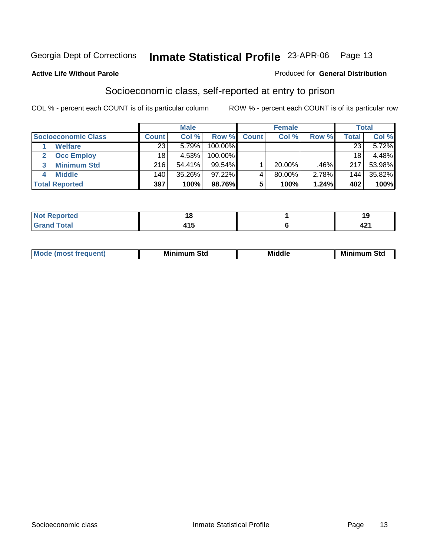### **Active Life Without Parole**

### Produced for **General Distribution**

# Socioeconomic class, self-reported at entry to prison

|                            | <b>Male</b>  |        |            |              | <b>Female</b> |       |       | <b>Total</b> |  |
|----------------------------|--------------|--------|------------|--------------|---------------|-------|-------|--------------|--|
| <b>Socioeconomic Class</b> | <b>Count</b> | Col %  | Row %      | <b>Count</b> | Col %         | Row % | Total | Col %        |  |
| <b>Welfare</b>             | 23           | 5.79%  | 100.00%    |              |               |       | 23    | 5.72%        |  |
| <b>Occ Employ</b>          | 18           | 4.53%  | $100.00\%$ |              |               |       | 18    | 4.48%        |  |
| <b>Minimum Std</b>         | 216          | 54.41% | 99.54%     |              | $20.00\%$     | .46%  | 217   | 53.98%       |  |
| <b>Middle</b>              | 140          | 35.26% | $97.22\%$  |              | 80.00%        | 2.78% | 144   | 35.82%       |  |
| <b>Total Reported</b>      | 397          | 100%   | 98.76%     |              | 100%          | 1.24% | 402   | 100%         |  |

| rted                                                              | - -<br>1 Q              |                                  |
|-------------------------------------------------------------------|-------------------------|----------------------------------|
| $T \wedge f \wedge f$<br><b>TULAI</b><br>$\sim$ . $\sim$ . $\sim$ | $\overline{1}$<br>7 I J | $\overline{\phantom{a}}$<br>74 I |

| Mir<br><b>Middle</b><br>Std<br>Std<br>Mını<br>.<br>___ |
|--------------------------------------------------------|
|--------------------------------------------------------|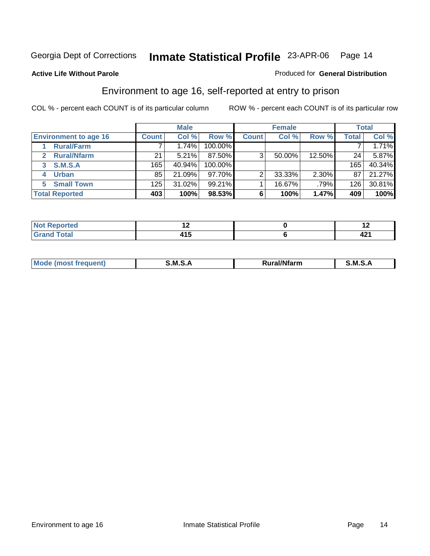### **Active Life Without Parole**

### Produced for **General Distribution**

# Environment to age 16, self-reported at entry to prison

|                              |              | <b>Male</b> |           |              | <b>Female</b> |          |       | <b>Total</b> |
|------------------------------|--------------|-------------|-----------|--------------|---------------|----------|-------|--------------|
| <b>Environment to age 16</b> | <b>Count</b> | Col %       | Row %     | <b>Count</b> | Col %         | Row %    | Total | Col %        |
| <b>Rural/Farm</b>            |              | 1.74%       | 100.00%   |              |               |          |       | 1.71%        |
| <b>Rural/Nfarm</b>           | 21           | 5.21%       | 87.50%    | 3            | 50.00%        | 12.50%   | 24    | 5.87%        |
| <b>S.M.S.A</b><br>3          | 165          | 40.94%      | 100.00%   |              |               |          | 165   | 40.34%       |
| <b>Urban</b>                 | 85           | 21.09%      | 97.70%    |              | 33.33%        | $2.30\%$ | 87    | 21.27%       |
| <b>Small Town</b><br>5       | 125          | 31.02%      | $99.21\%$ |              | 16.67%        | .79%     | 126   | 30.81%       |
| <b>Total Reported</b>        | 403          | 100%        | 98.53%    |              | 100%          | 1.47%    | 409   | 100%         |

| <b>Not Reported</b><br>$\cdots$ |       |      |
|---------------------------------|-------|------|
| <b>Total</b><br>Crot            | 7 I J | 44 I |

| M<br>.<br>---<br>s an A<br>.<br>M<br>M<br>-- |  |  |
|----------------------------------------------|--|--|
|                                              |  |  |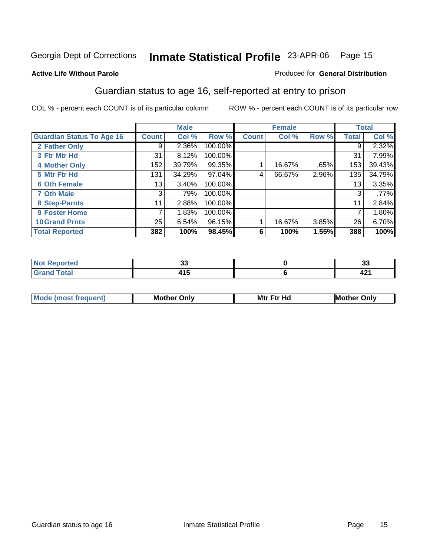### **Active Life Without Parole**

### Produced for **General Distribution**

# Guardian status to age 16, self-reported at entry to prison

|                                  |              | <b>Male</b> |         |              | <b>Female</b> |       |       | <b>Total</b> |
|----------------------------------|--------------|-------------|---------|--------------|---------------|-------|-------|--------------|
| <b>Guardian Status To Age 16</b> | <b>Count</b> | Col %       | Row %   | <b>Count</b> | Col %         | Row % | Total | Col %        |
| 2 Father Only                    | 9            | 2.36%       | 100.00% |              |               |       | 9     | 2.32%        |
| 3 Ftr Mtr Hd                     | 31           | 8.12%       | 100.00% |              |               |       | 31    | 7.99%        |
| <b>4 Mother Only</b>             | 152          | 39.79%      | 99.35%  |              | 16.67%        | .65%  | 153   | 39.43%       |
| 5 Mtr Ftr Hd                     | 131          | 34.29%      | 97.04%  | 4            | 66.67%        | 2.96% | 135   | 34.79%       |
| <b>6 Oth Female</b>              | 13           | 3.40%       | 100.00% |              |               |       | 13    | 3.35%        |
| <b>7 Oth Male</b>                | 3            | .79%        | 100.00% |              |               |       | 3     | .77%         |
| 8 Step-Parnts                    | 11           | 2.88%       | 100.00% |              |               |       | 11    | 2.84%        |
| 9 Foster Home                    | 7            | 1.83%       | 100.00% |              |               |       |       | 1.80%        |
| <b>10 Grand Prnts</b>            | 25           | 6.54%       | 96.15%  |              | 16.67%        | 3.85% | 26    | 6.70%        |
| <b>Total Reported</b>            | 382          | 100%        | 98.45%  | 6            | 100%          | 1.55% | 388   | 100%         |

| . .           | w                                |
|---------------|----------------------------------|
| - -<br>$\sim$ | $\overline{\phantom{a}}$<br>74 I |

| <b>Mode (most frequent)</b> | <b>Mother Only</b> | <b>Mtr Ftr Hd</b> | <b>Mother Only</b> |
|-----------------------------|--------------------|-------------------|--------------------|
|                             |                    |                   |                    |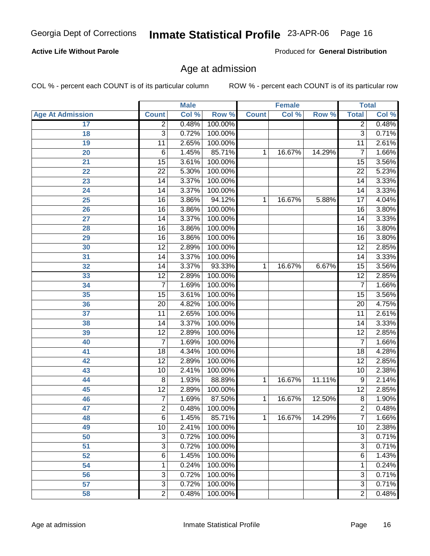### **Active Life Without Parole**

Produced for **General Distribution**

# Age at admission

|                         |                 | <b>Male</b> |         |              | <b>Female</b> |        |                 | <b>Total</b> |
|-------------------------|-----------------|-------------|---------|--------------|---------------|--------|-----------------|--------------|
| <b>Age At Admission</b> | <b>Count</b>    | Col %       | Row %   | <b>Count</b> | Col %         | Row %  | <b>Total</b>    | Col %        |
| 17                      | $\overline{2}$  | 0.48%       | 100.00% |              |               |        | $\overline{2}$  | 0.48%        |
| 18                      | 3               | 0.72%       | 100.00% |              |               |        | $\overline{3}$  | 0.71%        |
| 19                      | 11              | 2.65%       | 100.00% |              |               |        | $\overline{11}$ | 2.61%        |
| 20                      | 6               | 1.45%       | 85.71%  | 1            | 16.67%        | 14.29% | 7               | 1.66%        |
| 21                      | 15              | 3.61%       | 100.00% |              |               |        | $\overline{15}$ | 3.56%        |
| 22                      | $\overline{22}$ | 5.30%       | 100.00% |              |               |        | $\overline{22}$ | 5.23%        |
| 23                      | 14              | 3.37%       | 100.00% |              |               |        | $\overline{14}$ | 3.33%        |
| 24                      | 14              | 3.37%       | 100.00% |              |               |        | 14              | 3.33%        |
| $\overline{25}$         | 16              | 3.86%       | 94.12%  | 1            | 16.67%        | 5.88%  | 17              | 4.04%        |
| 26                      | 16              | 3.86%       | 100.00% |              |               |        | 16              | 3.80%        |
| 27                      | $\overline{14}$ | 3.37%       | 100.00% |              |               |        | $\overline{14}$ | 3.33%        |
| 28                      | 16              | 3.86%       | 100.00% |              |               |        | 16              | 3.80%        |
| 29                      | 16              | 3.86%       | 100.00% |              |               |        | 16              | 3.80%        |
| 30                      | $\overline{12}$ | 2.89%       | 100.00% |              |               |        | $\overline{12}$ | 2.85%        |
| 31                      | $\overline{14}$ | 3.37%       | 100.00% |              |               |        | $\overline{14}$ | 3.33%        |
| 32                      | 14              | 3.37%       | 93.33%  | 1            | 16.67%        | 6.67%  | 15              | 3.56%        |
| 33                      | $\overline{12}$ | 2.89%       | 100.00% |              |               |        | $\overline{12}$ | 2.85%        |
| 34                      | $\overline{7}$  | 1.69%       | 100.00% |              |               |        | 7               | 1.66%        |
| 35                      | 15              | 3.61%       | 100.00% |              |               |        | $\overline{15}$ | 3.56%        |
| 36                      | 20              | 4.82%       | 100.00% |              |               |        | $\overline{20}$ | 4.75%        |
| $\overline{37}$         | $\overline{11}$ | 2.65%       | 100.00% |              |               |        | 11              | 2.61%        |
| 38                      | 14              | 3.37%       | 100.00% |              |               |        | 14              | 3.33%        |
| 39                      | $\overline{12}$ | 2.89%       | 100.00% |              |               |        | $\overline{12}$ | 2.85%        |
| 40                      | 7               | 1.69%       | 100.00% |              |               |        | 7               | 1.66%        |
| 41                      | 18              | 4.34%       | 100.00% |              |               |        | 18              | 4.28%        |
| 42                      | 12              | 2.89%       | 100.00% |              |               |        | $\overline{12}$ | 2.85%        |
| 43                      | 10              | 2.41%       | 100.00% |              |               |        | 10              | 2.38%        |
| 44                      | 8               | 1.93%       | 88.89%  | 1            | 16.67%        | 11.11% | 9               | 2.14%        |
| 45                      | $\overline{12}$ | 2.89%       | 100.00% |              |               |        | $\overline{12}$ | 2.85%        |
| 46                      | $\overline{7}$  | 1.69%       | 87.50%  | 1            | 16.67%        | 12.50% | 8               | 1.90%        |
| 47                      | $\overline{2}$  | 0.48%       | 100.00% |              |               |        | $\overline{2}$  | 0.48%        |
| 48                      | 6               | 1.45%       | 85.71%  | 1            | 16.67%        | 14.29% | 7               | 1.66%        |
| 49                      | 10              | 2.41%       | 100.00% |              |               |        | 10              | 2.38%        |
| 50                      | 3               | 0.72%       | 100.00% |              |               |        | $\overline{3}$  | 0.71%        |
| 51                      | $\overline{3}$  | 0.72%       | 100.00% |              |               |        | $\overline{3}$  | 0.71%        |
| 52                      | 6               | 1.45%       | 100.00% |              |               |        | 6               | 1.43%        |
| 54                      | 1               | 0.24%       | 100.00% |              |               |        | 1               | 0.24%        |
| 56                      | 3               | 0.72%       | 100.00% |              |               |        | 3               | 0.71%        |
| 57                      | $\overline{3}$  | 0.72%       | 100.00% |              |               |        | $\overline{3}$  | 0.71%        |
| 58                      | $\overline{2}$  | 0.48%       | 100.00% |              |               |        | $\overline{2}$  | 0.48%        |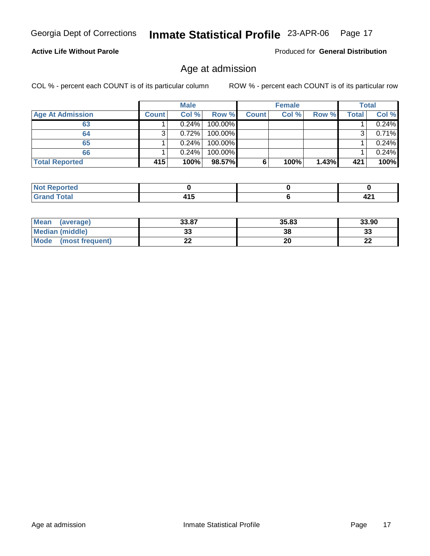### **Active Life Without Parole**

Produced for **General Distribution**

# Age at admission

|                         |              | <b>Male</b> |         |              | <b>Female</b> |          |       | Total |
|-------------------------|--------------|-------------|---------|--------------|---------------|----------|-------|-------|
| <b>Age At Admission</b> | <b>Count</b> | Col %       | Row %   | <b>Count</b> | Col %         | Row %    | Total | Col % |
| 63                      |              | 0.24%       | 100.00% |              |               |          |       | 0.24% |
| 64                      | 3            | 0.72%       | 100.00% |              |               |          |       | 0.71% |
| 65                      |              | 0.24%       | 100.00% |              |               |          |       | 0.24% |
| 66                      |              | 0.24%       | 100.00% |              |               |          |       | 0.24% |
| <b>Total Reported</b>   | 415          | 100%        | 98.57%  | 6            | 100%          | $1.43\%$ | 421   | 100%  |

| NO:<br>тео                                |              |                   |
|-------------------------------------------|--------------|-------------------|
| $n+n$<br>-<br>$\sim$ $\sim$ $\sim$ $\sim$ | .<br>.<br>__ | <b>In</b><br>44 I |

| Mean<br>(average)       | 33.87 | 35.83 | 33.90        |
|-------------------------|-------|-------|--------------|
| Median (middle)         | JJ    | 38    | n n<br>აა    |
| Mode<br>(most frequent) | - -   | 20    | $\sim$<br>LL |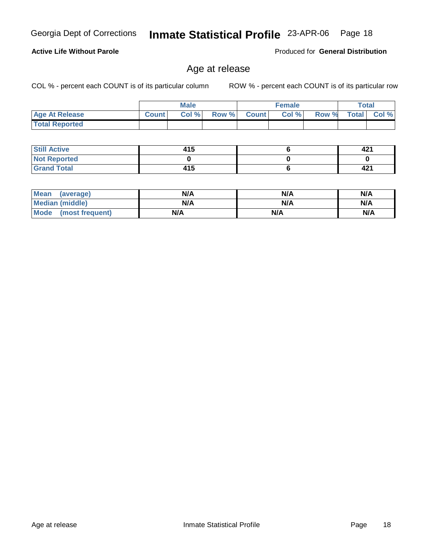**Not Reported Grand Total**

 **Still Active**

 **Total Reported**

**Active Life Without Parole** 

| Mean (average)         | N/A | N/A | N/A |
|------------------------|-----|-----|-----|
| <b>Median (middle)</b> | N/A | N/A | N/A |
| Mode (most frequent)   | N/A | N/A | N/A |

 **Age At Release Count Col % Row % Count Col % Row % Total Col %** 

**Male**

 **415 0 415**

### Age at release

COL % - percent each COUNT is of its particular column ROW % - percent each COUNT is of its particular row

**Female Total**

Produced for **General Distribution**

 **421 0 421**

 **6 0 6**

Georgia Dept of Corrections **Inmate Statistical Profile** 23-APR-06 Page 18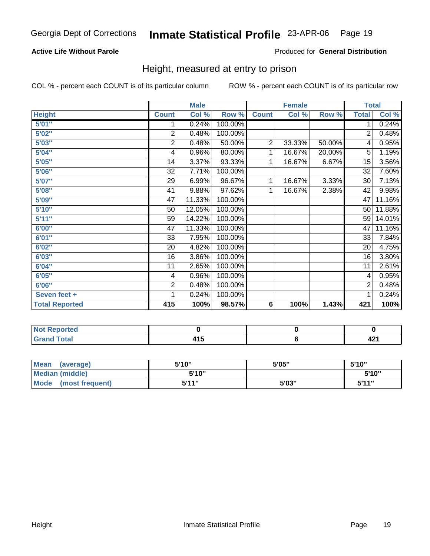### **Active Life Without Parole**

### Produced for **General Distribution**

# Height, measured at entry to prison

|                       |                 | <b>Male</b> |         |                | <b>Female</b> |        | <b>Total</b>    |        |
|-----------------------|-----------------|-------------|---------|----------------|---------------|--------|-----------------|--------|
| <b>Height</b>         | <b>Count</b>    | Col %       | Row %   | <b>Count</b>   | Col %         | Row %  | <b>Total</b>    | Col %  |
| 5'01''                | 1               | 0.24%       | 100.00% |                |               |        | 1.              | 0.24%  |
| 5'02"                 | $\overline{2}$  | 0.48%       | 100.00% |                |               |        | $\overline{2}$  | 0.48%  |
| 5'03"                 | $\overline{c}$  | 0.48%       | 50.00%  | $\overline{2}$ | 33.33%        | 50.00% | 4               | 0.95%  |
| 5'04"                 | 4               | 0.96%       | 80.00%  | 1              | 16.67%        | 20.00% | $\overline{5}$  | 1.19%  |
| 5'05"                 | 14              | 3.37%       | 93.33%  | 1              | 16.67%        | 6.67%  | 15              | 3.56%  |
| 5'06"                 | 32              | 7.71%       | 100.00% |                |               |        | $\overline{32}$ | 7.60%  |
| 5'07''                | 29              | 6.99%       | 96.67%  | 1              | 16.67%        | 3.33%  | 30              | 7.13%  |
| 5'08"                 | 41              | 9.88%       | 97.62%  | 1              | 16.67%        | 2.38%  | 42              | 9.98%  |
| 5'09''                | $\overline{47}$ | 11.33%      | 100.00% |                |               |        | 47              | 11.16% |
| 5'10''                | 50              | 12.05%      | 100.00% |                |               |        | 50              | 11.88% |
| 5'11"                 | 59              | 14.22%      | 100.00% |                |               |        | 59              | 14.01% |
| 6'00"                 | $\overline{47}$ | 11.33%      | 100.00% |                |               |        | 47              | 11.16% |
| 6'01"                 | 33              | 7.95%       | 100.00% |                |               |        | 33              | 7.84%  |
| 6'02"                 | 20              | 4.82%       | 100.00% |                |               |        | 20              | 4.75%  |
| 6'03''                | 16              | 3.86%       | 100.00% |                |               |        | $\overline{16}$ | 3.80%  |
| 6'04"                 | 11              | 2.65%       | 100.00% |                |               |        | 11              | 2.61%  |
| 6'05"                 | 4               | 0.96%       | 100.00% |                |               |        | 4               | 0.95%  |
| 6'06"                 | 2               | 0.48%       | 100.00% |                |               |        | 2               | 0.48%  |
| Seven feet +          | 1               | 0.24%       | 100.00% |                |               |        | 1               | 0.24%  |
| <b>Total Reported</b> | 415             | 100%        | 98.57%  | 6              | 100%          | 1.43%  | 421             | 100%   |

| rtea<br>---- |            |             |
|--------------|------------|-------------|
|              | . .<br>$-$ | ίΩ.<br>74 I |

| Mean<br>(average)              | 5'10" | 5'05" | 5'10"        |
|--------------------------------|-------|-------|--------------|
| Median (middle)                | 5'10" |       | 5'10"        |
| <b>Mode</b><br>(most frequent) | 544"  | 5'03" | <b>K'11"</b> |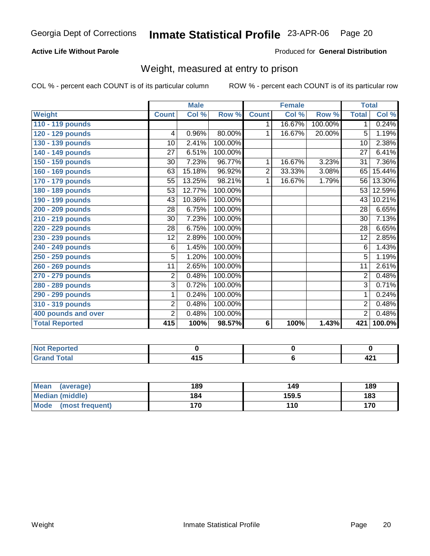### **Active Life Without Parole**

### Produced for **General Distribution**

# Weight, measured at entry to prison

|                       |                 | <b>Male</b> |         |                | <b>Female</b> |         | <b>Total</b>    |        |
|-----------------------|-----------------|-------------|---------|----------------|---------------|---------|-----------------|--------|
| Weight                | <b>Count</b>    | Col %       | Row %   | <b>Count</b>   | Col %         | Row %   | <b>Total</b>    | Col %  |
| 110 - 119 pounds      |                 |             |         | 1.             | 16.67%        | 100.00% | $\mathbf 1$     | 0.24%  |
| 120 - 129 pounds      | 4               | 0.96%       | 80.00%  | 1              | 16.67%        | 20.00%  | 5               | 1.19%  |
| 130 - 139 pounds      | 10              | 2.41%       | 100.00% |                |               |         | 10              | 2.38%  |
| 140 - 149 pounds      | $\overline{27}$ | 6.51%       | 100.00% |                |               |         | 27              | 6.41%  |
| 150 - 159 pounds      | 30              | 7.23%       | 96.77%  | 1              | 16.67%        | 3.23%   | 31              | 7.36%  |
| 160 - 169 pounds      | 63              | 15.18%      | 96.92%  | $\overline{2}$ | 33.33%        | 3.08%   | 65              | 15.44% |
| 170 - 179 pounds      | 55              | 13.25%      | 98.21%  | 1              | 16.67%        | 1.79%   | $\overline{56}$ | 13.30% |
| 180 - 189 pounds      | 53              | 12.77%      | 100.00% |                |               |         | 53              | 12.59% |
| 190 - 199 pounds      | 43              | 10.36%      | 100.00% |                |               |         | 43              | 10.21% |
| 200 - 209 pounds      | 28              | 6.75%       | 100.00% |                |               |         | 28              | 6.65%  |
| 210 - 219 pounds      | 30              | 7.23%       | 100.00% |                |               |         | $\overline{30}$ | 7.13%  |
| 220 - 229 pounds      | 28              | 6.75%       | 100.00% |                |               |         | 28              | 6.65%  |
| 230 - 239 pounds      | 12              | 2.89%       | 100.00% |                |               |         | 12              | 2.85%  |
| 240 - 249 pounds      | 6               | 1.45%       | 100.00% |                |               |         | 6               | 1.43%  |
| 250 - 259 pounds      | 5               | 1.20%       | 100.00% |                |               |         | $\overline{5}$  | 1.19%  |
| 260 - 269 pounds      | 11              | 2.65%       | 100.00% |                |               |         | 11              | 2.61%  |
| 270 - 279 pounds      | $\overline{2}$  | 0.48%       | 100.00% |                |               |         | $\overline{2}$  | 0.48%  |
| 280 - 289 pounds      | $\overline{3}$  | 0.72%       | 100.00% |                |               |         | $\overline{3}$  | 0.71%  |
| 290 - 299 pounds      | 1               | 0.24%       | 100.00% |                |               |         | $\mathbf 1$     | 0.24%  |
| 310 - 319 pounds      | $\overline{2}$  | 0.48%       | 100.00% |                |               |         | $\overline{2}$  | 0.48%  |
| 400 pounds and over   | $\overline{2}$  | 0.48%       | 100.00% |                |               |         | $\overline{2}$  | 0.48%  |
| <b>Total Reported</b> | 415             | 100%        | 98.57%  | 6              | 100%          | 1.43%   | 421             | 100.0% |

| - -<br>NO<br>œ<br>. |                   |      |
|---------------------|-------------------|------|
| الاستقصاد<br>_      | . .<br>. .<br>$-$ | TA 1 |

| Mean<br>(average)       | 189 | 149   | 189 |
|-------------------------|-----|-------|-----|
| Median (middle)         | 184 | 159.5 | 183 |
| Mode<br>(most frequent) | 170 | 110   | 170 |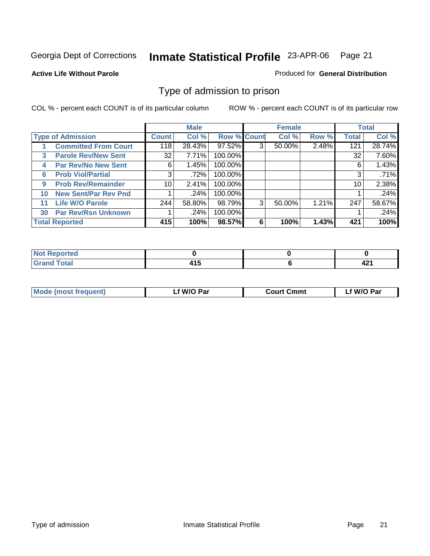### **Active Life Without Parole**

### Produced for **General Distribution**

# Type of admission to prison

|    |                             |              | <b>Male</b> |                    |   | <b>Female</b> |       |              | <b>Total</b> |
|----|-----------------------------|--------------|-------------|--------------------|---|---------------|-------|--------------|--------------|
|    | <b>Type of Admission</b>    | <b>Count</b> | Col %       | <b>Row % Count</b> |   | Col %         | Row % | <b>Total</b> | Col %        |
|    | <b>Committed From Court</b> | 118          | 28.43%      | 97.52%             | 3 | 50.00%        | 2.48% | 121          | 28.74%       |
| 3  | <b>Parole Rev/New Sent</b>  | 32           | 7.71%       | 100.00%            |   |               |       | 32           | 7.60%        |
| 4  | <b>Par Rev/No New Sent</b>  | 6            | 1.45%       | 100.00%            |   |               |       | 6            | 1.43%        |
| 6  | <b>Prob Viol/Partial</b>    | 3            | .72%        | 100.00%            |   |               |       | 3            | .71%         |
| 9  | <b>Prob Rev/Remainder</b>   | 10           | 2.41%       | 100.00%            |   |               |       | 10           | 2.38%        |
| 10 | <b>New Sent/Par Rev Pnd</b> |              | .24%        | 100.00%            |   |               |       |              | .24%         |
| 11 | <b>Life W/O Parole</b>      | 244          | 58.80%      | 98.79%             | 3 | 50.00%        | 1.21% | 247          | 58.67%       |
| 30 | <b>Par Rev/Rsn Unknown</b>  |              | .24%        | 100.00%            |   |               |       |              | .24%         |
|    | <b>Total Reported</b>       | 415          | 100%        | 98.57%             | 6 | 100%          | 1.43% | 421          | 100%         |

| rtea<br>.                    |            |             |
|------------------------------|------------|-------------|
| $f = 4 \pi r$<br>---<br>νιαι | . .<br>. . | . .<br>76 L |

| <b>Mode (most frequent)</b> | f W/O Par | <b>Court Cmmt</b> | 'W/O Par |
|-----------------------------|-----------|-------------------|----------|
|                             |           |                   |          |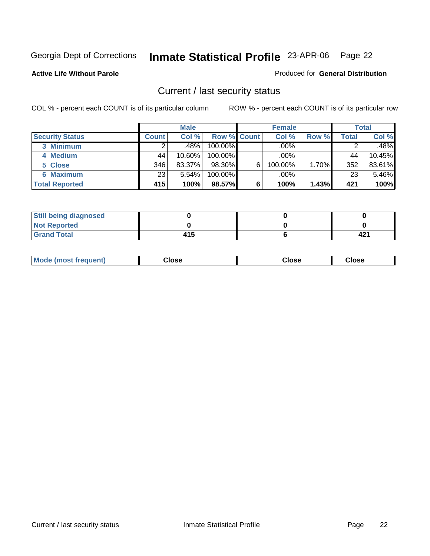**Active Life Without Parole** 

### Produced for **General Distribution**

# Current / last security status

|                        |                    | <b>Male</b> |                    |   | <b>Female</b> |       |       | <b>Total</b> |
|------------------------|--------------------|-------------|--------------------|---|---------------|-------|-------|--------------|
| <b>Security Status</b> | Count <sup>1</sup> | Col %       | <b>Row % Count</b> |   | Col %         | Row % | Total | Col %        |
| 3 Minimum              |                    | ا %48.      | 100.00%            |   | .00%          |       |       | $.48\%$      |
| 4 Medium               | 44                 | $10.60\%$   | 100.00%            |   | $.00\%$       |       | 44    | 10.45%       |
| 5 Close                | 346                | 83.37%      | 98.30%             | 6 | 100.00%       | 1.70% | 352   | 83.61%       |
| 6 Maximum              | 23                 | 5.54%       | 100.00%            |   | $.00\%$       |       | 23    | 5.46%        |
| <b>Total Reported</b>  | 415                | 100%        | 98.57%             | 6 | 100%          | 1.43% | 421   | 100%         |

| <b>Still being diagnosed</b> |     |        |
|------------------------------|-----|--------|
| <b>Not Reported</b>          |     |        |
| <b>Grand Total</b>           | 415 | ี 42 เ |

| Mode (most frequent)<br>Close<br>oseت<br>Close |
|------------------------------------------------|
|------------------------------------------------|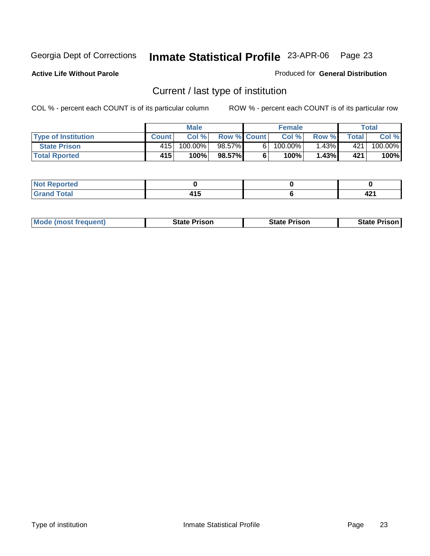**Active Life Without Parole** 

Produced for **General Distribution**

# Current / last type of institution

|                            |              | <b>Male</b> |                    |    | <b>Female</b> |          |              | Total   |
|----------------------------|--------------|-------------|--------------------|----|---------------|----------|--------------|---------|
| <b>Type of Institution</b> | <b>Count</b> | Col %       | <b>Row % Count</b> |    | Col %         | Row %    | <b>Total</b> | Col %   |
| <b>State Prison</b>        | 415          | $100.00\%$  | 98.57%I            | 61 | 100.00%」      | $1.43\%$ | 421          | 100.00% |
| <b>Total Rported</b>       | 415          | 100%        | 98.57%             |    | 100%          | 1.43%    | 421          | 100%    |

| 4 - -<br>τeα<br>. |        |      |
|-------------------|--------|------|
| -                 | .      | - 14 |
|                   | $\sim$ |      |

|  | <b>Mode (most frequent)</b> | <b>State Prison</b> | <b>State Prison</b> | <b>State Prison</b> |
|--|-----------------------------|---------------------|---------------------|---------------------|
|--|-----------------------------|---------------------|---------------------|---------------------|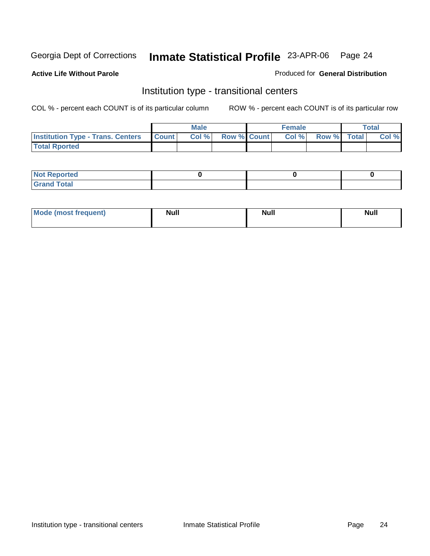**Active Life Without Parole** 

### Produced for **General Distribution**

# Institution type - transitional centers

|                                          |              | Male  |                    | <b>Female</b> |             | Total |
|------------------------------------------|--------------|-------|--------------------|---------------|-------------|-------|
| <b>Institution Type - Trans. Centers</b> | <b>Count</b> | Col % | <b>Row % Count</b> | Col%          | Row % Total | Col % |
| <b>Total Rported</b>                     |              |       |                    |               |             |       |

| <b>Reported</b><br><b>NOT</b> |  |  |
|-------------------------------|--|--|
| <b>Total</b><br>$C$ ro'<br>_  |  |  |

| Mode (most frequent) | Null | <b>Null</b> | <b>Null</b> |
|----------------------|------|-------------|-------------|
|                      |      |             |             |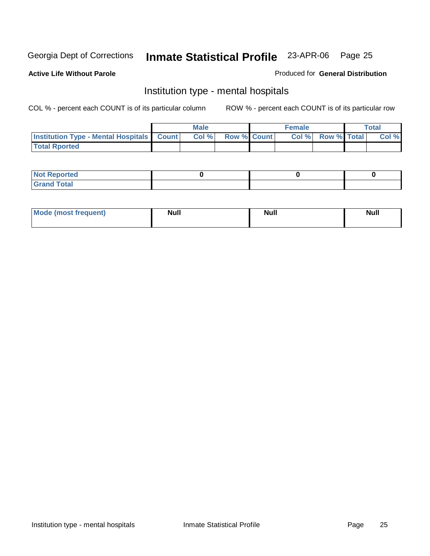### **Active Life Without Parole**

### Produced for **General Distribution**

# Institution type - mental hospitals

|                                                  | <b>Male</b> |                    | <b>Female</b> |                   | Total |
|--------------------------------------------------|-------------|--------------------|---------------|-------------------|-------|
| <b>Institution Type - Mental Hospitals Count</b> | Col %       | <b>Row % Count</b> |               | Col % Row % Total | Col % |
| <b>Total Rported</b>                             |             |                    |               |                   |       |

| <b>Not Reported</b> |  |  |
|---------------------|--|--|
| <b>Total</b><br>r.  |  |  |

| Mode (most frequent) | <b>Null</b> | <b>Null</b> | <b>Null</b> |
|----------------------|-------------|-------------|-------------|
|                      |             |             |             |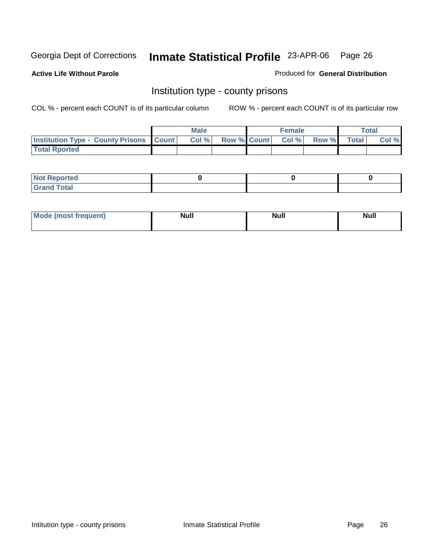**Active Life Without Parole** 

Produced for **General Distribution**

# Institution type - county prisons

|                                                    | Male  |                    | <b>Female</b> |       |              | Total |
|----------------------------------------------------|-------|--------------------|---------------|-------|--------------|-------|
| <b>Institution Type - County Prisons   Count  </b> | Col % | <b>Row % Count</b> | CoI%          | Row % | <b>Total</b> | Col % |
| <b>Total Rported</b>                               |       |                    |               |       |              |       |

| <b>Not</b><br>Reported      |  |  |
|-----------------------------|--|--|
| d Total<br>'Grand<br>$\sim$ |  |  |

| Mode<br><b>ost frequent)</b> | <b>Null</b> | <b>Modl</b><br>'YUI. | <b>Null</b> |
|------------------------------|-------------|----------------------|-------------|
|                              |             |                      |             |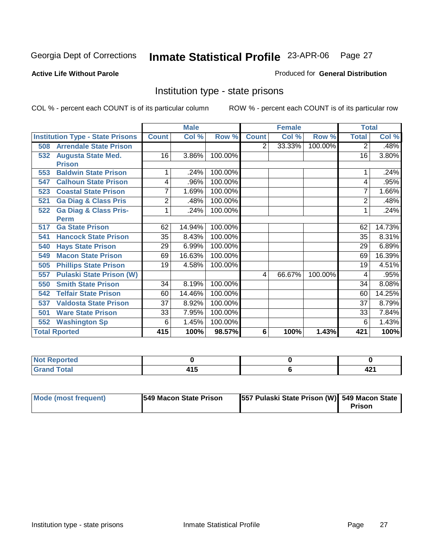### **Active Life Without Parole**

### Produced for **General Distribution**

# Institution type - state prisons

|     |                                         |              | <b>Male</b> |         |                         | <b>Female</b> |         | <b>Total</b>   |        |
|-----|-----------------------------------------|--------------|-------------|---------|-------------------------|---------------|---------|----------------|--------|
|     | <b>Institution Type - State Prisons</b> | <b>Count</b> | Col %       | Row %   | <b>Count</b>            | Col %         | Row %   | <b>Total</b>   | Col %  |
| 508 | <b>Arrendale State Prison</b>           |              |             |         | $\overline{2}$          | 33.33%        | 100.00% | 2              | .48%   |
| 532 | <b>Augusta State Med.</b>               | 16           | 3.86%       | 100.00% |                         |               |         | 16             | 3.80%  |
|     | <b>Prison</b>                           |              |             |         |                         |               |         |                |        |
| 553 | <b>Baldwin State Prison</b>             |              | .24%        | 100.00% |                         |               |         |                | .24%   |
| 547 | <b>Calhoun State Prison</b>             | 4            | .96%        | 100.00% |                         |               |         | 4              | .95%   |
| 523 | <b>Coastal State Prison</b>             | 7            | 1.69%       | 100.00% |                         |               |         | 7              | 1.66%  |
| 521 | <b>Ga Diag &amp; Class Pris</b>         | 2            | .48%        | 100.00% |                         |               |         | $\overline{2}$ | .48%   |
| 522 | <b>Ga Diag &amp; Class Pris-</b>        |              | .24%        | 100.00% |                         |               |         |                | .24%   |
|     | <b>Perm</b>                             |              |             |         |                         |               |         |                |        |
| 517 | <b>Ga State Prison</b>                  | 62           | 14.94%      | 100.00% |                         |               |         | 62             | 14.73% |
| 541 | <b>Hancock State Prison</b>             | 35           | 8.43%       | 100.00% |                         |               |         | 35             | 8.31%  |
| 540 | <b>Hays State Prison</b>                | 29           | 6.99%       | 100.00% |                         |               |         | 29             | 6.89%  |
| 549 | <b>Macon State Prison</b>               | 69           | 16.63%      | 100.00% |                         |               |         | 69             | 16.39% |
| 505 | <b>Phillips State Prison</b>            | 19           | 4.58%       | 100.00% |                         |               |         | 19             | 4.51%  |
| 557 | <b>Pulaski State Prison (W)</b>         |              |             |         | $\overline{\mathbf{4}}$ | 66.67%        | 100.00% | 4              | .95%   |
| 550 | <b>Smith State Prison</b>               | 34           | 8.19%       | 100.00% |                         |               |         | 34             | 8.08%  |
| 542 | <b>Telfair State Prison</b>             | 60           | 14.46%      | 100.00% |                         |               |         | 60             | 14.25% |
| 537 | <b>Valdosta State Prison</b>            | 37           | 8.92%       | 100.00% |                         |               |         | 37             | 8.79%  |
| 501 | <b>Ware State Prison</b>                | 33           | 7.95%       | 100.00% |                         |               |         | 33             | 7.84%  |
| 552 | <b>Washington Sp</b>                    | 6            | 1.45%       | 100.00% |                         |               |         | 6              | 1.43%  |
|     | <b>Total Rported</b>                    | 415          | 100%        | 98.57%  | 6                       | 100%          | 1.43%   | 421            | 100%   |

| <b>Not Reported</b>         |    |       |
|-----------------------------|----|-------|
| $\sim$ $\sim$ $\sim$ $\sim$ | __ | - - - |

| Mode (most frequent) | <b>1549 Macon State Prison</b> | 557 Pulaski State Prison (W) 549 Macon State | Prison |
|----------------------|--------------------------------|----------------------------------------------|--------|
|----------------------|--------------------------------|----------------------------------------------|--------|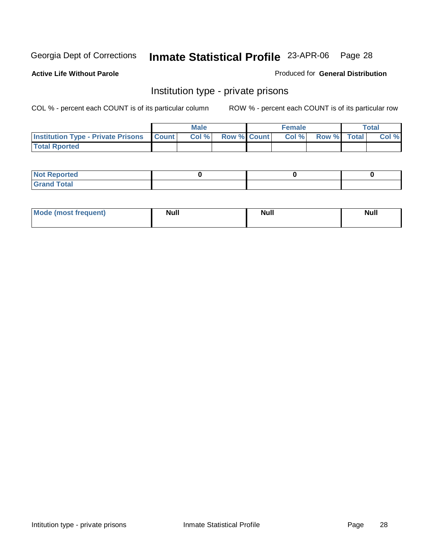**Active Life Without Parole** 

Produced for **General Distribution**

# Institution type - private prisons

|                                                     | <b>Male</b> |                    | <b>Female</b> |             | <b>Total</b> |
|-----------------------------------------------------|-------------|--------------------|---------------|-------------|--------------|
| <b>Institution Type - Private Prisons   Count  </b> | CoI%        | <b>Row % Count</b> | Col %         | Row % Total | Col %        |
| <b>Total Rported</b>                                |             |                    |               |             |              |

| <b>Reported</b><br><b>NOT</b> |  |  |
|-------------------------------|--|--|
| <b>Total</b><br>$C$ ro'<br>_  |  |  |

| Mode (most frequent) | <b>Null</b> | <b>Null</b> | Null |
|----------------------|-------------|-------------|------|
|                      |             |             |      |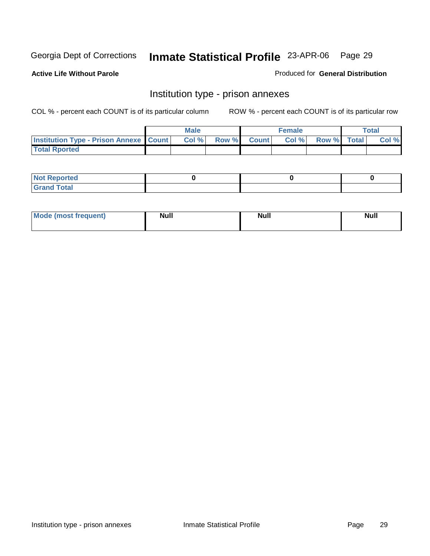**Active Life Without Parole** 

Produced for **General Distribution**

### Institution type - prison annexes

|                                                   | <b>Male</b> |             | <b>Female</b> |             | <b>Total</b> |
|---------------------------------------------------|-------------|-------------|---------------|-------------|--------------|
| <b>Institution Type - Prison Annexe   Count  </b> | Col %       | Row % Count | Col%          | Row % Total | Col %        |
| <b>Total Rported</b>                              |             |             |               |             |              |

| $N$ nt R<br>Reported         |  |  |
|------------------------------|--|--|
| <b>Total</b><br><b>Grano</b> |  |  |

| Mode (most frequent) | <b>Null</b> | <b>Null</b> | <b>Null</b> |
|----------------------|-------------|-------------|-------------|
|                      |             |             |             |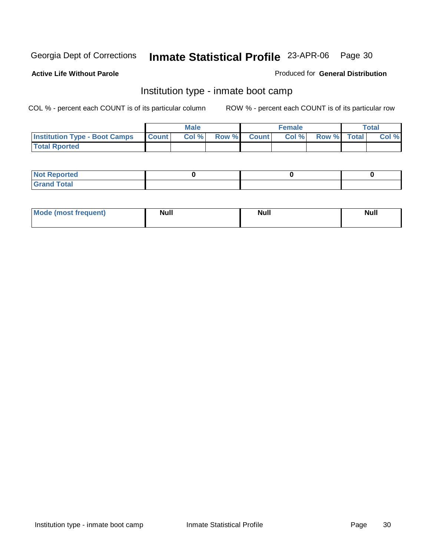**Active Life Without Parole** 

### Produced for **General Distribution**

# Institution type - inmate boot camp

|                                      |              | <b>Male</b> |               |              | <b>Female</b> |             | Total |
|--------------------------------------|--------------|-------------|---------------|--------------|---------------|-------------|-------|
| <b>Institution Type - Boot Camps</b> | <b>Count</b> | Col%        | <b>Row %I</b> | <b>Count</b> | Col%          | Row % Total | Col % |
| <b>Total Rported</b>                 |              |             |               |              |               |             |       |

| <b>Not Reported</b> |  |  |
|---------------------|--|--|
| $f$ ota'<br>C<br>.  |  |  |

| Mode (most frequent) | <b>Null</b> | <b>Null</b> | <b>Null</b> |
|----------------------|-------------|-------------|-------------|
|                      |             |             |             |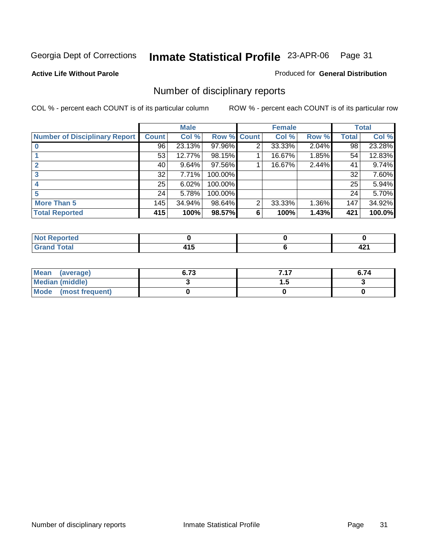### **Active Life Without Parole**

### Produced for **General Distribution**

# Number of disciplinary reports

|                                      |              | <b>Male</b> |                    |                | <b>Female</b> |       |              | <b>Total</b> |
|--------------------------------------|--------------|-------------|--------------------|----------------|---------------|-------|--------------|--------------|
| <b>Number of Disciplinary Report</b> | <b>Count</b> | Col %       | <b>Row % Count</b> |                | Col %         | Row % | <b>Total</b> | Col %        |
|                                      | 96           | 23.13%      | 97.96%             | $\overline{2}$ | 33.33%        | 2.04% | 98           | 23.28%       |
|                                      | 53           | 12.77%      | 98.15%             |                | 16.67%        | 1.85% | 54           | 12.83%       |
| $\mathbf{2}$                         | 40           | 9.64%       | 97.56%             |                | 16.67%        | 2.44% | 41           | 9.74%        |
|                                      | 32           | 7.71%       | 100.00%            |                |               |       | 32           | 7.60%        |
|                                      | 25           | 6.02%       | 100.00%            |                |               |       | 25           | 5.94%        |
| 5                                    | 24           | 5.78%       | 100.00%            |                |               |       | 24           | 5.70%        |
| <b>More Than 5</b>                   | 145          | 34.94%      | 98.64%             | $\overline{2}$ | 33.33%        | 1.36% | 147          | 34.92%       |
| <b>Total Reported</b>                | 415          | 100%        | 98.57%             | 6              | 100%          | 1.43% | 421          | 100.0%       |

| тео.<br>N |                    |                    |
|-----------|--------------------|--------------------|
| السائدة   | . .<br>.<br>$\sim$ | . .<br><u>ты і</u> |

| Mean (average)       | 6.73 | 747<br>. | 6.74 |
|----------------------|------|----------|------|
| Median (middle)      |      | .        |      |
| Mode (most frequent) |      |          |      |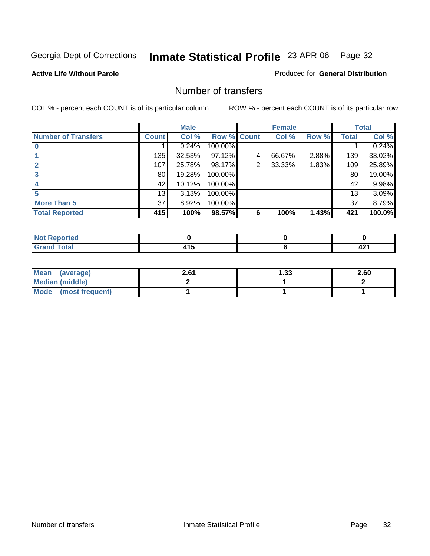### **Active Life Without Parole**

### Produced for **General Distribution**

# Number of transfers

|                            |              | <b>Male</b> |             |   | <b>Female</b> |       |              | <b>Total</b> |
|----------------------------|--------------|-------------|-------------|---|---------------|-------|--------------|--------------|
| <b>Number of Transfers</b> | <b>Count</b> | Col %       | Row % Count |   | Col %         | Row % | <b>Total</b> | Col %        |
|                            |              | 0.24%       | 100.00%     |   |               |       |              | 0.24%        |
|                            | 135          | 32.53%      | 97.12%      | 4 | 66.67%        | 2.88% | 139          | 33.02%       |
|                            | 107          | 25.78%      | 98.17%      | 2 | 33.33%        | 1.83% | 109          | 25.89%       |
|                            | 80           | 19.28%      | 100.00%     |   |               |       | 80           | 19.00%       |
|                            | 42           | 10.12%      | 100.00%     |   |               |       | 42           | 9.98%        |
|                            | 13           | 3.13%       | 100.00%     |   |               |       | 13           | 3.09%        |
| <b>More Than 5</b>         | 37           | 8.92%       | 100.00%     |   |               |       | 37           | 8.79%        |
| <b>Total Reported</b>      | 415          | 100%        | 98.57%      | 6 | 100%          | 1.43% | 421          | 100.0%       |

| тео.<br>N |                    |                    |
|-----------|--------------------|--------------------|
| السائدة   | . .<br>.<br>$\sim$ | . .<br><u>ты і</u> |

| Mean<br>(average)    | 2.61 | 1.33 | 2.60 |
|----------------------|------|------|------|
| Median (middle)      |      |      |      |
| Mode (most frequent) |      |      |      |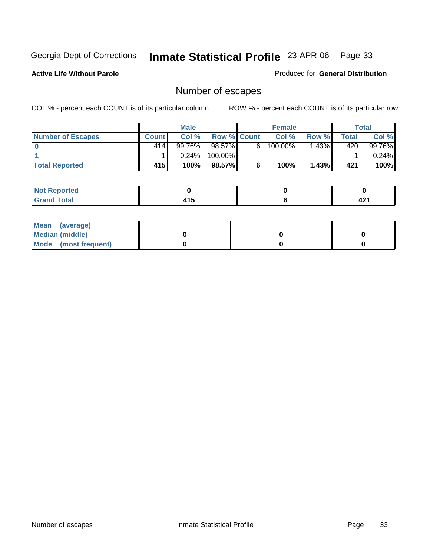### **Active Life Without Parole**

Produced for **General Distribution**

# Number of escapes

|                          |              | <b>Male</b> |                    |   | <b>Female</b> |       |       | Total  |
|--------------------------|--------------|-------------|--------------------|---|---------------|-------|-------|--------|
| <b>Number of Escapes</b> | <b>Count</b> | Col %       | <b>Row % Count</b> |   | Col %         | Row % | Total | Col %  |
|                          | 414          | $99.76\%$   | 98.57%             | 6 | $100.00\%$    | .43%  | 420   | 99.76% |
|                          |              | 0.24%       | 100.00%            |   |               |       |       | 0.24%  |
| <b>Total Reported</b>    | 415          | 100%        | 98.57%             |   | 100%          | 1.43% | 421   | 100%   |

| المستعدد<br>rtea      |        |      |
|-----------------------|--------|------|
| <b>Total</b><br>Grand | .<br>. | 74 I |

| Mean (average)       |  |  |
|----------------------|--|--|
| Median (middle)      |  |  |
| Mode (most frequent) |  |  |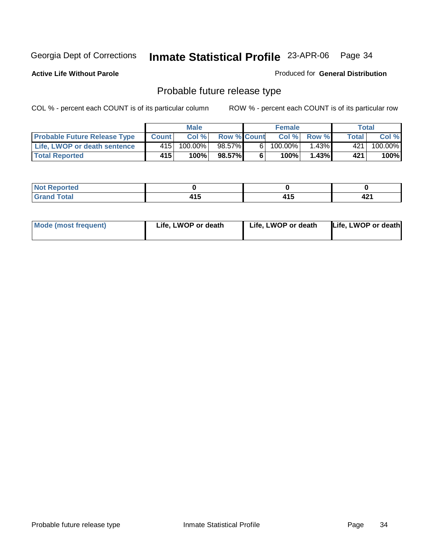**Active Life Without Parole** 

Produced for **General Distribution**

# Probable future release type

|                                     |              | <b>Male</b> |                    |   | <b>Female</b> |             |       | Total   |
|-------------------------------------|--------------|-------------|--------------------|---|---------------|-------------|-------|---------|
| <b>Probable Future Release Type</b> | <b>Count</b> | Col%        | <b>Row % Count</b> |   |               | Col % Row % | Total | Col %   |
| <b>Life, LWOP or death sentence</b> | 415          | $100.00\%$  | 98.57%             | 6 | $100.00\%$    | $1.43\%$    | 421   | 100.00% |
| <b>Total Reported</b>               | 415          | 100%        | 98.57%             | 6 | 100%          | 1.43%       | 421   | 100%    |

| ≀rted       |       |   |      |
|-------------|-------|---|------|
| <b>otal</b> | 1 A C | . | 404  |
| $\sim$      | – I J | . | 74 I |

| <b>Mode (most frequent)</b> | Life, LWOP or death | Life, LWOP or death | Life, LWOP or death |
|-----------------------------|---------------------|---------------------|---------------------|
|-----------------------------|---------------------|---------------------|---------------------|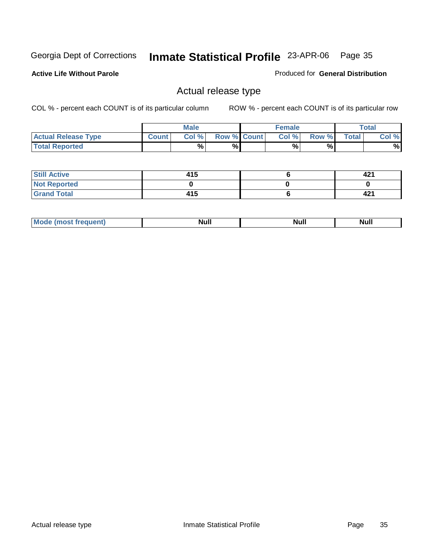**Active Life Without Parole** 

Produced for **General Distribution**

# Actual release type

|                            |              | <b>Male</b> |                    | <b>Female</b> |       |              | Total |
|----------------------------|--------------|-------------|--------------------|---------------|-------|--------------|-------|
| <b>Actual Release Type</b> | <b>Count</b> | Col %       | <b>Row % Count</b> | Col %1        | Row % | <b>Total</b> | Col % |
| <b>Total Reported</b>      |              | %           | %                  | %             | %     |              | %     |

| <b>Still Active</b> | 415 | 421 |
|---------------------|-----|-----|
| <b>Not Reported</b> |     |     |
| <b>Grand Total</b>  | 415 | 421 |

| - -<br>ш | ,,,,,, |
|----------|--------|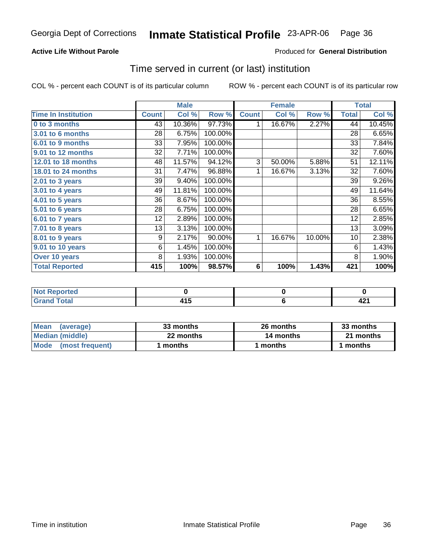### **Active Life Without Parole**

### Produced for **General Distribution**

### Time served in current (or last) institution

|                            |              | <b>Male</b> |         |              | <b>Female</b> |        |                 | <b>Total</b> |
|----------------------------|--------------|-------------|---------|--------------|---------------|--------|-----------------|--------------|
| <b>Time In Institution</b> | <b>Count</b> | Col %       | Row %   | <b>Count</b> | Col %         | Row %  | <b>Total</b>    | Col %        |
| 0 to 3 months              | 43           | 10.36%      | 97.73%  |              | 16.67%        | 2.27%  | 44              | 10.45%       |
| 3.01 to 6 months           | 28           | 6.75%       | 100.00% |              |               |        | 28              | 6.65%        |
| 6.01 to 9 months           | 33           | 7.95%       | 100.00% |              |               |        | 33              | 7.84%        |
| 9.01 to 12 months          | 32           | 7.71%       | 100.00% |              |               |        | 32              | 7.60%        |
| 12.01 to 18 months         | 48           | 11.57%      | 94.12%  | 3            | 50.00%        | 5.88%  | 51              | 12.11%       |
| 18.01 to 24 months         | 31           | 7.47%       | 96.88%  | 1            | 16.67%        | 3.13%  | 32              | 7.60%        |
| 2.01 to 3 years            | 39           | 9.40%       | 100.00% |              |               |        | 39              | 9.26%        |
| 3.01 to 4 years            | 49           | 11.81%      | 100.00% |              |               |        | 49              | 11.64%       |
| 4.01 to 5 years            | 36           | 8.67%       | 100.00% |              |               |        | 36              | 8.55%        |
| 5.01 to 6 years            | 28           | 6.75%       | 100.00% |              |               |        | 28              | 6.65%        |
| 6.01 to 7 years            | 12           | 2.89%       | 100.00% |              |               |        | 12              | 2.85%        |
| $7.01$ to 8 years          | 13           | 3.13%       | 100.00% |              |               |        | 13              | 3.09%        |
| 8.01 to 9 years            | 9            | 2.17%       | 90.00%  | 1            | 16.67%        | 10.00% | 10 <sup>1</sup> | 2.38%        |
| 9.01 to 10 years           | 6            | 1.45%       | 100.00% |              |               |        | 6               | 1.43%        |
| Over 10 years              | 8            | 1.93%       | 100.00% |              |               |        | 8               | 1.90%        |
| <b>Total Reported</b>      | 415          | 100%        | 98.57%  | 6            | 100%          | 1.43%  | 421             | 100%         |

| <b>Not Reported</b> |          |           |
|---------------------|----------|-----------|
| $f$ ota $'$         | .<br>1 J | m.<br>--- |

| <b>Mean</b><br>(average) | 33 months | 26 months | 33 months |  |
|--------------------------|-----------|-----------|-----------|--|
| Median (middle)          | 22 months | 14 months | 21 months |  |
| Mode (most frequent)     | months    | l months  | 1 months  |  |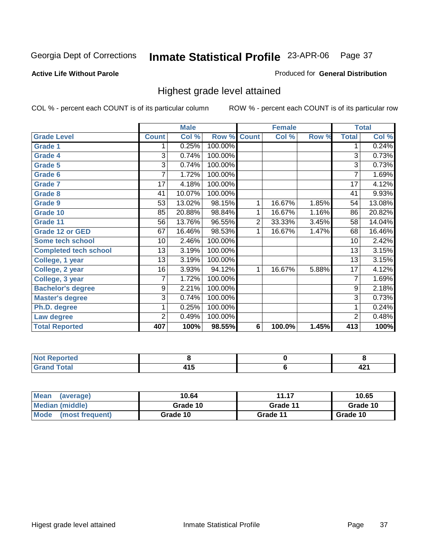#### **Active Life Without Parole**

#### Produced for **General Distribution**

### Highest grade level attained

|                              |                | <b>Male</b>         |                    |                | <b>Female</b> |       |                 | <b>Total</b> |
|------------------------------|----------------|---------------------|--------------------|----------------|---------------|-------|-----------------|--------------|
| <b>Grade Level</b>           | <b>Count</b>   | Col %               | <b>Row % Count</b> |                | Col %         | Row % | <b>Total</b>    | Col %        |
| <b>Grade 1</b>               | 1              | 0.25%               | 100.00%            |                |               |       | 1               | 0.24%        |
| <b>Grade 4</b>               | 3              | 0.74%               | 100.00%            |                |               |       | 3               | 0.73%        |
| Grade 5                      | 3              | 0.74%               | 100.00%            |                |               |       | 3               | 0.73%        |
| Grade 6                      | 7              | 1.72%               | 100.00%            |                |               |       | 7               | 1.69%        |
| <b>Grade 7</b>               | 17             | 4.18%               | 100.00%            |                |               |       | 17              | 4.12%        |
| <b>Grade 8</b>               | 41             | 10.07%              | 100.00%            |                |               |       | 41              | 9.93%        |
| <b>Grade 9</b>               | 53             | 13.02%              | 98.15%             | 1              | 16.67%        | 1.85% | 54              | 13.08%       |
| Grade 10                     | 85             | 20.88%              | 98.84%             | 1              | 16.67%        | 1.16% | 86              | 20.82%       |
| Grade 11                     | 56             | 13.76%              | 96.55%             | $\overline{c}$ | 33.33%        | 3.45% | 58              | 14.04%       |
| <b>Grade 12 or GED</b>       | 67             | 16.46%              | 98.53%             | 1              | 16.67%        | 1.47% | 68              | 16.46%       |
| <b>Some tech school</b>      | 10             | 2.46%               | 100.00%            |                |               |       | 10              | 2.42%        |
| <b>Completed tech school</b> | 13             | 3.19%               | 100.00%            |                |               |       | 13              | 3.15%        |
| College, 1 year              | 13             | 3.19%               | 100.00%            |                |               |       | 13              | 3.15%        |
| College, 2 year              | 16             | 3.93%               | 94.12%             | 1              | 16.67%        | 5.88% | $\overline{17}$ | 4.12%        |
| College, 3 year              | 7              | 1.72%               | 100.00%            |                |               |       | 7               | 1.69%        |
| <b>Bachelor's degree</b>     | 9              | $2.2\overline{1\%}$ | 100.00%            |                |               |       | 9               | 2.18%        |
| <b>Master's degree</b>       | 3              | 0.74%               | 100.00%            |                |               |       | 3               | 0.73%        |
| Ph.D. degree                 |                | 0.25%               | 100.00%            |                |               |       | 1               | 0.24%        |
| Law degree                   | $\overline{2}$ | 0.49%               | 100.00%            |                |               |       | $\overline{c}$  | 0.48%        |
| <b>Total Reported</b>        | 407            | 100%                | 98.55%             | $6\phantom{1}$ | 100.0%        | 1.45% | 413             | 100%         |

| <b>Strait and the Strait</b><br>rtea<br>INO. |   |            |
|----------------------------------------------|---|------------|
| Total.<br>√ Cer<br>$\sim$                    | . | - -<br>- - |

| <b>Mean</b><br>(average)       | 10.64    | 11.17    | 10.65    |
|--------------------------------|----------|----------|----------|
| Median (middle)                | Grade 10 | Grade 11 | Grade 10 |
| <b>Mode</b><br>(most frequent) | Grade 10 | Grade 11 | Grade 10 |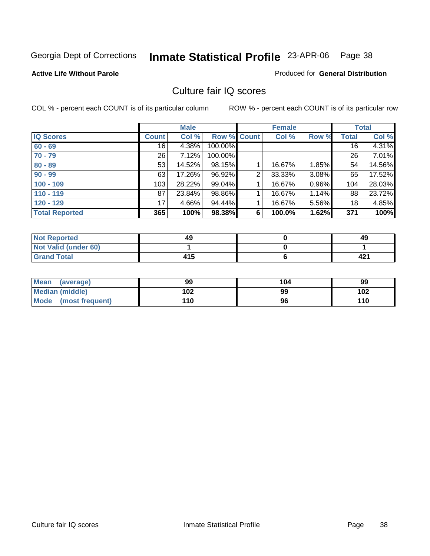### **Active Life Without Parole**

### Produced for **General Distribution**

### Culture fair IQ scores

|                       |              | <b>Male</b> |             |                | <b>Female</b> |          |                 | <b>Total</b> |
|-----------------------|--------------|-------------|-------------|----------------|---------------|----------|-----------------|--------------|
| <b>IQ Scores</b>      | <b>Count</b> | Col %       | Row % Count |                | Col %         | Row %    | Total           | Col %        |
| $60 - 69$             | 16           | 4.38%       | 100.00%     |                |               |          | 16 <sup>1</sup> | 4.31%        |
| $70 - 79$             | 26           | 7.12%       | 100.00%     |                |               |          | 26              | 7.01%        |
| $80 - 89$             | 53           | 14.52%      | 98.15%      |                | 16.67%        | 1.85%    | 54              | 14.56%       |
| $90 - 99$             | 63           | 17.26%      | 96.92%      | $\overline{2}$ | 33.33%        | $3.08\%$ | 65              | 17.52%       |
| $100 - 109$           | 103          | 28.22%      | 99.04%      |                | 16.67%        | 0.96%    | 104             | 28.03%       |
| $110 - 119$           | 87           | 23.84%      | 98.86%      |                | 16.67%        | 1.14%    | 88              | 23.72%       |
| $120 - 129$           | 17           | 4.66%       | 94.44%      |                | 16.67%        | 5.56%    | 18              | 4.85%        |
| <b>Total Reported</b> | 365          | 100%        | 98.38%      | 6              | 100.0%        | 1.62%    | 371             | 100%         |

| <b>Not Reported</b>         | 49  | 49  |
|-----------------------------|-----|-----|
| <b>Not Valid (under 60)</b> |     |     |
| <b>Grand Total</b>          | 415 | 421 |

| Mean (average)       | 99  | 104 | 99  |
|----------------------|-----|-----|-----|
| Median (middle)      | 102 | 99  | 102 |
| Mode (most frequent) | 110 | 96  | 110 |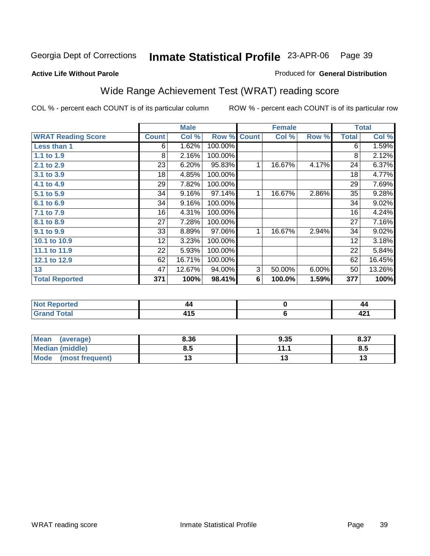#### **Active Life Without Parole**

#### Produced for **General Distribution**

## Wide Range Achievement Test (WRAT) reading score

|                           |              | <b>Male</b> |         |              | <b>Female</b> |       |              | <b>Total</b> |
|---------------------------|--------------|-------------|---------|--------------|---------------|-------|--------------|--------------|
| <b>WRAT Reading Score</b> | <b>Count</b> | Col %       | Row %   | <b>Count</b> | Col %         | Row % | <b>Total</b> | Col %        |
| Less than 1               | 6            | 1.62%       | 100.00% |              |               |       | 6            | 1.59%        |
| 1.1 to 1.9                | 8            | 2.16%       | 100.00% |              |               |       | 8            | 2.12%        |
| 2.1 to 2.9                | 23           | 6.20%       | 95.83%  | 1            | 16.67%        | 4.17% | 24           | 6.37%        |
| 3.1 to 3.9                | 18           | 4.85%       | 100.00% |              |               |       | 18           | 4.77%        |
| 4.1 to 4.9                | 29           | 7.82%       | 100.00% |              |               |       | 29           | 7.69%        |
| 5.1 to 5.9                | 34           | 9.16%       | 97.14%  | 1            | 16.67%        | 2.86% | 35           | 9.28%        |
| 6.1 to 6.9                | 34           | 9.16%       | 100.00% |              |               |       | 34           | 9.02%        |
| 7.1 to 7.9                | 16           | 4.31%       | 100.00% |              |               |       | 16           | 4.24%        |
| 8.1 to 8.9                | 27           | 7.28%       | 100.00% |              |               |       | 27           | 7.16%        |
| 9.1 to 9.9                | 33           | 8.89%       | 97.06%  | 1            | 16.67%        | 2.94% | 34           | 9.02%        |
| 10.1 to 10.9              | 12           | 3.23%       | 100.00% |              |               |       | 12           | 3.18%        |
| 11.1 to 11.9              | 22           | 5.93%       | 100.00% |              |               |       | 22           | 5.84%        |
| 12.1 to 12.9              | 62           | 16.71%      | 100.00% |              |               |       | 62           | 16.45%       |
| 13                        | 47           | 12.67%      | 94.00%  | 3            | 50.00%        | 6.00% | 50           | 13.26%       |
| <b>Total Reported</b>     | 371          | 100%        | 98.41%  | 6            | 100.0%        | 1.59% | 377          | 100%         |
|                           |              |             |         |              |               |       |              |              |
| <b>Not Reported</b>       |              | 44          |         |              | $\pmb{0}$     |       |              | 44           |
| <b>Grand Total</b>        |              | 415         |         |              | $\bf 6$       |       |              | 421          |

| <b>Mean</b><br>(average)       | 8.36 | 9.35 | 8.37 |
|--------------------------------|------|------|------|
| Median (middle)                | 8.5  | 444  | 8.5  |
| <b>Mode</b><br>(most frequent) |      | IJ   |      |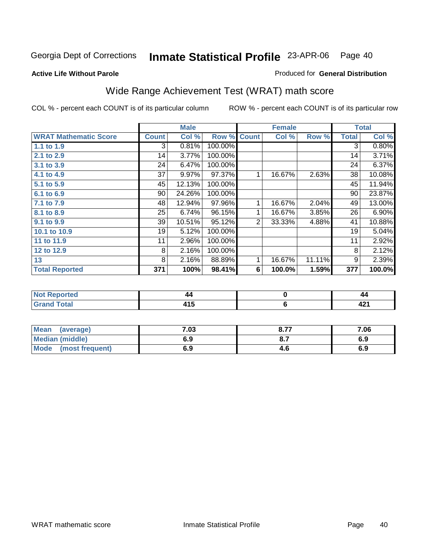#### **Active Life Without Parole**

#### Produced for **General Distribution**

## Wide Range Achievement Test (WRAT) math score

|                              |              | <b>Male</b> |         |                | <b>Female</b> |        |              | <b>Total</b> |
|------------------------------|--------------|-------------|---------|----------------|---------------|--------|--------------|--------------|
| <b>WRAT Mathematic Score</b> | <b>Count</b> | Col %       | Row %   | <b>Count</b>   | Col %         | Row %  | <b>Total</b> | Col %        |
| 1.1 to 1.9                   | 3            | 0.81%       | 100.00% |                |               |        | 3            | 0.80%        |
| 2.1 to 2.9                   | 14           | 3.77%       | 100.00% |                |               |        | 14           | 3.71%        |
| 3.1 to 3.9                   | 24           | 6.47%       | 100.00% |                |               |        | 24           | 6.37%        |
| 4.1 to 4.9                   | 37           | 9.97%       | 97.37%  | 1              | 16.67%        | 2.63%  | 38           | 10.08%       |
| 5.1 to 5.9                   | 45           | 12.13%      | 100.00% |                |               |        | 45           | 11.94%       |
| 6.1 to 6.9                   | 90           | 24.26%      | 100.00% |                |               |        | 90           | 23.87%       |
| 7.1 to 7.9                   | 48           | 12.94%      | 97.96%  |                | 16.67%        | 2.04%  | 49           | 13.00%       |
| 8.1 to 8.9                   | 25           | 6.74%       | 96.15%  | 1              | 16.67%        | 3.85%  | 26           | 6.90%        |
| 9.1 to 9.9                   | 39           | 10.51%      | 95.12%  | $\overline{2}$ | 33.33%        | 4.88%  | 41           | 10.88%       |
| 10.1 to 10.9                 | 19           | 5.12%       | 100.00% |                |               |        | 19           | 5.04%        |
| 11 to 11.9                   | 11           | 2.96%       | 100.00% |                |               |        | 11           | 2.92%        |
| 12 to 12.9                   | 8            | 2.16%       | 100.00% |                |               |        | 8            | 2.12%        |
| 13                           | 8            | 2.16%       | 88.89%  | 1              | 16.67%        | 11.11% | 9            | 2.39%        |
| <b>Total Reported</b>        | 371          | 100%        | 98.41%  | 6              | 100.0%        | 1.59%  | 377          | 100.0%       |

| neo         | 44        | 44      |
|-------------|-----------|---------|
| υιαι<br>--- | - -<br>__ | n.<br>╌ |

| Mean<br>(average)       | 7.03 | 077<br>O.1. | 7.06 |
|-------------------------|------|-------------|------|
| <b>Median (middle)</b>  | 6.9  | $O_{11}$    | 6.9  |
| Mode<br>(most frequent) | 6.9  | 4.0         | 6.9  |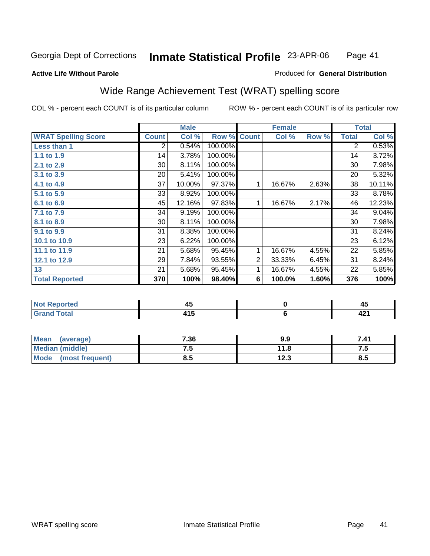#### **Active Life Without Parole**

#### Produced for **General Distribution**

## Wide Range Achievement Test (WRAT) spelling score

|                            |              | <b>Male</b> |                    |   | <b>Female</b> |       |              | <b>Total</b> |
|----------------------------|--------------|-------------|--------------------|---|---------------|-------|--------------|--------------|
| <b>WRAT Spelling Score</b> | <b>Count</b> | Col %       | <b>Row % Count</b> |   | Col %         | Row % | <b>Total</b> | Col %        |
| Less than 1                | 2            | 0.54%       | 100.00%            |   |               |       | 2            | 0.53%        |
| 1.1 to 1.9                 | 14           | 3.78%       | 100.00%            |   |               |       | 14           | 3.72%        |
| 2.1 to 2.9                 | 30           | 8.11%       | 100.00%            |   |               |       | 30           | 7.98%        |
| 3.1 to 3.9                 | 20           | 5.41%       | 100.00%            |   |               |       | 20           | 5.32%        |
| 4.1 to 4.9                 | 37           | 10.00%      | 97.37%             | 1 | 16.67%        | 2.63% | 38           | 10.11%       |
| 5.1 to 5.9                 | 33           | 8.92%       | 100.00%            |   |               |       | 33           | 8.78%        |
| 6.1 to 6.9                 | 45           | 12.16%      | 97.83%             | 1 | 16.67%        | 2.17% | 46           | 12.23%       |
| 7.1 to 7.9                 | 34           | 9.19%       | 100.00%            |   |               |       | 34           | 9.04%        |
| 8.1 to 8.9                 | 30           | 8.11%       | 100.00%            |   |               |       | 30           | 7.98%        |
| 9.1 to 9.9                 | 31           | 8.38%       | 100.00%            |   |               |       | 31           | 8.24%        |
| 10.1 to 10.9               | 23           | 6.22%       | 100.00%            |   |               |       | 23           | 6.12%        |
| 11.1 to 11.9               | 21           | 5.68%       | 95.45%             | 1 | 16.67%        | 4.55% | 22           | 5.85%        |
| 12.1 to 12.9               | 29           | 7.84%       | 93.55%             | 2 | 33.33%        | 6.45% | 31           | 8.24%        |
| 13                         | 21           | 5.68%       | 95.45%             | 1 | 16.67%        | 4.55% | 22           | 5.85%        |
| <b>Total Reported</b>      | 370          | 100%        | 98.40%             | 6 | 100.0%        | 1.60% | 376          | 100%         |
|                            |              |             |                    |   |               |       |              |              |
| <b>Not Reported</b>        |              | 45          |                    |   | 0             |       |              | 45           |
| <b>Grand Total</b>         |              | 415         |                    |   | 6             |       |              | 421          |

| <b>Mean</b><br>(average)       | 7.36 | 9.9          | 7.41 |
|--------------------------------|------|--------------|------|
| <b>Median (middle)</b>         | ن. ا | 11.8         | ن. ا |
| <b>Mode</b><br>(most frequent) | ၓ.๖  | 122<br>د.ء ا | 8.5  |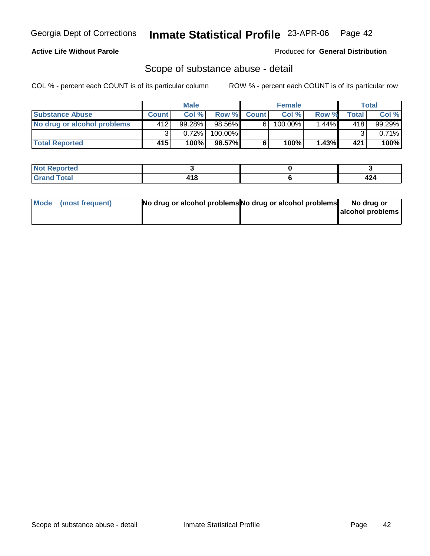#### **Active Life Without Parole**

Produced for **General Distribution**

### Scope of substance abuse - detail

|                             |       | <b>Male</b> |           |              | <b>Female</b> |         |       | <b>Total</b> |
|-----------------------------|-------|-------------|-----------|--------------|---------------|---------|-------|--------------|
| <b>Substance Abuse</b>      | Count | Col%        | Row %     | <b>Count</b> | Col%          | Row %   | Total | Col %        |
| No drug or alcohol problems | 412   | 99.28%      | $98.56\%$ | 6'           | $100.00\%$    | $.44\%$ | 418   | $99.29\%$    |
|                             | ◠     | $0.72\%$    | 100.00%   |              |               |         | ົ     | $0.71\%$     |
| <b>Total Reported</b>       | 415'  | 100%        | 98.57%    |              | 100%          | 1.43%   | 421   | 100%         |

| <b>Not</b><br>Reported |            |     |
|------------------------|------------|-----|
| <b>Total</b>           | <u>л с</u> | - - |
| Grand                  | - 10       |     |

| Mode (most frequent) | No drug or alcohol problems No drug or alcohol problems | No drug or       |
|----------------------|---------------------------------------------------------|------------------|
|                      |                                                         | alcohol problems |
|                      |                                                         |                  |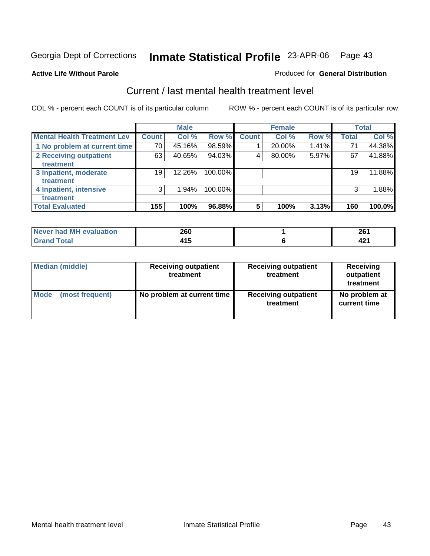#### **Active Life Without Parole**

#### Produced for **General Distribution**

### Current / last mental health treatment level

|                                    |              | <b>Male</b> |         |                 | <b>Female</b> |       |              | <b>Total</b> |
|------------------------------------|--------------|-------------|---------|-----------------|---------------|-------|--------------|--------------|
| <b>Mental Health Treatment Lev</b> | <b>Count</b> | Col %       | Row %   | <b>Count</b>    | Col %         | Row % | <b>Total</b> | Col %        |
| 1 No problem at current time       | 70           | 45.16%      | 98.59%  |                 | 20.00%        | 1.41% | 71           | 44.38%       |
| 2 Receiving outpatient             | 63           | 40.65%      | 94.03%  | 4               | 80.00%        | 5.97% | 67           | 41.88%       |
| treatment                          |              |             |         |                 |               |       |              |              |
| 3 Inpatient, moderate              | 19           | 12.26%      | 100.00% |                 |               |       | 19           | 11.88%       |
| treatment                          |              |             |         |                 |               |       |              |              |
| 4 Inpatient, intensive             | 3            | 1.94%       | 100.00% |                 |               |       | 3            | 1.88%        |
| treatment                          |              |             |         |                 |               |       |              |              |
| <b>Total Evaluated</b>             | 155          | 100%        | 96.88%  | $5\phantom{.0}$ | 100%          | 3.13% | 160          | 100.0%       |

| Never had MH evaluation | 260  | ne,<br>ZU        |
|-------------------------|------|------------------|
| Total                   | - 15 | <b>10.</b><br>-6 |

| <b>Median (middle)</b> | <b>Receiving outpatient</b><br>treatment | <b>Receiving outpatient</b><br>treatment | <b>Receiving</b><br>outpatient<br>treatment |
|------------------------|------------------------------------------|------------------------------------------|---------------------------------------------|
| <b>Mode</b>            | No problem at current time               | <b>Receiving outpatient</b>              | No problem at                               |
| (most frequent)        |                                          | treatment                                | current time                                |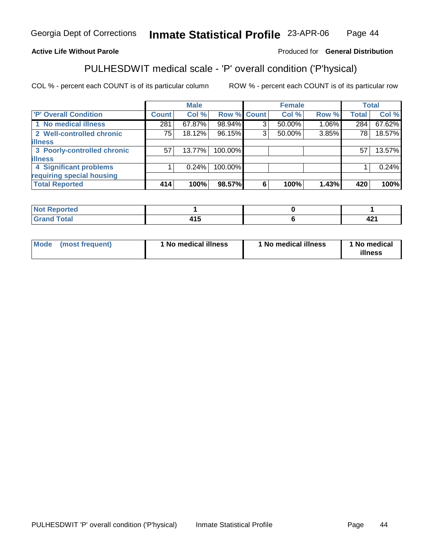### **Active Life Without Parole**

#### Produced for **General Distribution**

## PULHESDWIT medical scale - 'P' overall condition ('P'hysical)

|                             |              | <b>Male</b> |         |             | <b>Female</b> |       |              | <b>Total</b> |
|-----------------------------|--------------|-------------|---------|-------------|---------------|-------|--------------|--------------|
| <b>P' Overall Condition</b> | <b>Count</b> | Col %       |         | Row % Count | Col %         | Row % | <b>Total</b> | Col %        |
| 1 No medical illness        | 281          | 67.87%      | 98.94%  | 3           | 50.00%        | 1.06% | 284          | 67.62%       |
| 2 Well-controlled chronic   | 75           | 18.12%      | 96.15%  | ົ           | 50.00%        | 3.85% | 78           | 18.57%       |
| <b>illness</b>              |              |             |         |             |               |       |              |              |
| 3 Poorly-controlled chronic | 57           | $13.77\%$   | 100.00% |             |               |       | 57           | 13.57%       |
| <b>illness</b>              |              |             |         |             |               |       |              |              |
| 4 Significant problems      |              | 0.24%       | 100.00% |             |               |       |              | 0.24%        |
| requiring special housing   |              |             |         |             |               |       |              |              |
| <b>Total Reported</b>       | 414          | 100%        | 98.57%  | 6           | 100%          | 1.43% | 420          | 100%         |

| $\sqrt{\frac{1}{n}}$ Not $n_{\infty}$<br>τeα<br><b>KEDO</b> |     |              |
|-------------------------------------------------------------|-----|--------------|
| $T = 4$                                                     | . . | 10 A<br>44 L |

| Mode | (most frequent) | 1 No medical illness | <sup>1</sup> No medical illness | 1 No medical<br>illness |
|------|-----------------|----------------------|---------------------------------|-------------------------|
|------|-----------------|----------------------|---------------------------------|-------------------------|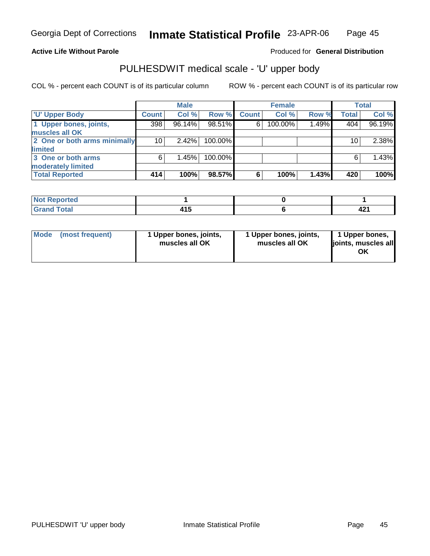#### **Active Life Without Parole**

Produced for **General Distribution**

### PULHESDWIT medical scale - 'U' upper body

|                              |              | <b>Male</b> |         |              | <b>Female</b> |       |              | <b>Total</b> |
|------------------------------|--------------|-------------|---------|--------------|---------------|-------|--------------|--------------|
| <b>U' Upper Body</b>         | <b>Count</b> | Col %       | Row %   | <b>Count</b> | Col %         | Row % | <b>Total</b> | Col %        |
| 1 Upper bones, joints,       | 398          | 96.14%      | 98.51%  | 6            | 100.00%       | 1.49% | 404          | 96.19%       |
| muscles all OK               |              |             |         |              |               |       |              |              |
| 2 One or both arms minimally | 10           | 2.42%       | 100.00% |              |               |       | 10           | 2.38%        |
| limited                      |              |             |         |              |               |       |              |              |
| 3 One or both arms           | 6            | 1.45%       | 100.00% |              |               |       | 6            | 1.43%        |
| moderately limited           |              |             |         |              |               |       |              |              |
| <b>Total Reported</b>        | 414          | 100%        | 98.57%  | 6            | 100%          | 1.43% | 420          | 100%         |

| <b>Continued in the Continued Inc.</b><br>keported<br>NOT.<br>$\cdots$ |  |      |
|------------------------------------------------------------------------|--|------|
| $F \cap f \cap f'$                                                     |  | 74 I |

| l Mode I | (most frequent) | 1 Upper bones, joints,<br>muscles all OK | 1 Upper bones, joints,<br>muscles all OK | 1 Upper bones,<br>joints, muscles all<br>ΟK |
|----------|-----------------|------------------------------------------|------------------------------------------|---------------------------------------------|
|----------|-----------------|------------------------------------------|------------------------------------------|---------------------------------------------|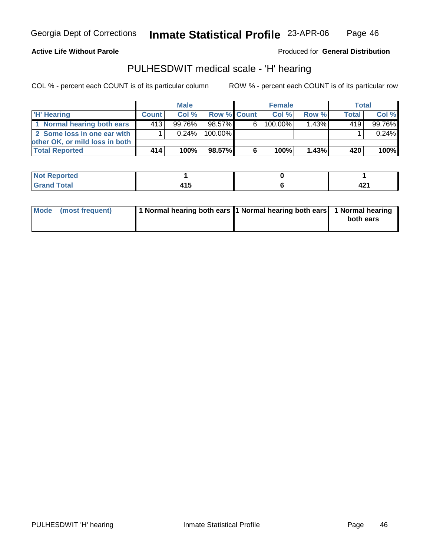**Active Life Without Parole** 

Produced for **General Distribution**

### PULHESDWIT medical scale - 'H' hearing

|                                |              | <b>Male</b> |                    |    | <b>Female</b> |          | <b>Total</b> |        |
|--------------------------------|--------------|-------------|--------------------|----|---------------|----------|--------------|--------|
| 'H' Hearing                    | <b>Count</b> | Col%        | <b>Row % Count</b> |    | Col%          | Row %    | Total        | Col %  |
| 1 Normal hearing both ears     | 4131         | $99.76\%$   | 98.57%             | 6. | 100.00%       | $1.43\%$ | 419          | 99.76% |
| 2 Some loss in one ear with    |              | $0.24\%$    | 100.00%            |    |               |          |              | 0.24%  |
| other OK, or mild loss in both |              |             |                    |    |               |          |              |        |
| <b>Total Reported</b>          | 414          | 100%        | 98.57%             |    | 100%          | 1.43%    | 420          | 100%   |

| N<br>.    |                         |            |
|-----------|-------------------------|------------|
| $\sim$ 40 | - - -<br>- 1 J<br>_____ | ໍ່<br>74 L |

| Mode (most frequent) | 1 Normal hearing both ears 1 Normal hearing both ears 1 Normal hearing | both ears |
|----------------------|------------------------------------------------------------------------|-----------|
|                      |                                                                        |           |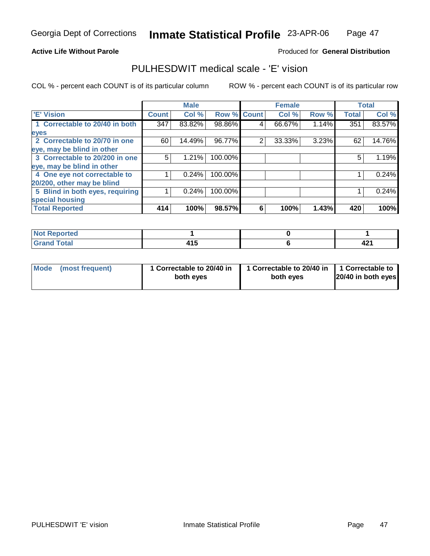#### **Active Life Without Parole**

#### Produced for **General Distribution**

### PULHESDWIT medical scale - 'E' vision

|                                 |              | <b>Male</b> |             |   | <b>Female</b> |       |              | <b>Total</b> |
|---------------------------------|--------------|-------------|-------------|---|---------------|-------|--------------|--------------|
| <b>E' Vision</b>                | <b>Count</b> | Col %       | Row % Count |   | Col %         | Row % | <b>Total</b> | Col %        |
| 1 Correctable to 20/40 in both  | 347          | 83.82%      | 98.86%      | 4 | 66.67%        | 1.14% | 351          | 83.57%       |
| eyes                            |              |             |             |   |               |       |              |              |
| 2 Correctable to 20/70 in one   | 60           | 14.49%      | 96.77%      | 2 | 33.33%        | 3.23% | 62           | 14.76%       |
| eye, may be blind in other      |              |             |             |   |               |       |              |              |
| 3 Correctable to 20/200 in one  | 5            | 1.21%       | 100.00%     |   |               |       | 5            | 1.19%        |
| eye, may be blind in other      |              |             |             |   |               |       |              |              |
| 4 One eye not correctable to    |              | 0.24%       | 100.00%     |   |               |       |              | 0.24%        |
| 20/200, other may be blind      |              |             |             |   |               |       |              |              |
| 5 Blind in both eyes, requiring |              | 0.24%       | 100.00%     |   |               |       |              | 0.24%        |
| special housing                 |              |             |             |   |               |       |              |              |
| <b>Total Reported</b>           | 414          | 100%        | 98.57%      | 6 | 100%          | 1.43% | 420          | 100%         |

| <b>Not Reported</b> |           |      |
|---------------------|-----------|------|
| <b>Grand Total</b>  | .<br>טו ד | 74 I |

| Mode (most frequent) | 1 Correctable to 20/40 in<br>both eyes | 1 Correctable to 20/40 in   1 Correctable to<br>both eves | 20/40 in both eyes |
|----------------------|----------------------------------------|-----------------------------------------------------------|--------------------|
|----------------------|----------------------------------------|-----------------------------------------------------------|--------------------|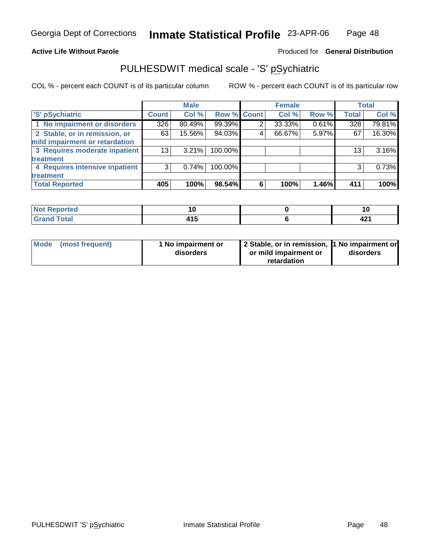#### **Active Life Without Parole**

#### Produced for **General Distribution**

### PULHESDWIT medical scale - 'S' pSychiatric

|                                |              | <b>Male</b> |             |   | <b>Female</b> |       |              | <b>Total</b> |
|--------------------------------|--------------|-------------|-------------|---|---------------|-------|--------------|--------------|
| 'S' pSychiatric                | <b>Count</b> | Col %       | Row % Count |   | Col %         | Row % | <b>Total</b> | Col %        |
| 1 No impairment or disorders   | 326          | 80.49%      | 99.39%      |   | 33.33%        | 0.61% | 328          | 79.81%       |
| 2 Stable, or in remission, or  | 63           | 15.56%      | 94.03%      | 4 | 66.67%        | 5.97% | 67           | 16.30%       |
| mild impairment or retardation |              |             |             |   |               |       |              |              |
| 3 Requires moderate inpatient  | 13           | $3.21\%$    | 100.00%     |   |               |       | 13           | 3.16%        |
| treatment                      |              |             |             |   |               |       |              |              |
| 4 Requires intensive inpatient | 3            | 0.74%       | 100.00%     |   |               |       | 3            | 0.73%        |
| treatment                      |              |             |             |   |               |       |              |              |
| <b>Total Reported</b>          | 405          | 100%        | 98.54%      | 6 | 100%          | 1.46% | 411          | 100%         |

| <b>Not Reported</b>         |               | יי          |
|-----------------------------|---------------|-------------|
| <b>Grand Total</b><br>Grand | 14 F<br>. . J | 10.<br>74 I |

| Mode (most frequent) | 1 No impairment or<br>disorders | 2 Stable, or in remission, 1 No impairment or<br>or mild impairment or | disorders |  |
|----------------------|---------------------------------|------------------------------------------------------------------------|-----------|--|
|                      |                                 | retardation                                                            |           |  |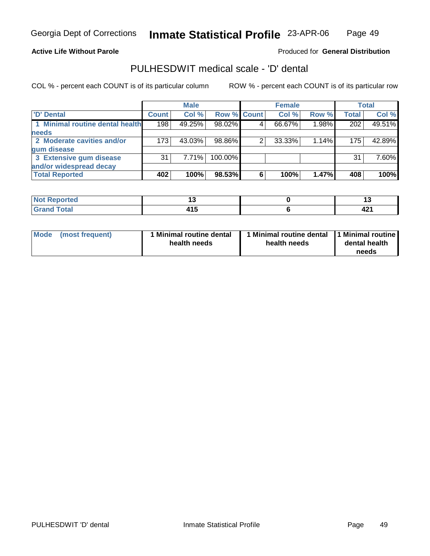#### **Active Life Without Parole**

### Produced for **General Distribution**

### PULHESDWIT medical scale - 'D' dental

|                                 |              | <b>Male</b> |             |   | <b>Female</b> |       |              | Total  |
|---------------------------------|--------------|-------------|-------------|---|---------------|-------|--------------|--------|
| <b>D'</b> Dental                | <b>Count</b> | Col %       | Row % Count |   | Col %         | Row % | <b>Total</b> | Col %  |
| 1 Minimal routine dental health | 198          | 49.25%      | 98.02%      |   | 66.67%        | 1.98% | 202          | 49.51% |
| <b>needs</b>                    |              |             |             |   |               |       |              |        |
| 2 Moderate cavities and/or      | 173          | 43.03%      | 98.86%      |   | 33.33%        | 1.14% | 175          | 42.89% |
| gum disease                     |              |             |             |   |               |       |              |        |
| 3 Extensive gum disease         | 31           | $7.71\%$    | 100.00%     |   |               |       | 31           | 7.60%  |
| and/or widespread decay         |              |             |             |   |               |       |              |        |
| <b>Total Reported</b>           | 402          | 100%        | 98.53%      | 6 | 100%          | 1.47% | 408          | 100%   |

| N                                                 | . .<br>$-$          |                   |
|---------------------------------------------------|---------------------|-------------------|
| $f = 4 \pi$<br>$\sim$ $\sim$ $\sim$ $\sim$ $\sim$ | . .<br>. וי<br>$ -$ | - -<br>ъ.<br>44 L |

| <b>Mode</b><br>(most frequent) | 1 Minimal routine dental<br>health needs | health needs | Minimal routine dental 1 Minimal routine<br>dental health<br>needs |
|--------------------------------|------------------------------------------|--------------|--------------------------------------------------------------------|
|--------------------------------|------------------------------------------|--------------|--------------------------------------------------------------------|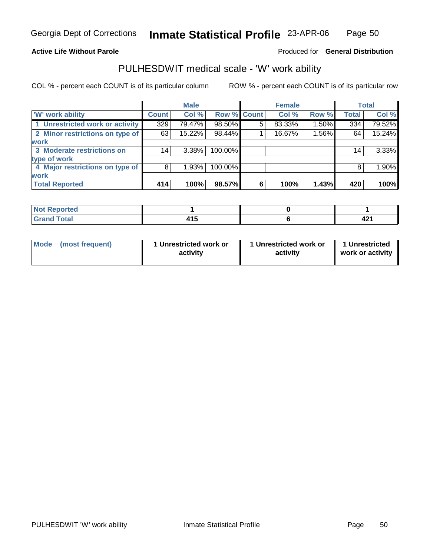#### **Active Life Without Parole**

#### Produced for **General Distribution**

### PULHESDWIT medical scale - 'W' work ability

|                                 |              | <b>Male</b> |                    |   | <b>Female</b> |       |                 | Total  |
|---------------------------------|--------------|-------------|--------------------|---|---------------|-------|-----------------|--------|
| <b>W' work ability</b>          | <b>Count</b> | Col %       | <b>Row % Count</b> |   | Col %         | Row % | <b>Total</b>    | Col %  |
| 1 Unrestricted work or activity | 329          | 79.47%      | 98.50%             | 5 | 83.33%        | 1.50% | 334             | 79.52% |
| 2 Minor restrictions on type of | 63           | 15.22%      | 98.44%             |   | 16.67%        | 1.56% | 64              | 15.24% |
| <b>work</b>                     |              |             |                    |   |               |       |                 |        |
| 3 Moderate restrictions on      | 14           | $3.38\%$    | 100.00%            |   |               |       | 14 <sub>1</sub> | 3.33%  |
| type of work                    |              |             |                    |   |               |       |                 |        |
| 4 Major restrictions on type of | 8            | 1.93%       | 100.00%            |   |               |       | 8               | 1.90%  |
| <b>work</b>                     |              |             |                    |   |               |       |                 |        |
| <b>Total Reported</b>           | 414          | 100%        | 98.57%             | 6 | 100%          | 1.43% | 420             | 100%   |

| <b>Not Reported</b> |       |      |
|---------------------|-------|------|
| <b>Grand Total</b>  | .     | 104  |
| Grand               | 4 I J | 94 L |

| <b>Mode</b><br>1 Unrestricted work or<br>1 Unrestricted work or<br>(most frequent)<br>activity<br>activity | 1 Unrestricted<br>work or activity |
|------------------------------------------------------------------------------------------------------------|------------------------------------|
|------------------------------------------------------------------------------------------------------------|------------------------------------|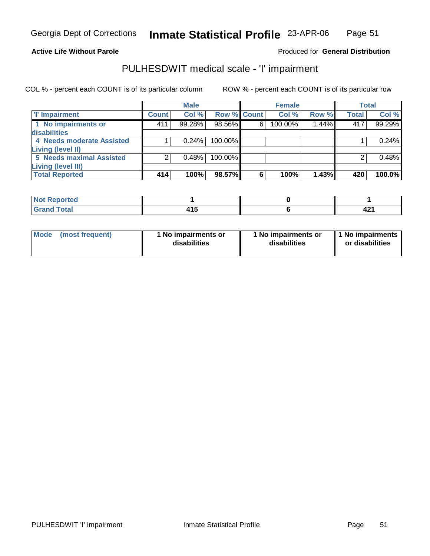#### **Active Life Without Parole**

### Produced for **General Distribution**

### PULHESDWIT medical scale - 'I' impairment

|                                 |              | <b>Male</b> |                    |   | <b>Female</b> |       |              | <b>Total</b> |
|---------------------------------|--------------|-------------|--------------------|---|---------------|-------|--------------|--------------|
| <b>T' Impairment</b>            | <b>Count</b> | Col %       | <b>Row % Count</b> |   | Col %         | Row % | <b>Total</b> | Col%         |
| 1 No impairments or             | 411          | 99.28%      | 98.56%             | 6 | 100.00%       | 1.44% | 417          | 99.29%       |
| disabilities                    |              |             |                    |   |               |       |              |              |
| 4 Needs moderate Assisted       |              | 0.24%       | $100.00\%$         |   |               |       |              | 0.24%        |
| <b>Living (level II)</b>        |              |             |                    |   |               |       |              |              |
| <b>5 Needs maximal Assisted</b> |              | 0.48%       | 100.00%            |   |               |       |              | 0.48%        |
| Living (level III)              |              |             |                    |   |               |       |              |              |
| <b>Total Reported</b>           | 414          | 100%        | 98.57%             | 6 | 100%          | 1.43% | 420          | 100.0%       |

| <b>rted</b><br><b>NI</b> |            |             |
|--------------------------|------------|-------------|
| <b>Total</b>             | .<br>7 I J | 10.<br>74 L |

| Mode            | l No impairments or | 1 No impairments or | 1 1 No impairments |
|-----------------|---------------------|---------------------|--------------------|
| (most frequent) | disabilities        | disabilities        | or disabilities    |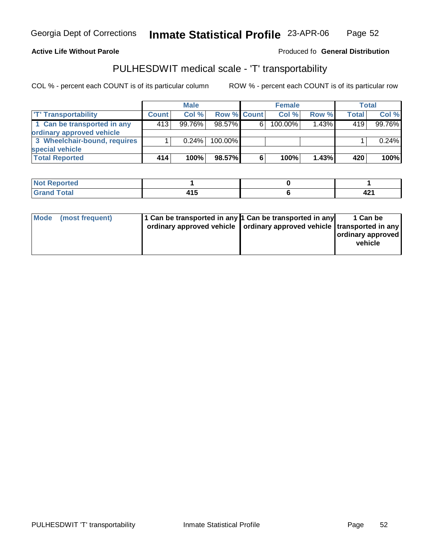Georgia Dept of Corrections

**Inmate Statistical Profile** 23-APR-06 Page Page 52

**Active Life Without Parole Produced fo Seneral Distribution** 

### PULHESDWIT medical scale - 'T' transportability

|                              |              | <b>Male</b> |                    |    | <b>Female</b> |          |              | Total  |
|------------------------------|--------------|-------------|--------------------|----|---------------|----------|--------------|--------|
| <b>T' Transportability</b>   | <b>Count</b> | Col %       | <b>Row % Count</b> |    | Col %         | Row %    | <b>Total</b> | Col %  |
| 1 Can be transported in any  | 413          | $99.76\%$   | $98.57\%$          | 6. | 100.00%       | $1.43\%$ | 419          | 99.76% |
| ordinary approved vehicle    |              |             |                    |    |               |          |              |        |
| 3 Wheelchair-bound, requires |              | 0.24%       | $100.00\%$         |    |               |          |              | 0.24%  |
| special vehicle              |              |             |                    |    |               |          |              |        |
| <b>Total Reported</b>        | 414          | 100%        | 98.57%             | 6  | 100%          | 1.43%    | 420          | 100%   |

| المتألف المستقصر المتعاقب<br>ortea<br>' NOT<br>Renc |                |             |
|-----------------------------------------------------|----------------|-------------|
| <b>Total</b><br>Cror                                | 4 A C<br>4 I J | 10.<br>74 I |

| Mode | (most frequent) | 1 Can be transported in any 1 Can be transported in any<br>ordinary approved vehicle   ordinary approved vehicle   transported in any | 1 Can be<br>ordinary approved<br>vehicle |
|------|-----------------|---------------------------------------------------------------------------------------------------------------------------------------|------------------------------------------|
|      |                 |                                                                                                                                       |                                          |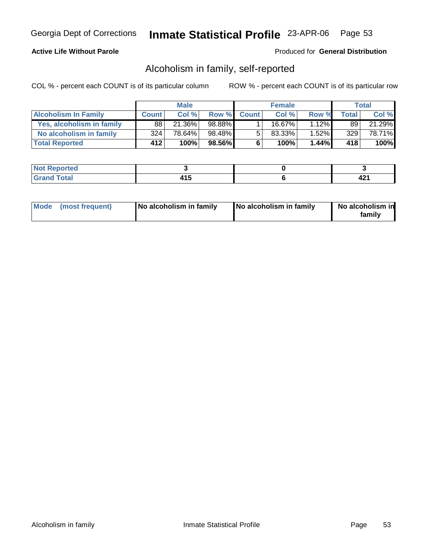### **Active Life Without Parole**

#### Produced for **General Distribution**

### Alcoholism in family, self-reported

|                             |              | <b>Male</b> |        |             | <b>Female</b> |       |              | Total  |
|-----------------------------|--------------|-------------|--------|-------------|---------------|-------|--------------|--------|
| <b>Alcoholism In Family</b> | <b>Count</b> | Col %       |        | Row % Count | Col %         | Row % | <b>Total</b> | Col %  |
| Yes, alcoholism in family   | 88           | 21.36%      | 98.88% |             | 16.67%        | 1.12% | 89           | 21.29% |
| No alcoholism in family     | 324          | 78.64%      | 98.48% | -51         | 83.33%        | 1.52% | 329          | 78.71% |
| <b>Total Reported</b>       | 412          | 100%        | 98.56% | 6           | 100%          | 1.44% | 418          | 100%   |

| oorted<br><b>NOT</b>           |        |      |
|--------------------------------|--------|------|
| <b>Total</b><br>Gran<br>$\sim$ | $\sim$ | 74 I |

| Mode (most frequent)<br>No alcoholism in family | <b>No alcoholism in family</b> | No alcoholism in<br>familv |
|-------------------------------------------------|--------------------------------|----------------------------|
|-------------------------------------------------|--------------------------------|----------------------------|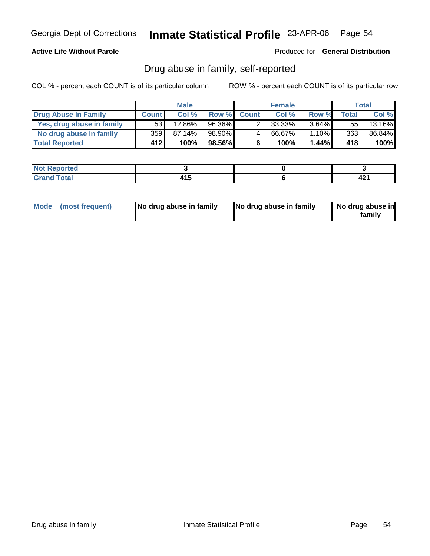### **Active Life Without Parole**

Produced for **General Distribution**

### Drug abuse in family, self-reported

|                           |              | <b>Male</b> |        |              | <b>Female</b> |          |              | Total  |
|---------------------------|--------------|-------------|--------|--------------|---------------|----------|--------------|--------|
| Drug Abuse In Family      | <b>Count</b> | Col %       | Row %  | <b>Count</b> | Col %         | Row %    | <b>Total</b> | Col %  |
| Yes, drug abuse in family | 53           | 12.86%      | 96.36% |              | 33.33%        | $3.64\%$ | 55           | 13.16% |
| No drug abuse in family   | 359          | 87.14%      | 98.90% | 4            | 66.67%        | 1.10%    | 363          | 86.84% |
| <b>Total Reported</b>     | 412          | 100%        | 98.56% | 6            | 100%          | $1.44\%$ | 418          | 100%   |

| د د کې<br>rteo                 |                   |            |
|--------------------------------|-------------------|------------|
| المفمار<br><b>TULAI</b><br>$-$ | --<br>.<br>$\sim$ | <b>TAI</b> |

| Mode (most frequent) |  | No drug abuse in family | No drug abuse in family | No drug abuse in<br>familv |
|----------------------|--|-------------------------|-------------------------|----------------------------|
|----------------------|--|-------------------------|-------------------------|----------------------------|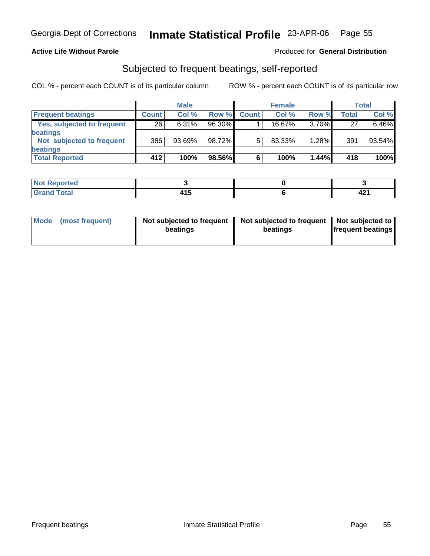### **Active Life Without Parole**

#### Produced for **General Distribution**

### Subjected to frequent beatings, self-reported

|                            |              | <b>Male</b> |        |              | <b>Female</b> |          |              | <b>Total</b> |
|----------------------------|--------------|-------------|--------|--------------|---------------|----------|--------------|--------------|
| <b>Frequent beatings</b>   | <b>Count</b> | Col%        | Row %  | <b>Count</b> | Col%          | Row %    | <b>Total</b> | Col %        |
| Yes, subjected to frequent | 26           | $6.31\%$    | 96.30% |              | 16.67%        | 3.70%    | 27           | 6.46%        |
| beatings                   |              |             |        |              |               |          |              |              |
| Not subjected to frequent  | 386          | 93.69%      | 98.72% | 5            | 83.33%        | $1.28\%$ | 391          | 93.54%       |
| beatings                   |              |             |        |              |               |          |              |              |
| <b>Total Reported</b>      | 412          | 100%        | 98.56% | 6            | 100%          | 1.44%    | 418          | $100\%$      |

| <b>Not Reported</b><br>$\cdots$ |            |      |
|---------------------------------|------------|------|
| <b>Total</b><br>Croi            | . .<br>. . | 74 I |

| Mode (most frequent) | Not subjected to frequent<br>beatings | Not subjected to frequent   Not subjected to  <br>beatings | <b>frequent beatings</b> |
|----------------------|---------------------------------------|------------------------------------------------------------|--------------------------|
|                      |                                       |                                                            |                          |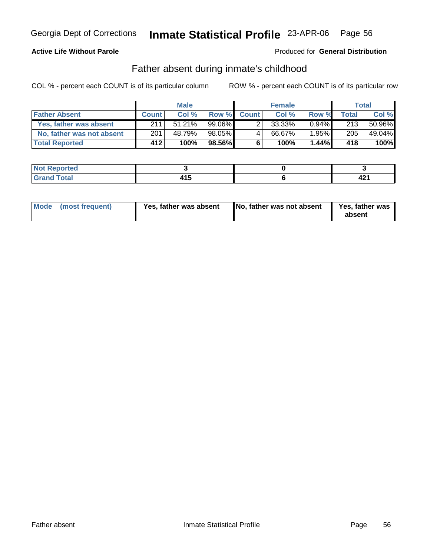### **Active Life Without Parole**

Produced for **General Distribution**

### Father absent during inmate's childhood

|                           |              | <b>Male</b> |        |             | <b>Female</b> |          |       | Total  |
|---------------------------|--------------|-------------|--------|-------------|---------------|----------|-------|--------|
| <b>Father Absent</b>      | <b>Count</b> | Col %       |        | Row % Count | Col %         | Row %    | Total | Col %  |
| Yes, father was absent    | 211          | $51.21\%$   | 99.06% |             | 33.33%        | $0.94\%$ | 213   | 50.96% |
| No, father was not absent | 201          | 48.79%      | 98.05% | 4           | 66.67%        | 1.95%    | 205   | 49.04% |
| <b>Total Reported</b>     | 412          | 100%        | 98.56% | 6           | 100%          | 1.44%    | 418'  | 100%   |

| د د کې<br>rteo                 |                   |            |
|--------------------------------|-------------------|------------|
| المفمار<br><b>TULAI</b><br>$-$ | --<br>.<br>$\sim$ | <b>TAI</b> |

| Mode (most frequent)<br>Yes, father was absent | No, father was not absent | <b>Yes, father was</b><br>absent |
|------------------------------------------------|---------------------------|----------------------------------|
|------------------------------------------------|---------------------------|----------------------------------|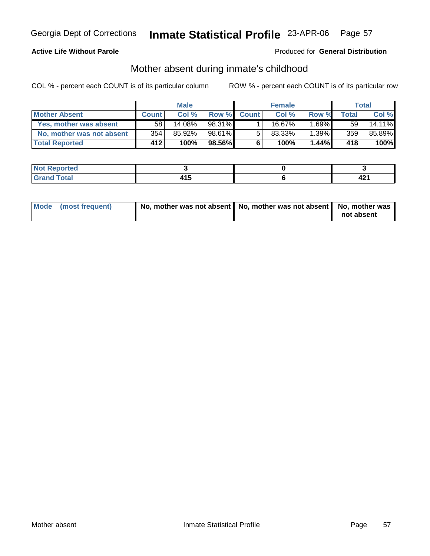### **Active Life Without Parole**

#### Produced for **General Distribution**

### Mother absent during inmate's childhood

|                           |              | <b>Male</b> |        |              | <b>Female</b>         |          |                 | Total  |
|---------------------------|--------------|-------------|--------|--------------|-----------------------|----------|-----------------|--------|
| <b>Mother Absent</b>      | <b>Count</b> | Col%        | Row %  | <b>Count</b> | Col %                 | Row %    | <b>Total</b>    | Col %  |
| Yes, mother was absent    | 58           | 14.08%      | 98.31% |              | 16.67 $\overline{\%}$ | $1.69\%$ | 59 <sub>1</sub> | 14.11% |
| No, mother was not absent | 354          | 85.92%      | 98.61% | 5            | 83.33%                | 1.39%    | 359             | 85.89% |
| <b>Total Reported</b>     | 412          | 100%        | 98.56% | 6            | 100%                  | 1.44%    | 418'            | 100%   |

| <b>Not Reported</b> |                    |            |
|---------------------|--------------------|------------|
| $C = 4$             | .<br>$\sim$ $\sim$ | <b>TAI</b> |

| Mode (most frequent) | No, mother was not absent   No, mother was not absent   No, mother was |            |
|----------------------|------------------------------------------------------------------------|------------|
|                      |                                                                        | not absent |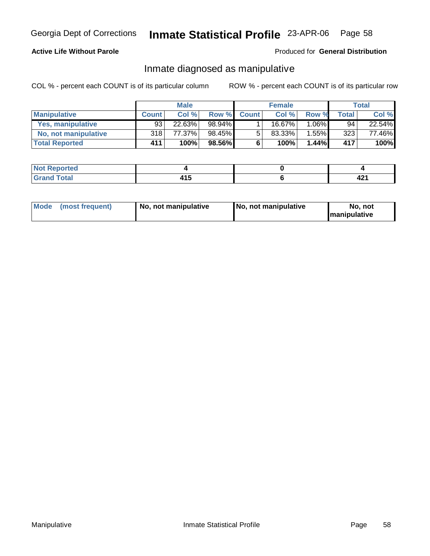### **Active Life Without Parole**

#### Produced for **General Distribution**

### Inmate diagnosed as manipulative

|                          |              | <b>Male</b> |        |              | <b>Female</b> |          |       | Total  |
|--------------------------|--------------|-------------|--------|--------------|---------------|----------|-------|--------|
| <b>Manipulative</b>      | <b>Count</b> | Col %       | Row %  | <b>Count</b> | Col %         | Row %    | Total | Col %  |
| <b>Yes, manipulative</b> | 93           | 22.63%      | 98.94% |              | 16.67%।       | 1.06%    | 94    | 22.54% |
| No, not manipulative     | 318          | 77.37%      | 98.45% | 5            | 83.33%        | $1.55\%$ | 323   | 77.46% |
| <b>Total Reported</b>    | 411          | 100%        | 98.56% | 6            | 100%          | $1.44\%$ | 417   | 100%   |

| rreo                                                     |             |             |
|----------------------------------------------------------|-------------|-------------|
| $\mathcal{L}$ and $\mathcal{L}$<br>$\sim$<br>$- \cdot -$ | .<br>$\sim$ | 40.<br>74 I |

| <b>Mode</b><br>(most frequent)<br>  No. not manipulative | No, not manipulative | No, not<br><b>Imanipulative</b> |
|----------------------------------------------------------|----------------------|---------------------------------|
|----------------------------------------------------------|----------------------|---------------------------------|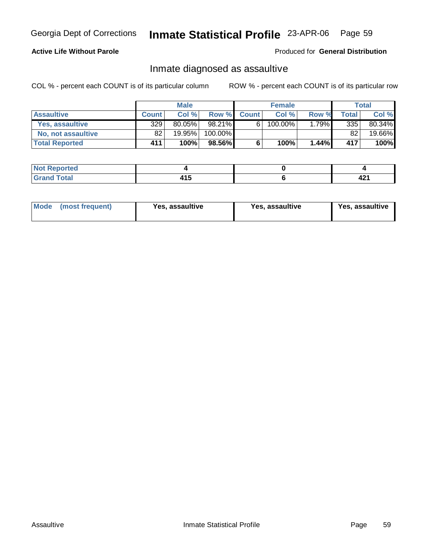### **Active Life Without Parole**

#### Produced for **General Distribution**

### Inmate diagnosed as assaultive

|                       |       | <b>Male</b> |          |              | <b>Female</b> |          |       | Total  |
|-----------------------|-------|-------------|----------|--------------|---------------|----------|-------|--------|
| <b>Assaultive</b>     | Count | Col%        | Row %    | <b>Count</b> | Col%          | Row %    | Total | Col %  |
| Yes. assaultive       | 329   | $80.05\%$   | 98.21% ∎ | 6            | 100.00%       | $1.79\%$ | 335   | 80.34% |
| No, not assaultive    | 82    | 19.95%      | 100.00%  |              |               |          | 82    | 19.66% |
| <b>Total Reported</b> | 411   | 100%        | 98.56%   | 6            | 100%          | 1.44%    | 417   | 100%   |

| Reported<br><b>NOT</b> |            |      |
|------------------------|------------|------|
| $T \cap f \cap f$      | . .<br>ں ا | 74 L |

| <b>Mode</b><br>Yes. assaultive<br>(most frequent) | Yes, assaultive | Yes, assaultive |
|---------------------------------------------------|-----------------|-----------------|
|---------------------------------------------------|-----------------|-----------------|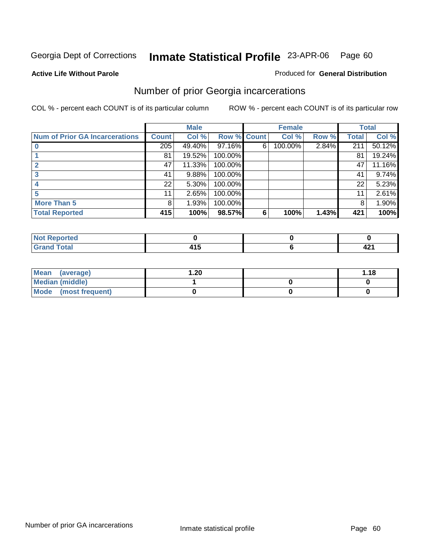#### **Active Life Without Parole**

#### Produced for **General Distribution**

### Number of prior Georgia incarcerations

|                                       |                  | <b>Male</b> |                    |   | <b>Female</b> |       |       | <b>Total</b> |
|---------------------------------------|------------------|-------------|--------------------|---|---------------|-------|-------|--------------|
| <b>Num of Prior GA Incarcerations</b> | <b>Count</b>     | Col %       | <b>Row % Count</b> |   | Col %         | Row % | Total | Col %        |
|                                       | $\overline{205}$ | 49.40%      | $97.16\%$          | 6 | 100.00%       | 2.84% | 211   | 50.12%       |
|                                       | 81               | 19.52%      | 100.00%            |   |               |       | 81    | 19.24%       |
|                                       | 47               | 11.33%      | 100.00%            |   |               |       | 47    | 11.16%       |
|                                       | 41               | 9.88%       | 100.00%            |   |               |       | 41    | 9.74%        |
|                                       | 22               | 5.30%       | 100.00%            |   |               |       | 22    | 5.23%        |
|                                       | 11               | 2.65%       | 100.00%            |   |               |       | 11    | 2.61%        |
| <b>More Than 5</b>                    | 8                | 1.93%       | 100.00%            |   |               |       | 8     | 1.90%        |
| <b>Total Reported</b>                 | 415              | 100%        | 98.57%             | 6 | 100%          | 1.43% | 421   | 100%         |

| --<br>. .<br>- |              |      |
|----------------|--------------|------|
| ______         | - -<br>_____ | 74 I |

| Mean (average)       | 20. ا | 1.18 |
|----------------------|-------|------|
| Median (middle)      |       |      |
| Mode (most frequent) |       |      |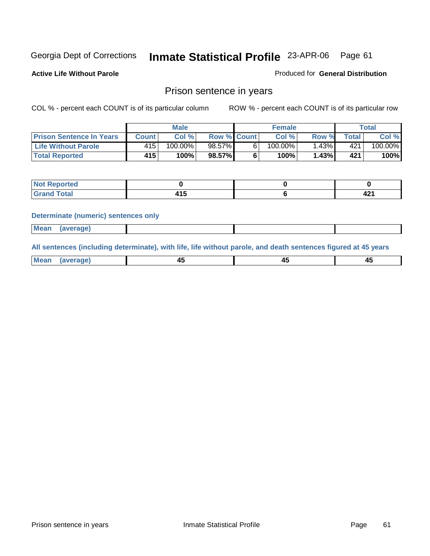Produced for **General Distribution**

**Active Life Without Parole** 

### Prison sentence in years

COL % - percent each COUNT is of its particular column ROW % - percent each COUNT is of its particular row

|                                 |                  | <b>Male</b> |                    | <b>Female</b> |       |       | $\tau$ otal |
|---------------------------------|------------------|-------------|--------------------|---------------|-------|-------|-------------|
| <b>Prison Sentence In Years</b> | <b>Count</b>     | Col %       | <b>Row % Count</b> | Col %         | Row % | Total | Col %       |
| <b>Life Without Parole</b>      | 415 <sup>1</sup> | $100.00\%$  | $98.57\%$          | $100.00\%$    | .43%  | 421   | 100.00%     |
| <b>Total Reported</b>           | 415              | 100%        | 98.57%             | 100%          | 1.43% | 421   | 100%        |

| ಿ∩rtea                 |     |             |
|------------------------|-----|-------------|
| <b>Total</b><br>$\sim$ | . . | 40.<br>74 I |

#### **Determinate (numeric) sentences only**

| Mean<br>(average) |  |  |
|-------------------|--|--|
|                   |  |  |

**All sentences (including determinate), with life, life without parole, and death sentences figured at 45 years**

| <b>Me</b><br>_____ | -- |  |
|--------------------|----|--|
|                    |    |  |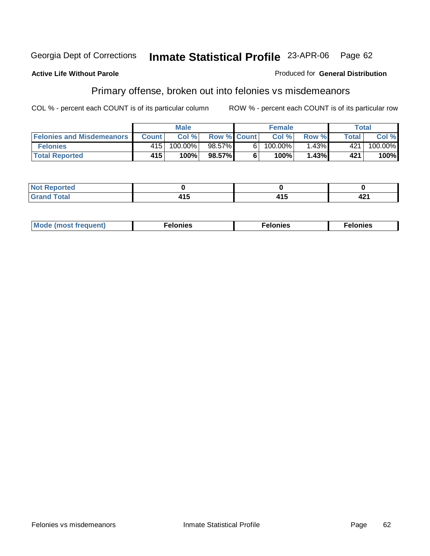#### **Active Life Without Parole**

# Produced for **General Distribution**

## Primary offense, broken out into felonies vs misdemeanors

|                                  | <b>Male</b> |         |                    |   | <b>Female</b> | Total |       |         |
|----------------------------------|-------------|---------|--------------------|---|---------------|-------|-------|---------|
| <b>Felonies and Misdemeanors</b> | Count I     | Col%    | <b>Row % Count</b> |   | Col %         | Row % | Total | Col %   |
| <b>Felonies</b>                  | 415         | 100.00% | 98.57%             | 6 | $100.00\%$    | 1.43% | 421   | 100.00% |
| <b>Total Reported</b>            | 415         | 100%    | 98.57%I            |   | 100%          | 1.43% | 421   | 100%    |

| <b>Not Reported</b><br>$\sim$ |   |   |             |
|-------------------------------|---|---|-------------|
| <b>Total</b><br>Grand         | . | . | 194<br>74 I |

| <b>Mo</b><br>requent)<br>onies<br>.<br>____ | nies.<br>חי<br>____ | <b>onies</b><br>. |
|---------------------------------------------|---------------------|-------------------|
|---------------------------------------------|---------------------|-------------------|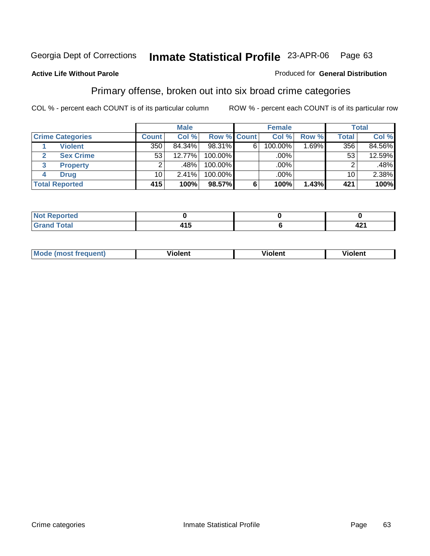### **Active Life Without Parole**

#### Produced for **General Distribution**

### Primary offense, broken out into six broad crime categories

|                         |                       | <b>Male</b>     |        |             | <b>Female</b> |             |          | <b>Total</b>    |        |
|-------------------------|-----------------------|-----------------|--------|-------------|---------------|-------------|----------|-----------------|--------|
| <b>Crime Categories</b> |                       | <b>Count</b>    | Col %  | Row % Count |               | Col %       | Row %    | <b>Total</b>    | Col %  |
|                         | <b>Violent</b>        | 350             | 84.34% | 98.31%      | 6             | 100.00%     | $1.69\%$ | 356             | 84.56% |
| 2                       | <b>Sex Crime</b>      | 53 <sup>1</sup> | 12.77% | $100.00\%$  |               | $.00\%$ $ $ |          | 53              | 12.59% |
| 3                       | <b>Property</b>       | 2               | .48%   | 100.00%     |               | .00%        |          | 2               | .48%   |
| 4                       | <b>Drug</b>           | 10 <sub>1</sub> | 2.41%  | 100.00%     |               | .00%        |          | 10 <sub>1</sub> | 2.38%  |
|                         | <b>Total Reported</b> | 415             | 100%   | 98.57%      | 6             | 100%        | 1.43%    | 421             | 100%   |

| <b>Not</b><br><b>rted</b><br>$\mathbf{1}$ |     |            |
|-------------------------------------------|-----|------------|
| $f \circ f \circ f$                       | ن ا | ໍ່<br>74 I |

| M <sub>O</sub><br>requent)<br>$\cdots$ | .<br>∕iolent<br>____ | ′iolent<br>____ | .<br>iolent<br>וסוי |
|----------------------------------------|----------------------|-----------------|---------------------|
|                                        |                      |                 |                     |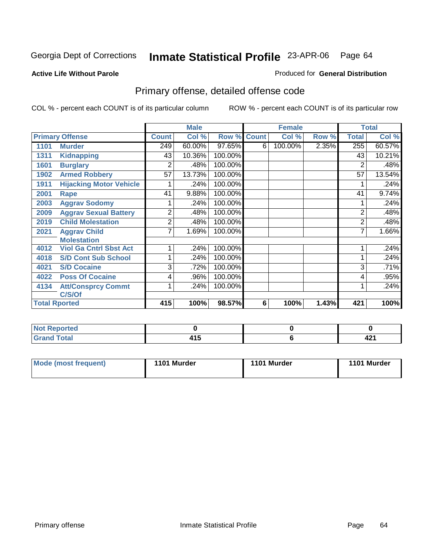#### **Active Life Without Parole**

#### Produced for **General Distribution**

## Primary offense, detailed offense code

|                        |                                |              | <b>Male</b> |         |              | <b>Female</b> |       |                | <b>Total</b> |
|------------------------|--------------------------------|--------------|-------------|---------|--------------|---------------|-------|----------------|--------------|
| <b>Primary Offense</b> |                                | <b>Count</b> | Col %       | Row %   | <b>Count</b> | Col %         | Row % | <b>Total</b>   | Col %        |
| 1101                   | <b>Murder</b>                  | 249          | 60.00%      | 97.65%  | 6            | 100.00%       | 2.35% | 255            | 60.57%       |
| 1311                   | <b>Kidnapping</b>              | 43           | 10.36%      | 100.00% |              |               |       | 43             | 10.21%       |
| 1601                   | <b>Burglary</b>                | 2            | .48%        | 100.00% |              |               |       | 2              | .48%         |
| 1902                   | <b>Armed Robbery</b>           | 57           | 13.73%      | 100.00% |              |               |       | 57             | 13.54%       |
| 1911                   | <b>Hijacking Motor Vehicle</b> |              | .24%        | 100.00% |              |               |       |                | .24%         |
| 2001                   | Rape                           | 41           | 9.88%       | 100.00% |              |               |       | 41             | 9.74%        |
| 2003                   | <b>Aggrav Sodomy</b>           |              | .24%        | 100.00% |              |               |       |                | .24%         |
| 2009                   | <b>Aggrav Sexual Battery</b>   | 2            | .48%        | 100.00% |              |               |       | $\overline{2}$ | .48%         |
| 2019                   | <b>Child Molestation</b>       | 2            | .48%        | 100.00% |              |               |       | $\overline{2}$ | .48%         |
| 2021                   | <b>Aggrav Child</b>            | 7            | 1.69%       | 100.00% |              |               |       | 7              | 1.66%        |
|                        | <b>Molestation</b>             |              |             |         |              |               |       |                |              |
| 4012                   | <b>Viol Ga Cntrl Sbst Act</b>  |              | .24%        | 100.00% |              |               |       |                | .24%         |
| 4018                   | <b>S/D Cont Sub School</b>     |              | .24%        | 100.00% |              |               |       | 1              | .24%         |
| 4021                   | <b>S/D Cocaine</b>             | 3            | .72%        | 100.00% |              |               |       | 3              | .71%         |
| 4022                   | <b>Poss Of Cocaine</b>         | 4            | .96%        | 100.00% |              |               |       | 4              | .95%         |
| 4134                   | <b>Att/Consprcy Commt</b>      |              | .24%        | 100.00% |              |               |       |                | .24%         |
|                        | C/S/Of                         |              |             |         |              |               |       |                |              |
| <b>Total Rported</b>   |                                | 415          | 100%        | 98.57%  | 6            | 100%          | 1.43% | 421            | 100%         |

| <b>Not</b><br><b>Reported</b>   |            |    |
|---------------------------------|------------|----|
| <b>Total</b><br>Grar<br>' Grand | .<br>7 I J | -6 |

| <b>Mode (most frequent)</b> | 1101 Murder | 1101 Murder | 1101 Murder |
|-----------------------------|-------------|-------------|-------------|
|-----------------------------|-------------|-------------|-------------|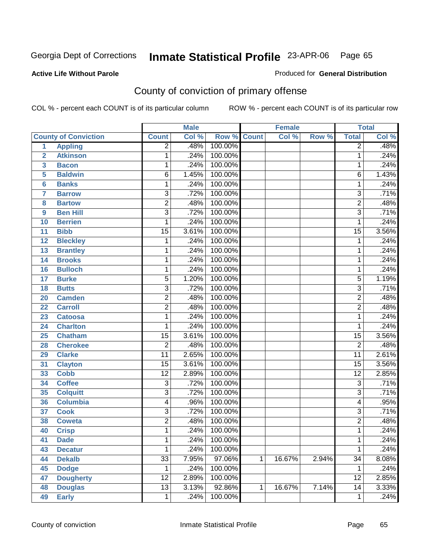Produced for **General Distribution**

#### **Active Life Without Parole**

## County of conviction of primary offense

|                 |                             |                 | <b>Male</b> |             |              | <b>Female</b> |       |                         | <b>Total</b> |
|-----------------|-----------------------------|-----------------|-------------|-------------|--------------|---------------|-------|-------------------------|--------------|
|                 | <b>County of Conviction</b> | <b>Count</b>    | Col %       | Row % Count |              | Col %         | Row % | <b>Total</b>            | Col %        |
| $\overline{1}$  | <b>Appling</b>              | $\overline{2}$  | .48%        | 100.00%     |              |               |       | $\overline{2}$          | .48%         |
| $\overline{2}$  | <b>Atkinson</b>             | 1               | .24%        | 100.00%     |              |               |       | 1                       | .24%         |
| 3               | <b>Bacon</b>                | 1               | .24%        | 100.00%     |              |               |       | $\mathbf{1}$            | .24%         |
| 5               | <b>Baldwin</b>              | $\overline{6}$  | 1.45%       | 100.00%     |              |               |       | $\overline{6}$          | 1.43%        |
| 6               | <b>Banks</b>                | 1               | .24%        | 100.00%     |              |               |       | $\mathbf{1}$            | .24%         |
| $\overline{7}$  | <b>Barrow</b>               | $\overline{3}$  | .72%        | 100.00%     |              |               |       | $\overline{3}$          | .71%         |
| 8               | <b>Bartow</b>               | $\overline{2}$  | .48%        | 100.00%     |              |               |       | $\overline{2}$          | .48%         |
| 9               | <b>Ben Hill</b>             | $\overline{3}$  | .72%        | 100.00%     |              |               |       | $\overline{3}$          | .71%         |
| 10              | <b>Berrien</b>              | $\mathbf{1}$    | .24%        | 100.00%     |              |               |       | $\mathbf{1}$            | .24%         |
| 11              | <b>Bibb</b>                 | $\overline{15}$ | 3.61%       | 100.00%     |              |               |       | $\overline{15}$         | 3.56%        |
| 12              | <b>Bleckley</b>             | 1               | .24%        | 100.00%     |              |               |       | $\mathbf 1$             | .24%         |
| 13              | <b>Brantley</b>             | 1               | .24%        | 100.00%     |              |               |       | $\mathbf 1$             | .24%         |
| $\overline{14}$ | <b>Brooks</b>               | 1               | .24%        | 100.00%     |              |               |       | $\mathbf{1}$            | .24%         |
| 16              | <b>Bulloch</b>              | 1               | .24%        | 100.00%     |              |               |       | $\mathbf{1}$            | .24%         |
| 17              | <b>Burke</b>                | $\overline{5}$  | 1.20%       | 100.00%     |              |               |       | $\overline{5}$          | 1.19%        |
| 18              | <b>Butts</b>                | $\overline{3}$  | .72%        | 100.00%     |              |               |       | $\overline{3}$          | .71%         |
| 20              | <b>Camden</b>               | $\overline{2}$  | .48%        | 100.00%     |              |               |       | $\overline{2}$          | .48%         |
| 22              | <b>Carroll</b>              | $\overline{2}$  | .48%        | 100.00%     |              |               |       | $\overline{2}$          | .48%         |
| 23              | <b>Catoosa</b>              | 1               | .24%        | 100.00%     |              |               |       | 1                       | .24%         |
| 24              | <b>Charlton</b>             | 1               | .24%        | 100.00%     |              |               |       | 1                       | .24%         |
| 25              | <b>Chatham</b>              | $\overline{15}$ | 3.61%       | 100.00%     |              |               |       | $\overline{15}$         | 3.56%        |
| 28              | <b>Cherokee</b>             | $\overline{2}$  | .48%        | 100.00%     |              |               |       | $\overline{2}$          | .48%         |
| 29              | <b>Clarke</b>               | $\overline{11}$ | 2.65%       | 100.00%     |              |               |       | $\overline{11}$         | 2.61%        |
| 31              | <b>Clayton</b>              | $\overline{15}$ | 3.61%       | 100.00%     |              |               |       | $\overline{15}$         | 3.56%        |
| 33              | <b>Cobb</b>                 | $\overline{12}$ | 2.89%       | 100.00%     |              |               |       | $\overline{12}$         | 2.85%        |
| 34              | <b>Coffee</b>               | $\overline{3}$  | .72%        | 100.00%     |              |               |       | $\overline{3}$          | .71%         |
| 35              | <b>Colquitt</b>             | $\overline{3}$  | .72%        | 100.00%     |              |               |       | $\overline{3}$          | .71%         |
| 36              | <b>Columbia</b>             | 4               | .96%        | 100.00%     |              |               |       | $\overline{\mathbf{4}}$ | .95%         |
| 37              | <b>Cook</b>                 | $\overline{3}$  | .72%        | 100.00%     |              |               |       | $\overline{3}$          | .71%         |
| 38              | <b>Coweta</b>               | $\overline{2}$  | .48%        | 100.00%     |              |               |       | $\overline{2}$          | .48%         |
| 40              | <b>Crisp</b>                | 1               | .24%        | 100.00%     |              |               |       | 1                       | .24%         |
| 41              | <b>Dade</b>                 | 1               | .24%        | 100.00%     |              |               |       | 1                       | .24%         |
| 43              | <b>Decatur</b>              | $\mathbf{1}$    | .24%        | 100.00%     |              |               |       | $\mathbf{1}$            | .24%         |
| 44              | <b>Dekalb</b>               | $\overline{33}$ | 7.95%       | 97.06%      | $\mathbf{1}$ | 16.67%        | 2.94% | $\overline{34}$         | 8.08%        |
| 45              | <b>Dodge</b>                | 1               | .24%        | 100.00%     |              |               |       | 1                       | .24%         |
| 47              | <b>Dougherty</b>            | $\overline{12}$ | 2.89%       | 100.00%     |              |               |       | 12                      | 2.85%        |
| 48              | <b>Douglas</b>              | $\overline{13}$ | 3.13%       | 92.86%      | 1            | 16.67%        | 7.14% | 14                      | 3.33%        |
| 49              | <b>Early</b>                | $\mathbf 1$     | .24%        | 100.00%     |              |               |       | 1                       | .24%         |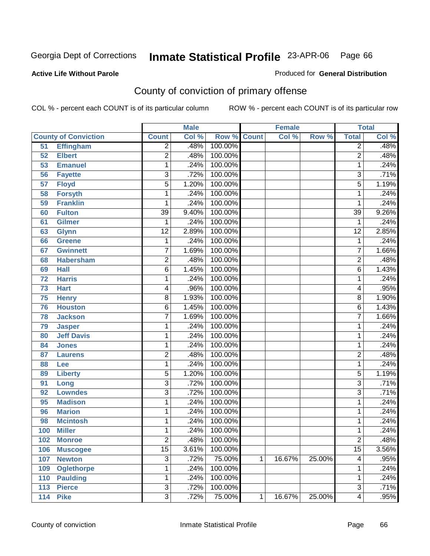Produced for **General Distribution**

### **Active Life Without Parole**

## County of conviction of primary offense

|                 |                             |                 | <b>Male</b> |                    |   | <b>Female</b> |        |                 | <b>Total</b> |
|-----------------|-----------------------------|-----------------|-------------|--------------------|---|---------------|--------|-----------------|--------------|
|                 | <b>County of Conviction</b> | <b>Count</b>    | Col %       | <b>Row % Count</b> |   | Col %         | Row %  | <b>Total</b>    | Col %        |
| 51              | <b>Effingham</b>            | $\overline{2}$  | .48%        | 100.00%            |   |               |        | $\overline{2}$  | .48%         |
| 52              | <b>Elbert</b>               | $\overline{2}$  | .48%        | 100.00%            |   |               |        | $\overline{2}$  | .48%         |
| 53              | <b>Emanuel</b>              | 1               | .24%        | 100.00%            |   |               |        | 1               | .24%         |
| 56              | <b>Fayette</b>              | $\overline{3}$  | .72%        | 100.00%            |   |               |        | $\overline{3}$  | .71%         |
| $\overline{57}$ | <b>Floyd</b>                | $\overline{5}$  | 1.20%       | 100.00%            |   |               |        | $\overline{5}$  | 1.19%        |
| 58              | <b>Forsyth</b>              | 1               | .24%        | 100.00%            |   |               |        | 1               | .24%         |
| 59              | <b>Franklin</b>             | 1               | .24%        | 100.00%            |   |               |        | 1               | .24%         |
| 60              | <b>Fulton</b>               | $\overline{39}$ | 9.40%       | 100.00%            |   |               |        | $\overline{39}$ | 9.26%        |
| 61              | <b>Gilmer</b>               | 1               | .24%        | 100.00%            |   |               |        | 1               | .24%         |
| 63              | <b>Glynn</b>                | $\overline{12}$ | 2.89%       | 100.00%            |   |               |        | $\overline{12}$ | 2.85%        |
| 66              | <b>Greene</b>               | 1               | .24%        | 100.00%            |   |               |        | $\mathbf 1$     | .24%         |
| 67              | <b>Gwinnett</b>             | 7               | 1.69%       | 100.00%            |   |               |        | $\overline{7}$  | 1.66%        |
| 68              | <b>Habersham</b>            | $\overline{2}$  | .48%        | 100.00%            |   |               |        | $\overline{2}$  | .48%         |
| 69              | <b>Hall</b>                 | 6               | 1.45%       | 100.00%            |   |               |        | 6               | 1.43%        |
| 72              | <b>Harris</b>               | 1               | .24%        | 100.00%            |   |               |        | 1               | .24%         |
| 73              | <b>Hart</b>                 | 4               | .96%        | 100.00%            |   |               |        | 4               | .95%         |
| 75              | <b>Henry</b>                | $\overline{8}$  | 1.93%       | 100.00%            |   |               |        | 8               | 1.90%        |
| 76              | <b>Houston</b>              | 6               | 1.45%       | 100.00%            |   |               |        | 6               | 1.43%        |
| 78              | <b>Jackson</b>              | $\overline{7}$  | 1.69%       | 100.00%            |   |               |        | $\overline{7}$  | 1.66%        |
| 79              | <b>Jasper</b>               | 1               | .24%        | 100.00%            |   |               |        | 1               | .24%         |
| 80              | <b>Jeff Davis</b>           | 1               | .24%        | 100.00%            |   |               |        | 1               | .24%         |
| 84              | <b>Jones</b>                | 1               | .24%        | 100.00%            |   |               |        | 1               | .24%         |
| 87              | <b>Laurens</b>              | $\overline{2}$  | .48%        | 100.00%            |   |               |        | $\overline{2}$  | .48%         |
| 88              | Lee                         | 1               | .24%        | 100.00%            |   |               |        | 1               | .24%         |
| 89              | <b>Liberty</b>              | $\overline{5}$  | 1.20%       | 100.00%            |   |               |        | $\overline{5}$  | 1.19%        |
| 91              | Long                        | 3               | .72%        | 100.00%            |   |               |        | $\overline{3}$  | .71%         |
| 92              | <b>Lowndes</b>              | $\overline{3}$  | .72%        | 100.00%            |   |               |        | $\overline{3}$  | .71%         |
| 95              | <b>Madison</b>              | 1               | .24%        | 100.00%            |   |               |        | 1               | .24%         |
| 96              | <b>Marion</b>               | 1               | .24%        | 100.00%            |   |               |        | 1               | .24%         |
| 98              | <b>Mcintosh</b>             | 1               | .24%        | 100.00%            |   |               |        | 1               | .24%         |
| 100             | <b>Miller</b>               | 1               | .24%        | 100.00%            |   |               |        | 1               | .24%         |
| 102             | <b>Monroe</b>               | 2               | .48%        | 100.00%            |   |               |        | 2               | .48%         |
| 106             | <b>Muscogee</b>             | $\overline{15}$ | 3.61%       | 100.00%            |   |               |        | $\overline{15}$ | 3.56%        |
| 107             | <b>Newton</b>               | $\overline{3}$  | .72%        | 75.00%             | 1 | 16.67%        | 25.00% | 4               | .95%         |
| 109             | <b>Oglethorpe</b>           | 1               | .24%        | 100.00%            |   |               |        | 1               | .24%         |
| 110             | <b>Paulding</b>             | 1               | .24%        | 100.00%            |   |               |        | 1               | .24%         |
| 113             | <b>Pierce</b>               | $\overline{3}$  | .72%        | 100.00%            |   |               |        | $\overline{3}$  | .71%         |
| 114             | <b>Pike</b>                 | $\overline{3}$  | .72%        | 75.00%             | 1 | 16.67%        | 25.00% | 4               | .95%         |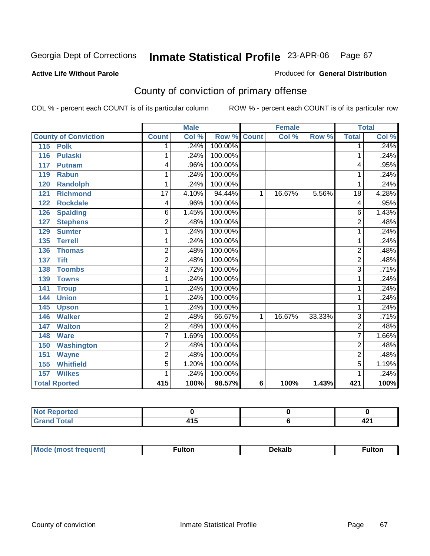#### **Active Life Without Parole**

#### Produced for **General Distribution**

## County of conviction of primary offense

|                             |                 | <b>Male</b> |         | <b>Female</b>  |                           |        | <b>Total</b>   |       |
|-----------------------------|-----------------|-------------|---------|----------------|---------------------------|--------|----------------|-------|
| <b>County of Conviction</b> | <b>Count</b>    | Col %       | Row %   | <b>Count</b>   | $\overline{\text{Col}}$ % | Row %  | <b>Total</b>   | Col % |
| 115<br><b>Polk</b>          | 1               | .24%        | 100.00% |                |                           |        | 1              | .24%  |
| <b>Pulaski</b><br>116       | 1               | .24%        | 100.00% |                |                           |        | 1              | .24%  |
| 117<br><b>Putnam</b>        | 4               | .96%        | 100.00% |                |                           |        | 4              | .95%  |
| <b>Rabun</b><br>119         | 1               | .24%        | 100.00% |                |                           |        | 1              | .24%  |
| <b>Randolph</b><br>120      | 1               | .24%        | 100.00% |                |                           |        | 1              | .24%  |
| <b>Richmond</b><br>121      | $\overline{17}$ | 4.10%       | 94.44%  | 1              | 16.67%                    | 5.56%  | 18             | 4.28% |
| <b>Rockdale</b><br>122      | 4               | .96%        | 100.00% |                |                           |        | 4              | .95%  |
| <b>Spalding</b><br>126      | 6               | 1.45%       | 100.00% |                |                           |        | 6              | 1.43% |
| 127<br><b>Stephens</b>      | $\overline{2}$  | .48%        | 100.00% |                |                           |        | $\overline{2}$ | .48%  |
| <b>Sumter</b><br>129        | 1               | .24%        | 100.00% |                |                           |        | 1              | .24%  |
| 135<br><b>Terrell</b>       | 1               | .24%        | 100.00% |                |                           |        | 1              | .24%  |
| 136<br><b>Thomas</b>        | $\overline{2}$  | .48%        | 100.00% |                |                           |        | $\overline{2}$ | .48%  |
| <b>Tift</b><br>137          | $\overline{2}$  | .48%        | 100.00% |                |                           |        | $\overline{2}$ | .48%  |
| <b>Toombs</b><br>138        | 3               | .72%        | 100.00% |                |                           |        | $\overline{3}$ | .71%  |
| <b>Towns</b><br>139         | 1               | .24%        | 100.00% |                |                           |        | 1              | .24%  |
| 141<br><b>Troup</b>         | 1               | .24%        | 100.00% |                |                           |        | 1              | .24%  |
| <b>Union</b><br>144         | 1               | .24%        | 100.00% |                |                           |        | 1              | .24%  |
| 145<br><b>Upson</b>         | 1               | .24%        | 100.00% |                |                           |        | 1              | .24%  |
| <b>Walker</b><br>146        | $\overline{2}$  | .48%        | 66.67%  | $\mathbf 1$    | 16.67%                    | 33.33% | $\overline{3}$ | .71%  |
| <b>Walton</b><br>147        | $\overline{2}$  | .48%        | 100.00% |                |                           |        | $\overline{2}$ | .48%  |
| <b>Ware</b><br>148          | 7               | 1.69%       | 100.00% |                |                           |        | $\overline{7}$ | 1.66% |
| <b>Washington</b><br>150    | $\overline{2}$  | .48%        | 100.00% |                |                           |        | $\overline{2}$ | .48%  |
| 151<br><b>Wayne</b>         | $\overline{2}$  | .48%        | 100.00% |                |                           |        | $\overline{2}$ | .48%  |
| <b>Whitfield</b><br>155     | $\overline{5}$  | 1.20%       | 100.00% |                |                           |        | $\overline{5}$ | 1.19% |
| <b>Wilkes</b><br>157        | 1               | .24%        | 100.00% |                |                           |        | 1              | .24%  |
| <b>Total Rported</b>        | 415             | 100%        | 98.57%  | $6\phantom{1}$ | 100%                      | 1.43%  | 421            | 100%  |

| -4 - -<br>_        |                    |           |
|--------------------|--------------------|-----------|
| التوافق المستراتين | - -<br>.<br>$\sim$ | - -<br>т. |

| <b>Mode (most frequent)</b> | īulton | <b>Dekalb</b> | <sup>-</sup> ultor |
|-----------------------------|--------|---------------|--------------------|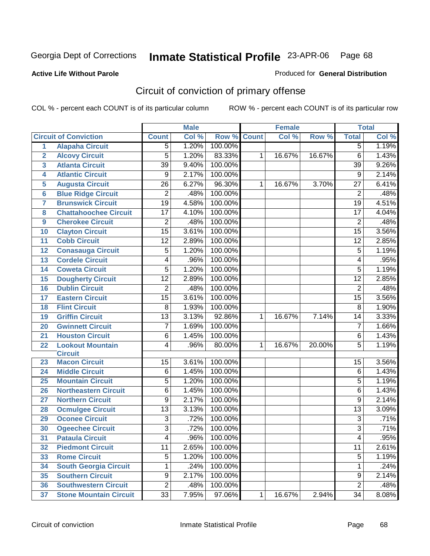#### **Active Life Without Parole**

#### Produced for **General Distribution**

## Circuit of conviction of primary offense

|                         |                               | <b>Male</b>     |         | <b>Female</b> |              |        | <b>Total</b> |                         |       |
|-------------------------|-------------------------------|-----------------|---------|---------------|--------------|--------|--------------|-------------------------|-------|
|                         | <b>Circuit of Conviction</b>  | <b>Count</b>    | Col %   | Row %         | <b>Count</b> | Col %  | Row %        | <b>Total</b>            | Col % |
| $\overline{1}$          | <b>Alapaha Circuit</b>        | 5               | 1.20%   | 100.00%       |              |        |              | $\overline{5}$          | 1.19% |
| $\overline{2}$          | <b>Alcovy Circuit</b>         | 5               | 1.20%   | 83.33%        | 1            | 16.67% | 16.67%       | $\overline{6}$          | 1.43% |
| $\overline{\mathbf{3}}$ | <b>Atlanta Circuit</b>        | $\overline{39}$ | 9.40%   | 100.00%       |              |        |              | $\overline{39}$         | 9.26% |
| 4                       | <b>Atlantic Circuit</b>       | $\overline{9}$  | 2.17%   | 100.00%       |              |        |              | $\overline{9}$          | 2.14% |
| 5                       | <b>Augusta Circuit</b>        | 26              | 6.27%   | 96.30%        | 1            | 16.67% | 3.70%        | 27                      | 6.41% |
| $6\phantom{a}6$         | <b>Blue Ridge Circuit</b>     | $\overline{2}$  | .48%    | 100.00%       |              |        |              | $\overline{2}$          | .48%  |
| $\overline{7}$          | <b>Brunswick Circuit</b>      | $\overline{19}$ | 4.58%   | 100.00%       |              |        |              | $\overline{19}$         | 4.51% |
| 8                       | <b>Chattahoochee Circuit</b>  | 17              | 4.10%   | 100.00%       |              |        |              | $\overline{17}$         | 4.04% |
| $\boldsymbol{9}$        | <b>Cherokee Circuit</b>       | $\overline{2}$  | .48%    | 100.00%       |              |        |              | $\overline{2}$          | .48%  |
| 10                      | <b>Clayton Circuit</b>        | $\overline{15}$ | 3.61%   | 100.00%       |              |        |              | $\overline{15}$         | 3.56% |
| 11                      | <b>Cobb Circuit</b>           | 12              | 2.89%   | 100.00%       |              |        |              | $\overline{12}$         | 2.85% |
| 12                      | <b>Conasauga Circuit</b>      | 5               | 1.20%   | 100.00%       |              |        |              | 5                       | 1.19% |
| 13                      | <b>Cordele Circuit</b>        | 4               | .96%    | 100.00%       |              |        |              | $\overline{\mathbf{4}}$ | .95%  |
| 14                      | <b>Coweta Circuit</b>         | $\overline{5}$  | 1.20%   | 100.00%       |              |        |              | $\overline{5}$          | 1.19% |
| 15                      | <b>Dougherty Circuit</b>      | $\overline{12}$ | 2.89%   | 100.00%       |              |        |              | $\overline{12}$         | 2.85% |
| 16                      | <b>Dublin Circuit</b>         | $\overline{2}$  | .48%    | 100.00%       |              |        |              | $\overline{2}$          | .48%  |
| 17                      | <b>Eastern Circuit</b>        | $\overline{15}$ | 3.61%   | 100.00%       |              |        |              | $\overline{15}$         | 3.56% |
| 18                      | <b>Flint Circuit</b>          | 8               | 1.93%   | 100.00%       |              |        |              | 8                       | 1.90% |
| 19                      | <b>Griffin Circuit</b>        | $\overline{13}$ | 3.13%   | 92.86%        | 1            | 16.67% | 7.14%        | 14                      | 3.33% |
| 20                      | <b>Gwinnett Circuit</b>       | 7               | 1.69%   | 100.00%       |              |        |              | $\overline{7}$          | 1.66% |
| 21                      | <b>Houston Circuit</b>        | 6               | 1.45%   | 100.00%       |              |        |              | $\,6$                   | 1.43% |
| 22                      | <b>Lookout Mountain</b>       | 4               | .96%    | 80.00%        | 1            | 16.67% | 20.00%       | $\overline{5}$          | 1.19% |
|                         | <b>Circuit</b>                |                 |         |               |              |        |              |                         |       |
| 23                      | <b>Macon Circuit</b>          | 15              | 3.61%   | 100.00%       |              |        |              | 15                      | 3.56% |
| 24                      | <b>Middle Circuit</b>         | 6               | 1.45%   | 100.00%       |              |        |              | $\overline{6}$          | 1.43% |
| 25                      | <b>Mountain Circuit</b>       | $\overline{5}$  | 1.20%   | 100.00%       |              |        |              | $\overline{5}$          | 1.19% |
| 26                      | <b>Northeastern Circuit</b>   | 6               | 1.45%   | 100.00%       |              |        |              | $\overline{6}$          | 1.43% |
| 27                      | <b>Northern Circuit</b>       | 9               | 2.17%   | 100.00%       |              |        |              | $\overline{9}$          | 2.14% |
| 28                      | <b>Ocmulgee Circuit</b>       | $\overline{13}$ | 3.13%   | 100.00%       |              |        |              | $\overline{13}$         | 3.09% |
| 29                      | <b>Oconee Circuit</b>         | $\overline{3}$  | .72%    | 100.00%       |              |        |              | $\overline{3}$          | .71%  |
| 30                      | <b>Ogeechee Circuit</b>       | $\overline{3}$  | .72%    | 100.00%       |              |        |              | $\overline{3}$          | .71%  |
| 31                      | <b>Pataula Circuit</b>        | $\overline{4}$  | $.96\%$ | 100.00%       |              |        |              | $\overline{4}$          | .95%  |
| 32                      | <b>Piedmont Circuit</b>       | 11              | 2.65%   | 100.00%       |              |        |              | 11                      | 2.61% |
| 33                      | <b>Rome Circuit</b>           | 5               | 1.20%   | 100.00%       |              |        |              | 5                       | 1.19% |
| 34                      | <b>South Georgia Circuit</b>  | 1               | .24%    | 100.00%       |              |        |              | 1                       | .24%  |
| 35                      | <b>Southern Circuit</b>       | $\overline{9}$  | 2.17%   | 100.00%       |              |        |              | $\overline{9}$          | 2.14% |
| 36                      | <b>Southwestern Circuit</b>   | $\overline{2}$  | .48%    | 100.00%       |              |        |              | $\overline{2}$          | .48%  |
| 37                      | <b>Stone Mountain Circuit</b> | 33              | 7.95%   | 97.06%        | $\mathbf 1$  | 16.67% | 2.94%        | 34                      | 8.08% |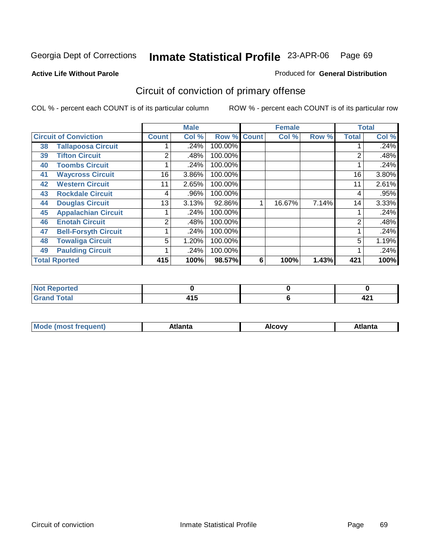#### **Active Life Without Parole**

#### Produced for **General Distribution**

## Circuit of conviction of primary offense

|    |                              |                | <b>Male</b> |                    |   | <b>Female</b> |       |              | <b>Total</b> |
|----|------------------------------|----------------|-------------|--------------------|---|---------------|-------|--------------|--------------|
|    | <b>Circuit of Conviction</b> | <b>Count</b>   | Col %       | <b>Row % Count</b> |   | Col %         | Row % | <b>Total</b> | Col %        |
| 38 | <b>Tallapoosa Circuit</b>    |                | .24%        | 100.00%            |   |               |       |              | .24%         |
| 39 | <b>Tifton Circuit</b>        | 2              | .48%        | 100.00%            |   |               |       | 2            | .48%         |
| 40 | <b>Toombs Circuit</b>        |                | .24%        | 100.00%            |   |               |       |              | .24%         |
| 41 | <b>Waycross Circuit</b>      | 16             | 3.86%       | 100.00%            |   |               |       | 16           | 3.80%        |
| 42 | <b>Western Circuit</b>       | 11             | 2.65%       | 100.00%            |   |               |       | 11           | 2.61%        |
| 43 | <b>Rockdale Circuit</b>      | 4              | .96%        | 100.00%            |   |               |       | 4            | .95%         |
| 44 | <b>Douglas Circuit</b>       | 13             | 3.13%       | 92.86%             |   | 16.67%        | 7.14% | 14           | 3.33%        |
| 45 | <b>Appalachian Circuit</b>   |                | .24%        | 100.00%            |   |               |       |              | .24%         |
| 46 | <b>Enotah Circuit</b>        | $\overline{2}$ | .48%        | 100.00%            |   |               |       | 2            | .48%         |
| 47 | <b>Bell-Forsyth Circuit</b>  |                | .24%        | 100.00%            |   |               |       |              | .24%         |
| 48 | <b>Towaliga Circuit</b>      | 5              | 1.20%       | 100.00%            |   |               |       | 5            | 1.19%        |
| 49 | <b>Paulding Circuit</b>      |                | .24%        | 100.00%            |   |               |       | 4            | .24%         |
|    | <b>Total Rported</b>         | 415            | 100%        | 98.57%             | 6 | 100%          | 1.43% | 421          | 100%         |

| <b>NOT Reported</b> |          |   |
|---------------------|----------|---|
| <b>Utal</b>         | .<br>413 | ▔ |

| М<br>. | Atlanta | `ow,<br>$ -$ | Atlanta |
|--------|---------|--------------|---------|
|        |         |              |         |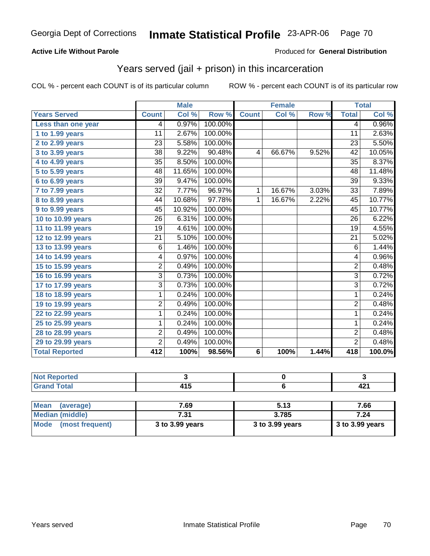### **Active Life Without Parole**

#### Produced for **General Distribution**

### Years served (jail + prison) in this incarceration

|                       |                 | <b>Male</b> |         |              | <b>Female</b> |       |                 | <b>Total</b> |
|-----------------------|-----------------|-------------|---------|--------------|---------------|-------|-----------------|--------------|
| <b>Years Served</b>   | <b>Count</b>    | Col %       | Row %   | <b>Count</b> | Col %         | Row % | <b>Total</b>    | Col %        |
| Less than one year    | 4               | 0.97%       | 100.00% |              |               |       | 4               | 0.96%        |
| 1 to 1.99 years       | $\overline{11}$ | 2.67%       | 100.00% |              |               |       | $\overline{11}$ | 2.63%        |
| 2 to 2.99 years       | 23              | 5.58%       | 100.00% |              |               |       | 23              | 5.50%        |
| 3 to 3.99 years       | 38              | 9.22%       | 90.48%  | 4            | 66.67%        | 9.52% | 42              | 10.05%       |
| 4 to 4.99 years       | 35              | 8.50%       | 100.00% |              |               |       | 35              | 8.37%        |
| 5 to 5.99 years       | $\overline{48}$ | 11.65%      | 100.00% |              |               |       | $\overline{48}$ | 11.48%       |
| 6 to 6.99 years       | $\overline{39}$ | 9.47%       | 100.00% |              |               |       | $\overline{39}$ | 9.33%        |
| 7 to 7.99 years       | $\overline{32}$ | 7.77%       | 96.97%  | 1            | 16.67%        | 3.03% | $\overline{33}$ | 7.89%        |
| 8 to 8.99 years       | 44              | 10.68%      | 97.78%  | 1            | 16.67%        | 2.22% | 45              | 10.77%       |
| 9 to 9.99 years       | 45              | 10.92%      | 100.00% |              |               |       | 45              | 10.77%       |
| 10 to 10.99 years     | 26              | 6.31%       | 100.00% |              |               |       | 26              | 6.22%        |
| 11 to 11.99 years     | 19              | 4.61%       | 100.00% |              |               |       | 19              | 4.55%        |
| 12 to 12.99 years     | 21              | 5.10%       | 100.00% |              |               |       | 21              | 5.02%        |
| 13 to 13.99 years     | 6               | 1.46%       | 100.00% |              |               |       | 6               | 1.44%        |
| 14 to 14.99 years     | 4               | 0.97%       | 100.00% |              |               |       | 4               | 0.96%        |
| 15 to 15.99 years     | $\overline{2}$  | 0.49%       | 100.00% |              |               |       | $\overline{2}$  | 0.48%        |
| 16 to 16.99 years     | 3               | 0.73%       | 100.00% |              |               |       | $\overline{3}$  | 0.72%        |
| 17 to 17.99 years     | $\overline{3}$  | 0.73%       | 100.00% |              |               |       | $\overline{3}$  | 0.72%        |
| 18 to 18.99 years     | 1               | 0.24%       | 100.00% |              |               |       | 1               | 0.24%        |
| 19 to 19.99 years     | 2               | 0.49%       | 100.00% |              |               |       | $\overline{2}$  | 0.48%        |
| 22 to 22.99 years     | 1               | 0.24%       | 100.00% |              |               |       | 1               | 0.24%        |
| 25 to 25.99 years     | 1               | 0.24%       | 100.00% |              |               |       | 1               | 0.24%        |
| 28 to 28.99 years     | 2               | 0.49%       | 100.00% |              |               |       | $\overline{2}$  | 0.48%        |
| 29 to 29.99 years     | $\overline{2}$  | 0.49%       | 100.00% |              |               |       | $\overline{2}$  | 0.48%        |
| <b>Total Reported</b> | 412             | 100%        | 98.56%  | $\bf 6$      | 100%          | 1.44% | 418             | 100.0%       |

| بالمستقيمات<br>тео    |        |      |
|-----------------------|--------|------|
| $T \wedge f \wedge f$ | .      | 104  |
| ___                   | $\sim$ | 74 I |

| <b>Mean</b><br>(average) | 7.69            | 5.13            | 7.66              |
|--------------------------|-----------------|-----------------|-------------------|
| Median (middle)          | 7.31            | 3.785           | 7.24              |
| Mode (most frequent)     | 3 to 3.99 years | 3 to 3.99 years | $3$ to 3.99 years |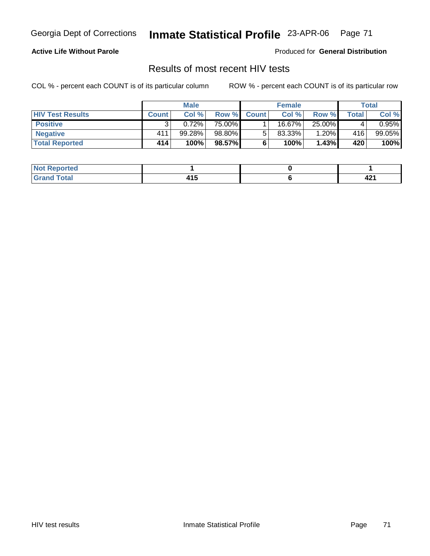### **Active Life Without Parole**

Produced for **General Distribution**

### Results of most recent HIV tests

|                         |              | <b>Male</b> |        |              | <b>Female</b> |        |       | Total     |
|-------------------------|--------------|-------------|--------|--------------|---------------|--------|-------|-----------|
| <b>HIV Test Results</b> | <b>Count</b> | Col %       | Row %  | <b>Count</b> | Col %         | Row %  | Total | Col %     |
| <b>Positive</b>         |              | 0.72%       | 75.00% |              | 16.67%        | 25.00% |       | $0.95\%$  |
| <b>Negative</b>         | 411          | 99.28%      | 98.80% |              | $83.33\%$     | 1.20%  | 416   | $99.05\%$ |
| <b>Total Reported</b>   | 414          | 100%        | 98.57% |              | 100%          | 1.43%  | 420   | 100%      |

| <b>Reported</b><br>' NOT |   |              |
|--------------------------|---|--------------|
| <b>Fotal</b><br>.        | . | т <u>д</u> і |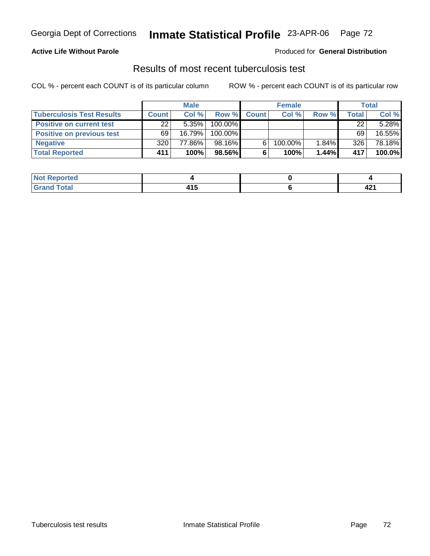### **Active Life Without Parole**

#### Produced for **General Distribution**

### Results of most recent tuberculosis test

|                                  | <b>Male</b>  |           |         | <b>Female</b> |         |       | Total  |        |
|----------------------------------|--------------|-----------|---------|---------------|---------|-------|--------|--------|
| <b>Tuberculosis Test Results</b> | <b>Count</b> | Col%      | Row %   | <b>Count</b>  | Col %   | Row % | Total, | Col %  |
| <b>Positive on current test</b>  | 22           | $5.35\%$  | 100.00% |               |         |       | 22     | 5.28%  |
| <b>Positive on previous test</b> | 69           | $16.79\%$ | 100.00% |               |         |       | 69     | 16.55% |
| <b>Negative</b>                  | 320          | 77.86%    | 98.16%  |               | 100.00% | 1.84% | 326    | 78.18% |
| <b>Total Reported</b>            | 411          | 100%      | 98.56%I |               | 100%    | 1.44% | 417    | 100.0% |

| Reported<br>.                      |                   |      |
|------------------------------------|-------------------|------|
| <b>Fotal</b>                       | .                 | 10.  |
| $\sim$ $\sim$ $\sim$ $\sim$ $\sim$ | $\cdot$ . $\cdot$ | 44 L |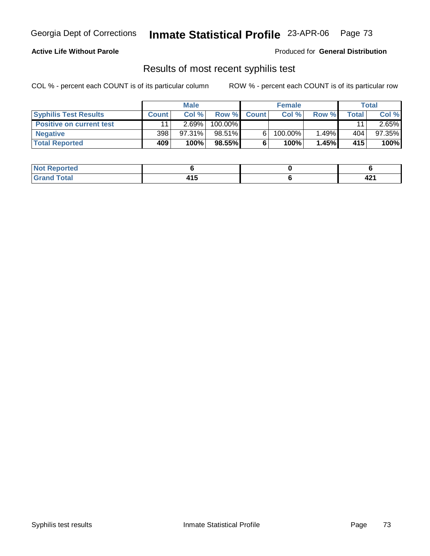### **Active Life Without Parole**

Produced for **General Distribution**

## Results of most recent syphilis test

|                                 |              | <b>Male</b> |         |              | <b>Female</b> |       |       | Total     |
|---------------------------------|--------------|-------------|---------|--------------|---------------|-------|-------|-----------|
| <b>Syphilis Test Results</b>    | <b>Count</b> | Col%        | Row %   | <b>Count</b> | Col%          | Row % | Total | Col %     |
| <b>Positive on current test</b> | 11           | 2.69%       | 100.00% |              |               |       | 11    | $2.65\%$  |
| <b>Negative</b>                 | 398          | $97.31\%$   | 98.51%  |              | 100.00%       | 1.49% | 404   | $97.35\%$ |
| <b>Total Reported</b>           | 409          | 100%        | 98.55%  |              | 100%          | 1.45% | 415   | 100%      |

| <b>Not Reported</b>  |          |      |
|----------------------|----------|------|
| <b>Total</b><br>____ | .<br>ن ا | 74 L |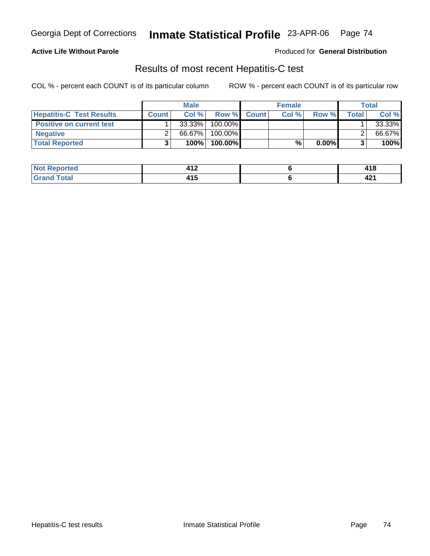### **Active Life Without Parole**

Produced for **General Distribution**

## Results of most recent Hepatitis-C test

|                                 |              | <b>Male</b> |         |             | <b>Female</b> |          |         | Total  |
|---------------------------------|--------------|-------------|---------|-------------|---------------|----------|---------|--------|
| <b>Hepatitis-C Test Results</b> | <b>Count</b> | Col %       |         | Row % Count | Col %         | Row %    | Total I | Col %  |
| <b>Positive on current test</b> |              | 33.33%      | 100.00% |             |               |          |         | 33.33% |
| <b>Negative</b>                 |              | 66.67%      | 100.00% |             |               |          |         | 66.67% |
| <b>Total Reported</b>           |              | 100%        | 100.00% |             | %             | $0.00\%$ |         | 100%   |

| orted<br>. NG | 14 O<br>── ! ▲ | 1 4 C<br>41 I O      |
|---------------|----------------|----------------------|
| otal          | .              | $\ddot{\phantom{1}}$ |
| ____          | 7 I J          | 44 L                 |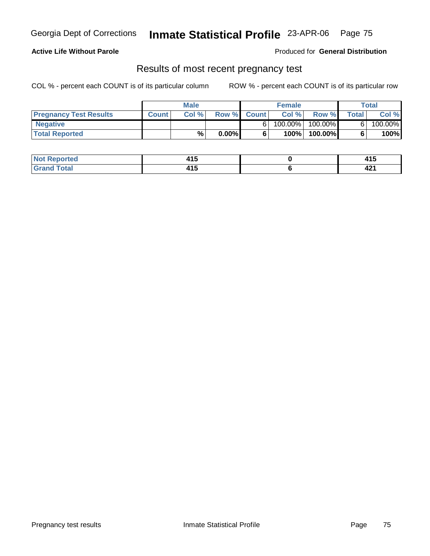#### **Active Life Without Parole**

Produced for **General Distribution**

### Results of most recent pregnancy test

|                               | <b>Male</b>  |       | <b>Female</b> |             |            | Total      |              |         |
|-------------------------------|--------------|-------|---------------|-------------|------------|------------|--------------|---------|
| <b>Pregnancy Test Results</b> | <b>Count</b> | Col % |               | Row % Count | Col %      | Row %      | <b>Total</b> | Col %   |
| <b>Negative</b>               |              |       |               |             | $100.00\%$ | $100.00\%$ |              | 100.00% |
| <b>Total Reported</b>         |              | %     | $0.00\%$      |             | 100%       | 100.00%    |              | 100%    |

| المتملس<br>nned | .<br>טו+<br>$\sim$ | $\overline{1}$<br>7 I V |
|-----------------|--------------------|-------------------------|
| _____           | .<br>7 I J         | 74 L                    |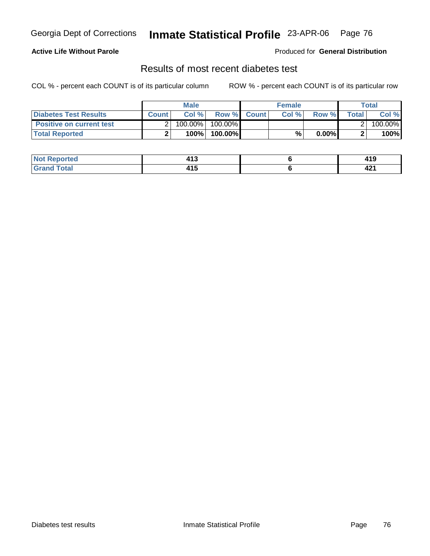### **Active Life Without Parole**

#### Produced for **General Distribution**

## Results of most recent diabetes test

|                                 |              | <b>Male</b> |                    | <b>Female</b> |          |         | Total   |
|---------------------------------|--------------|-------------|--------------------|---------------|----------|---------|---------|
| Diabetes Test Results           | <b>Count</b> | Col %       | <b>Row % Count</b> | Col %         | Row %    | Total l | Col %   |
| <b>Positive on current test</b> |              | $100.00\%$  | 100.00% I          |               |          |         | 100.00% |
| <b>Total Reported</b>           |              | 100%        | 100.00%            | %             | $0.00\%$ |         | 100%    |

| ırted | 14.9      | 44 C            |
|-------|-----------|-----------------|
| N     | טו+       | 7 I J           |
| Total | .<br>4 וט | "<br><b>TAI</b> |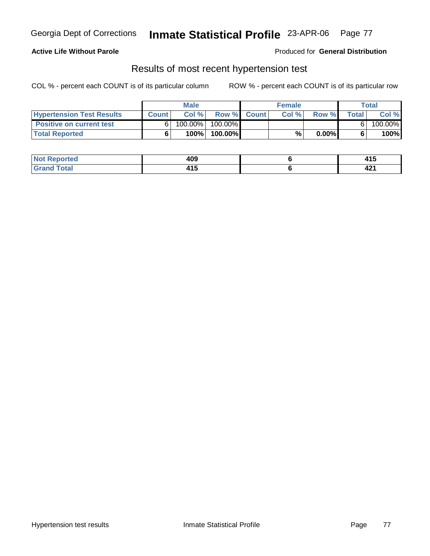### **Active Life Without Parole**

Produced for **General Distribution**

### Results of most recent hypertension test

|                                  |              | <b>Male</b> |           |             | <b>Female</b> |          |                | Total   |
|----------------------------------|--------------|-------------|-----------|-------------|---------------|----------|----------------|---------|
| <b>Hypertension Test Results</b> | <b>Count</b> | Col %       |           | Row % Count | Col %         | Row %    | <b>Total</b> I | Col %   |
| <b>Positive on current test</b>  |              | 100.00%     | 100.00% I |             |               |          |                | 100.00% |
| <b>Total Reported</b>            |              | 100%        | 100.00%   |             | %             | $0.00\%$ |                | 100%    |

| orted | ۸N0<br>403 | .<br>ט ד    |
|-------|------------|-------------|
|       | .          | . .<br>74 I |